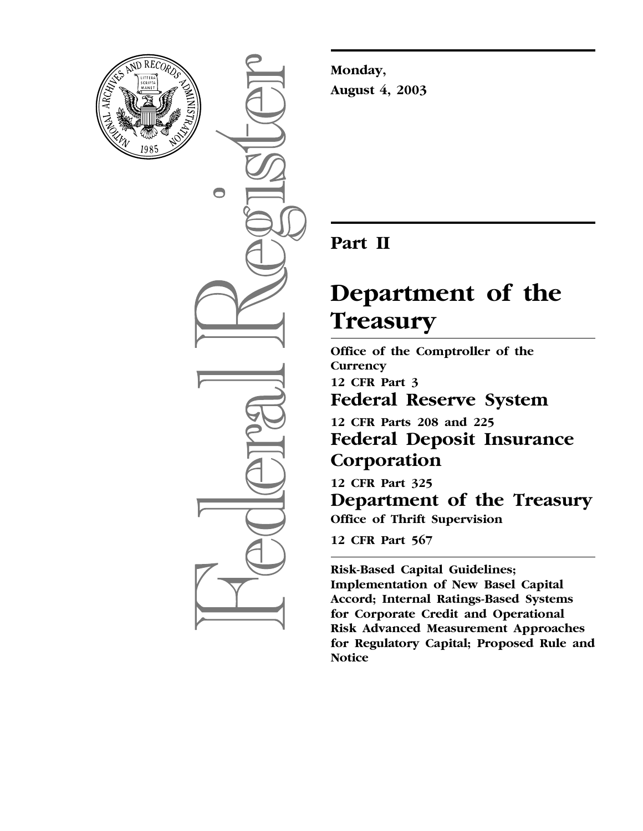

 $\bigcirc$ 

**Monday, August 4, 2003**

# **Part II**

# **Department of the Treasury**

**Office of the Comptroller of the Currency 12 CFR Part 3 Federal Reserve System** 

**12 CFR Parts 208 and 225 Federal Deposit Insurance Corporation** 

**12 CFR Part 325 Department of the Treasury Office of Thrift Supervision** 

**12 CFR Part 567**

**Risk-Based Capital Guidelines; Implementation of New Basel Capital Accord; Internal Ratings-Based Systems for Corporate Credit and Operational Risk Advanced Measurement Approaches for Regulatory Capital; Proposed Rule and Notice**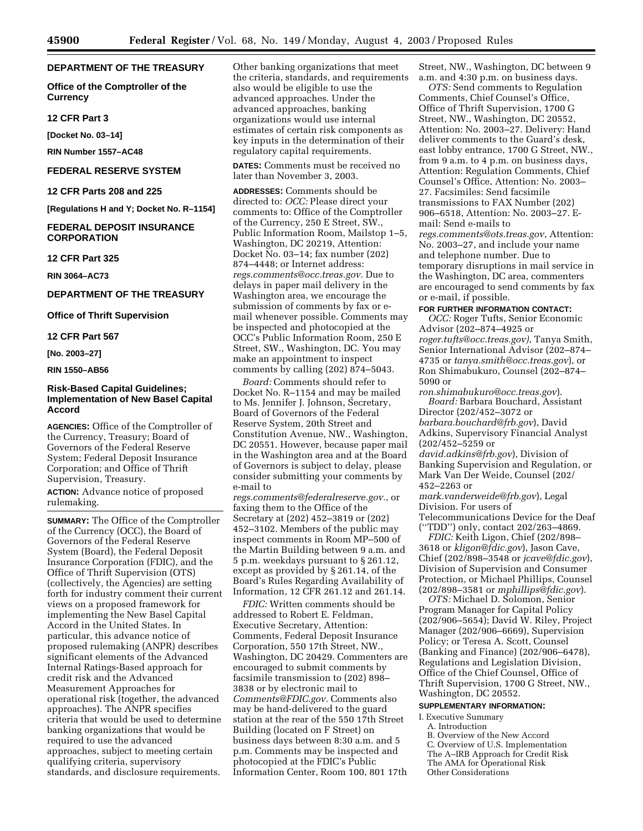#### **DEPARTMENT OF THE TREASURY**

**Office of the Comptroller of the Currency** 

#### **12 CFR Part 3**

**[Docket No. 03–14]** 

**RIN Number 1557–AC48**

#### **FEDERAL RESERVE SYSTEM**

**12 CFR Parts 208 and 225**

**[Regulations H and Y; Docket No. R–1154]** 

#### **FEDERAL DEPOSIT INSURANCE CORPORATION**

#### **12 CFR Part 325**

**RIN 3064–AC73**

# **DEPARTMENT OF THE TREASURY**

#### **Office of Thrift Supervision**

**12 CFR Part 567**

#### **[No. 2003–27]**

#### **RIN 1550–AB56**

# **Risk-Based Capital Guidelines; Implementation of New Basel Capital Accord**

**AGENCIES:** Office of the Comptroller of the Currency, Treasury; Board of Governors of the Federal Reserve System; Federal Deposit Insurance Corporation; and Office of Thrift Supervision, Treasury.

**ACTION:** Advance notice of proposed rulemaking.

**SUMMARY:** The Office of the Comptroller of the Currency (OCC), the Board of Governors of the Federal Reserve System (Board), the Federal Deposit Insurance Corporation (FDIC), and the Office of Thrift Supervision (OTS) (collectively, the Agencies) are setting forth for industry comment their current views on a proposed framework for implementing the New Basel Capital Accord in the United States. In particular, this advance notice of proposed rulemaking (ANPR) describes significant elements of the Advanced Internal Ratings-Based approach for credit risk and the Advanced Measurement Approaches for operational risk (together, the advanced approaches). The ANPR specifies criteria that would be used to determine banking organizations that would be required to use the advanced approaches, subject to meeting certain qualifying criteria, supervisory standards, and disclosure requirements.

Other banking organizations that meet the criteria, standards, and requirements also would be eligible to use the advanced approaches. Under the advanced approaches, banking organizations would use internal estimates of certain risk components as key inputs in the determination of their regulatory capital requirements.

**DATES:** Comments must be received no later than November 3, 2003.

**ADDRESSES:** Comments should be directed to: *OCC:* Please direct your comments to: Office of the Comptroller of the Currency, 250 E Street, SW., Public Information Room, Mailstop 1–5, Washington, DC 20219, Attention: Docket No. 03–14; fax number (202) 874–4448; or Internet address: *[regs.comments@occ.treas.gov.](mailto:regs.comments@occ.treas.gov)* Due to delays in paper mail delivery in the Washington area, we encourage the submission of comments by fax or email whenever possible. Comments may be inspected and photocopied at the OCC's Public Information Room, 250 E Street, SW., Washington, DC. You may make an appointment to inspect comments by calling (202) 874–5043.

*Board:* Comments should refer to Docket No. R–1154 and may be mailed to Ms. Jennifer J. Johnson, Secretary, Board of Governors of the Federal Reserve System, 20th Street and Constitution Avenue, NW., Washington, DC 20551. However, because paper mail in the Washington area and at the Board of Governors is subject to delay, please consider submitting your comments by e-mail to

*[regs.comments@federalreserve.gov.](mailto:regs.comments@federalreserve.gov)*, or faxing them to the Office of the Secretary at (202) 452–3819 or (202) 452–3102. Members of the public may inspect comments in Room MP–500 of the Martin Building between 9 a.m. and 5 p.m. weekdays pursuant to § 261.12, except as provided by § 261.14, of the Board's Rules Regarding Availability of Information, 12 CFR 261.12 and 261.14.

*FDIC:* Written comments should be addressed to Robert E. Feldman, Executive Secretary, Attention: Comments, Federal Deposit Insurance Corporation, 550 17th Street, NW., Washington, DC 20429. Commenters are encouraged to submit comments by facsimile transmission to (202) 898– 3838 or by electronic mail to *[Comments@FDIC.gov.](mailto:Comments@FDIC.gov)* Comments also may be hand-delivered to the guard station at the rear of the 550 17th Street Building (located on F Street) on business days between 8:30 a.m. and 5 p.m. Comments may be inspected and photocopied at the FDIC's Public Information Center, Room 100, 801 17th

Street, NW., Washington, DC between 9 a.m. and 4:30 p.m. on business days.

*OTS:* Send comments to Regulation Comments, Chief Counsel's Office, Office of Thrift Supervision, 1700 G Street, NW., Washington, DC 20552, Attention: No. 2003–27. Delivery: Hand deliver comments to the Guard's desk, east lobby entrance, 1700 G Street, NW., from 9 a.m. to 4 p.m. on business days, Attention: Regulation Comments, Chief Counsel's Office, Attention: No. 2003– 27. Facsimiles: Send facsimile transmissions to FAX Number (202) 906–6518, Attention: No. 2003–27. Email: Send e-mails to *[regs.comments@ots.treas.gov](mailto:regs.comments@occ.treas.gov)*, Attention: No. 2003–27, and include your name and telephone number. Due to temporary disruptions in mail service in the Washington, DC area, commenters are encouraged to send comments by fax or e-mail, if possible.

#### **FOR FURTHER INFORMATION CONTACT:**

*OCC:* Roger Tufts, Senior Economic Advisor (202–874–4925 or *[roger.tufts@occ.treas.gov\)](mailto:roger.tufts@occ.treas.gov)*, Tanya Smith, Senior International Advisor (202–874– 4735 or *[tanya.smith@occ.treas.gov](mailto:tanya.smith@occ.treas.gov)*), or Ron Shimabukuro, Counsel (202–874– 5090 or

*[ron.shimabukuro@occ.treas.gov](mailto:ron.shimabukuro@occ.treas.gov)*). *Board:* Barbara Bouchard, Assistant Director (202/452–3072 or *[barbara.bouchard@frb.gov](mailto:barbara.bouchard@frb.gov)*), David Adkins, Supervisory Financial Analyst (202/452–5259 or

*[david.adkins@frb.gov](mailto:david.adkins@frb.gov)*), Division of Banking Supervision and Regulation, or Mark Van Der Weide, Counsel (202/ 452–2263 or

*[mark.vanderweide@frb.gov](mailto:mark.vanderweide@frb.gov)*), Legal Division. For users of Telecommunications Device for the Deaf (''TDD'') only, contact 202/263–4869.

*FDIC:* Keith Ligon, Chief (202/898– 3618 or *[kligon@fdic.gov](mailto:kligon@fdic.gov)*), Jason Cave, Chief (202/898–3548 or *[jcave@fdic.gov](mailto:jcave@fdic.gov)*), Division of Supervision and Consumer Protection, or Michael Phillips, Counsel (202/898–3581 or *[mphillips@fdic.gov](mailto:mphillips@fdic.gov)*).

*OTS:* Michael D. Solomon, Senior Program Manager for Capital Policy (202/906–5654); David W. Riley, Project Manager (202/906–6669), Supervision Policy; or Teresa A. Scott, Counsel (Banking and Finance) (202/906–6478), Regulations and Legislation Division, Office of the Chief Counsel, Office of Thrift Supervision, 1700 G Street, NW., Washington, DC 20552.

#### **SUPPLEMENTARY INFORMATION:**

- I. Executive Summary
	- A. Introduction
	- B. Overview of the New Accord C. Overview of U.S. Implementation The A–IRB Approach for Credit Risk The AMA for Operational Risk Other Considerations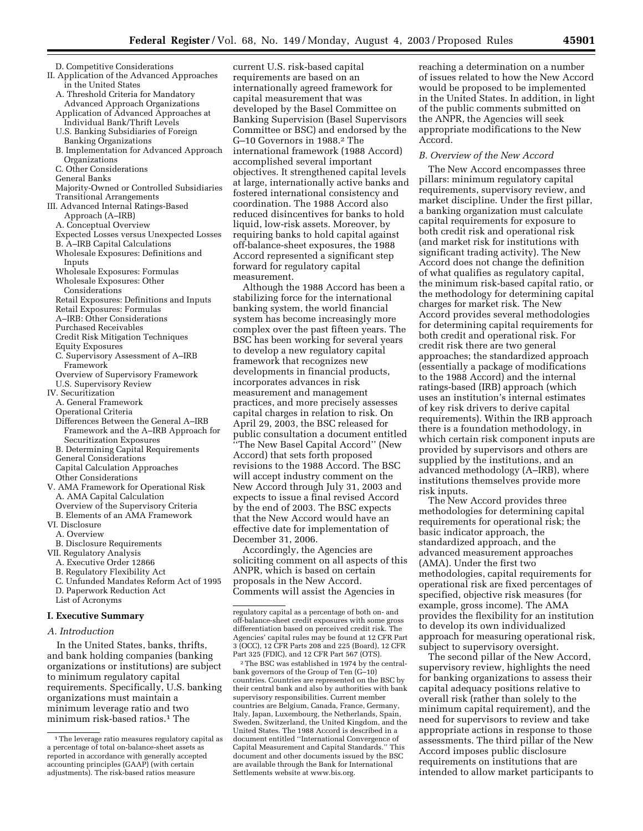- D. Competitive Considerations II. Application of the Advanced Approaches
	- in the United States A. Threshold Criteria for Mandatory Advanced Approach Organizations
	- Application of Advanced Approaches at Individual Bank/Thrift Levels
	- U.S. Banking Subsidiaries of Foreign Banking Organizations
	- B. Implementation for Advanced Approach Organizations
	- C. Other Considerations
	- General Banks
	- Majority-Owned or Controlled Subsidiaries Transitional Arrangements
- III. Advanced Internal Ratings-Based
	- Approach (A–IRB)
	- A. Conceptual Overview
	- Expected Losses versus Unexpected Losses
	- B. A–IRB Capital Calculations
	- Wholesale Exposures: Definitions and Inputs
	- Wholesale Exposures: Formulas Wholesale Exposures: Other
	- Considerations
	- Retail Exposures: Definitions and Inputs
	- Retail Exposures: Formulas
	- A–IRB: Other Considerations
	- Purchased Receivables
	- Credit Risk Mitigation Techniques
	- Equity Exposures
	- C. Supervisory Assessment of A–IRB Framework
	- Overview of Supervisory Framework U.S. Supervisory Review
- IV. Securitization
	- A. General Framework
	- Operational Criteria
	- Differences Between the General A–IRB Framework and the A–IRB Approach for Securitization Exposures
	- B. Determining Capital Requirements General Considerations
- Capital Calculation Approaches
- Other Considerations
- V. AMA Framework for Operational Risk A. AMA Capital Calculation Overview of the Supervisory Criteria
	- B. Elements of an AMA Framework
- VI. Disclosure
- A. Overview
- B. Disclosure Requirements
- VII. Regulatory Analysis
	- A. Executive Order 12866
	- B. Regulatory Flexibility Act
	- C. Unfunded Mandates Reform Act of 1995 D. Paperwork Reduction Act List of Acronyms
	-

# **I. Executive Summary**

*A. Introduction*

In the United States, banks, thrifts, and bank holding companies (banking organizations or institutions) are subject to minimum regulatory capital requirements. Specifically, U.S. banking organizations must maintain a minimum leverage ratio and two minimum risk-based ratios.1 The

current U.S. risk-based capital requirements are based on an internationally agreed framework for capital measurement that was developed by the Basel Committee on Banking Supervision (Basel Supervisors Committee or BSC) and endorsed by the G–10 Governors in 1988.2 The international framework (1988 Accord) accomplished several important objectives. It strengthened capital levels at large, internationally active banks and fostered international consistency and coordination. The 1988 Accord also reduced disincentives for banks to hold liquid, low-risk assets. Moreover, by requiring banks to hold capital against off-balance-sheet exposures, the 1988 Accord represented a significant step forward for regulatory capital measurement.

Although the 1988 Accord has been a stabilizing force for the international banking system, the world financial system has become increasingly more complex over the past fifteen years. The BSC has been working for several years to develop a new regulatory capital framework that recognizes new developments in financial products, incorporates advances in risk measurement and management practices, and more precisely assesses capital charges in relation to risk. On April 29, 2003, the BSC released for public consultation a document entitled ''The New Basel Capital Accord'' (New Accord) that sets forth proposed revisions to the 1988 Accord. The BSC will accept industry comment on the New Accord through July 31, 2003 and expects to issue a final revised Accord by the end of 2003. The BSC expects that the New Accord would have an effective date for implementation of December 31, 2006.

Accordingly, the Agencies are soliciting comment on all aspects of this ANPR, which is based on certain proposals in the New Accord. Comments will assist the Agencies in

2The BSC was established in 1974 by the centralbank governors of the Group of Ten (G–10) countries. Countries are represented on the BSC by their central bank and also by authorities with bank supervisory responsibilities. Current member countries are Belgium, Canada, France, Germany, Italy, Japan, Luxembourg, the Netherlands, Spain, Sweden, Switzerland, the United Kingdom, and the United States. The 1988 Accord is described in a document entitled ''International Convergence of Capital Measurement and Capital Standards.'' This document and other documents issued by the BSC are available through the Bank for International Settlement[s website at www.bis.org.](http://www.bis.org)

reaching a determination on a number of issues related to how the New Accord would be proposed to be implemented in the United States. In addition, in light of the public comments submitted on the ANPR, the Agencies will seek appropriate modifications to the New Accord.

#### *B. Overview of the New Accord*

The New Accord encompasses three pillars: minimum regulatory capital requirements, supervisory review, and market discipline. Under the first pillar, a banking organization must calculate capital requirements for exposure to both credit risk and operational risk (and market risk for institutions with significant trading activity). The New Accord does not change the definition of what qualifies as regulatory capital, the minimum risk-based capital ratio, or the methodology for determining capital charges for market risk. The New Accord provides several methodologies for determining capital requirements for both credit and operational risk. For credit risk there are two general approaches; the standardized approach (essentially a package of modifications to the 1988 Accord) and the internal ratings-based (IRB) approach (which uses an institution's internal estimates of key risk drivers to derive capital requirements). Within the IRB approach there is a foundation methodology, in which certain risk component inputs are provided by supervisors and others are supplied by the institutions, and an advanced methodology (A–IRB), where institutions themselves provide more risk inputs.

The New Accord provides three methodologies for determining capital requirements for operational risk; the basic indicator approach, the standardized approach, and the advanced measurement approaches (AMA). Under the first two methodologies, capital requirements for operational risk are fixed percentages of specified, objective risk measures (for example, gross income). The AMA provides the flexibility for an institution to develop its own individualized approach for measuring operational risk, subject to supervisory oversight.

The second pillar of the New Accord, supervisory review, highlights the need for banking organizations to assess their capital adequacy positions relative to overall risk (rather than solely to the minimum capital requirement), and the need for supervisors to review and take appropriate actions in response to those assessments. The third pillar of the New Accord imposes public disclosure requirements on institutions that are intended to allow market participants to

<sup>&</sup>lt;sup>1</sup>The leverage ratio measures regulatory capital as a percentage of total on-balance-sheet assets as reported in accordance with generally accepted accounting principles (GAAP) (with certain adjustments). The risk-based ratios measure

regulatory capital as a percentage of both on- and off-balance-sheet credit exposures with some gross differentiation based on perceived credit risk. The Agencies' capital rules may be found at 12 CFR Part 3 (OCC), 12 CFR Parts 208 and 225 (Board), 12 CFR Part 325 (FDIC), and 12 CFR Part 567 (OTS).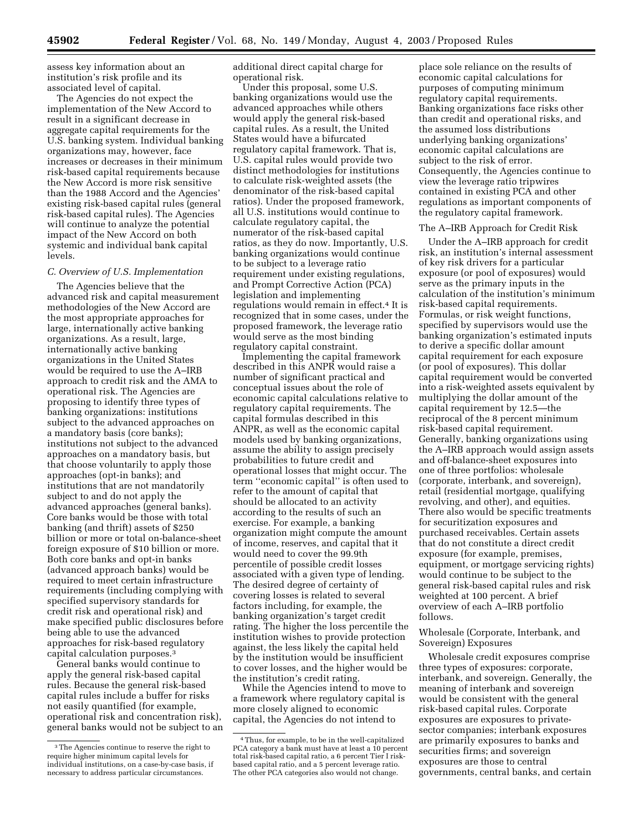assess key information about an institution's risk profile and its associated level of capital.

The Agencies do not expect the implementation of the New Accord to result in a significant decrease in aggregate capital requirements for the U.S. banking system. Individual banking organizations may, however, face increases or decreases in their minimum risk-based capital requirements because the New Accord is more risk sensitive than the 1988 Accord and the Agencies' existing risk-based capital rules (general risk-based capital rules). The Agencies will continue to analyze the potential impact of the New Accord on both systemic and individual bank capital levels.

#### *C. Overview of U.S. Implementation*

The Agencies believe that the advanced risk and capital measurement methodologies of the New Accord are the most appropriate approaches for large, internationally active banking organizations. As a result, large, internationally active banking organizations in the United States would be required to use the A–IRB approach to credit risk and the AMA to operational risk. The Agencies are proposing to identify three types of banking organizations: institutions subject to the advanced approaches on a mandatory basis (core banks); institutions not subject to the advanced approaches on a mandatory basis, but that choose voluntarily to apply those approaches (opt-in banks); and institutions that are not mandatorily subject to and do not apply the advanced approaches (general banks). Core banks would be those with total banking (and thrift) assets of \$250 billion or more or total on-balance-sheet foreign exposure of \$10 billion or more. Both core banks and opt-in banks (advanced approach banks) would be required to meet certain infrastructure requirements (including complying with specified supervisory standards for credit risk and operational risk) and make specified public disclosures before being able to use the advanced approaches for risk-based regulatory capital calculation purposes.3

General banks would continue to apply the general risk-based capital rules. Because the general risk-based capital rules include a buffer for risks not easily quantified (for example, operational risk and concentration risk), general banks would not be subject to an additional direct capital charge for operational risk.

Under this proposal, some U.S. banking organizations would use the advanced approaches while others would apply the general risk-based capital rules. As a result, the United States would have a bifurcated regulatory capital framework. That is, U.S. capital rules would provide two distinct methodologies for institutions to calculate risk-weighted assets (the denominator of the risk-based capital ratios). Under the proposed framework, all U.S. institutions would continue to calculate regulatory capital, the numerator of the risk-based capital ratios, as they do now. Importantly, U.S. banking organizations would continue to be subject to a leverage ratio requirement under existing regulations, and Prompt Corrective Action (PCA) legislation and implementing regulations would remain in effect.4 It is recognized that in some cases, under the proposed framework, the leverage ratio would serve as the most binding regulatory capital constraint.

Implementing the capital framework described in this ANPR would raise a number of significant practical and conceptual issues about the role of economic capital calculations relative to regulatory capital requirements. The capital formulas described in this ANPR, as well as the economic capital models used by banking organizations, assume the ability to assign precisely probabilities to future credit and operational losses that might occur. The term ''economic capital'' is often used to refer to the amount of capital that should be allocated to an activity according to the results of such an exercise. For example, a banking organization might compute the amount of income, reserves, and capital that it would need to cover the 99.9th percentile of possible credit losses associated with a given type of lending. The desired degree of certainty of covering losses is related to several factors including, for example, the banking organization's target credit rating. The higher the loss percentile the institution wishes to provide protection against, the less likely the capital held by the institution would be insufficient to cover losses, and the higher would be the institution's credit rating.

While the Agencies intend to move to a framework where regulatory capital is more closely aligned to economic capital, the Agencies do not intend to

place sole reliance on the results of economic capital calculations for purposes of computing minimum regulatory capital requirements. Banking organizations face risks other than credit and operational risks, and the assumed loss distributions underlying banking organizations' economic capital calculations are subject to the risk of error. Consequently, the Agencies continue to view the leverage ratio tripwires contained in existing PCA and other regulations as important components of the regulatory capital framework.

#### The A–IRB Approach for Credit Risk

Under the A–IRB approach for credit risk, an institution's internal assessment of key risk drivers for a particular exposure (or pool of exposures) would serve as the primary inputs in the calculation of the institution's minimum risk-based capital requirements. Formulas, or risk weight functions, specified by supervisors would use the banking organization's estimated inputs to derive a specific dollar amount capital requirement for each exposure (or pool of exposures). This dollar capital requirement would be converted into a risk-weighted assets equivalent by multiplying the dollar amount of the capital requirement by 12.5—the reciprocal of the 8 percent minimum risk-based capital requirement. Generally, banking organizations using the A–IRB approach would assign assets and off-balance-sheet exposures into one of three portfolios: wholesale (corporate, interbank, and sovereign), retail (residential mortgage, qualifying revolving, and other), and equities. There also would be specific treatments for securitization exposures and purchased receivables. Certain assets that do not constitute a direct credit exposure (for example, premises, equipment, or mortgage servicing rights) would continue to be subject to the general risk-based capital rules and risk weighted at 100 percent. A brief overview of each A–IRB portfolio follows.

Wholesale (Corporate, Interbank, and Sovereign) Exposures

Wholesale credit exposures comprise three types of exposures: corporate, interbank, and sovereign. Generally, the meaning of interbank and sovereign would be consistent with the general risk-based capital rules. Corporate exposures are exposures to privatesector companies; interbank exposures are primarily exposures to banks and securities firms; and sovereign exposures are those to central governments, central banks, and certain

<sup>3</sup>The Agencies continue to reserve the right to require higher minimum capital levels for individual institutions, on a case-by-case basis, if necessary to address particular circumstances.

<sup>4</sup>Thus, for example, to be in the well-capitalized PCA category a bank must have at least a 10 percent total risk-based capital ratio, a 6 percent Tier I riskbased capital ratio, and a 5 percent leverage ratio. The other PCA categories also would not change.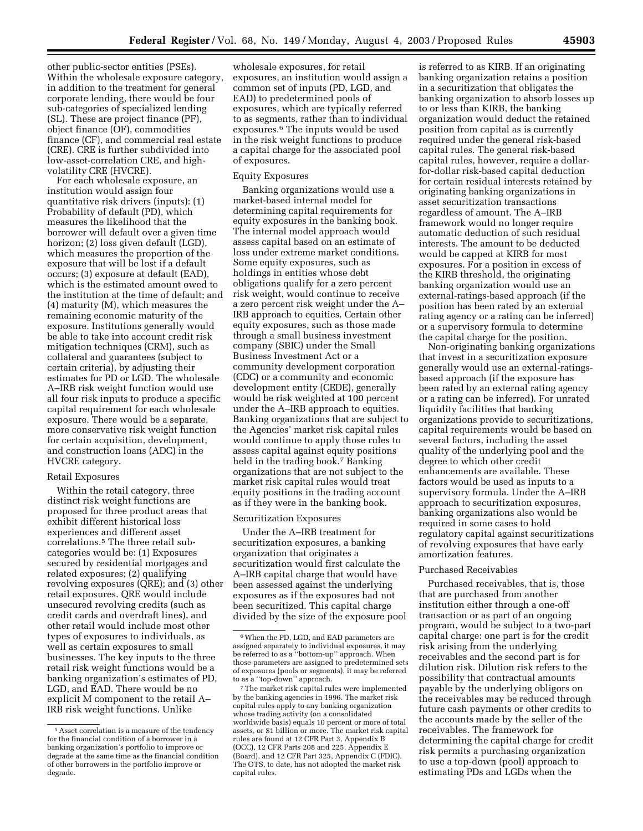other public-sector entities (PSEs). Within the wholesale exposure category, in addition to the treatment for general corporate lending, there would be four sub-categories of specialized lending (SL). These are project finance (PF), object finance (OF), commodities finance (CF), and commercial real estate (CRE). CRE is further subdivided into low-asset-correlation CRE, and highvolatility CRE (HVCRE).

For each wholesale exposure, an institution would assign four quantitative risk drivers (inputs): (1) Probability of default (PD), which measures the likelihood that the borrower will default over a given time horizon; (2) loss given default (LGD), which measures the proportion of the exposure that will be lost if a default occurs; (3) exposure at default (EAD), which is the estimated amount owed to the institution at the time of default; and (4) maturity (M), which measures the remaining economic maturity of the exposure. Institutions generally would be able to take into account credit risk mitigation techniques (CRM), such as collateral and guarantees (subject to certain criteria), by adjusting their estimates for PD or LGD. The wholesale A–IRB risk weight function would use all four risk inputs to produce a specific capital requirement for each wholesale exposure. There would be a separate, more conservative risk weight function for certain acquisition, development, and construction loans (ADC) in the HVCRE category.

# Retail Exposures

Within the retail category, three distinct risk weight functions are proposed for three product areas that exhibit different historical loss experiences and different asset correlations.5 The three retail subcategories would be: (1) Exposures secured by residential mortgages and related exposures; (2) qualifying revolving exposures (QRE); and (3) other retail exposures. QRE would include unsecured revolving credits (such as credit cards and overdraft lines), and other retail would include most other types of exposures to individuals, as well as certain exposures to small businesses. The key inputs to the three retail risk weight functions would be a banking organization's estimates of PD, LGD, and EAD. There would be no explicit M component to the retail A– IRB risk weight functions. Unlike

wholesale exposures, for retail exposures, an institution would assign a common set of inputs (PD, LGD, and EAD) to predetermined pools of exposures, which are typically referred to as segments, rather than to individual exposures.6 The inputs would be used in the risk weight functions to produce a capital charge for the associated pool of exposures.

#### Equity Exposures

Banking organizations would use a market-based internal model for determining capital requirements for equity exposures in the banking book. The internal model approach would assess capital based on an estimate of loss under extreme market conditions. Some equity exposures, such as holdings in entities whose debt obligations qualify for a zero percent risk weight, would continue to receive a zero percent risk weight under the A– IRB approach to equities. Certain other equity exposures, such as those made through a small business investment company (SBIC) under the Small Business Investment Act or a community development corporation (CDC) or a community and economic development entity (CEDE), generally would be risk weighted at 100 percent under the A–IRB approach to equities. Banking organizations that are subject to the Agencies' market risk capital rules would continue to apply those rules to assess capital against equity positions held in the trading book.<sup>7</sup> Banking organizations that are not subject to the market risk capital rules would treat equity positions in the trading account as if they were in the banking book.

#### Securitization Exposures

Under the A–IRB treatment for securitization exposures, a banking organization that originates a securitization would first calculate the A–IRB capital charge that would have been assessed against the underlying exposures as if the exposures had not been securitized. This capital charge divided by the size of the exposure pool

is referred to as KIRB. If an originating banking organization retains a position in a securitization that obligates the banking organization to absorb losses up to or less than KIRB, the banking organization would deduct the retained position from capital as is currently required under the general risk-based capital rules. The general risk-based capital rules, however, require a dollarfor-dollar risk-based capital deduction for certain residual interests retained by originating banking organizations in asset securitization transactions regardless of amount. The A–IRB framework would no longer require automatic deduction of such residual interests. The amount to be deducted would be capped at KIRB for most exposures. For a position in excess of the KIRB threshold, the originating banking organization would use an external-ratings-based approach (if the position has been rated by an external rating agency or a rating can be inferred) or a supervisory formula to determine the capital charge for the position.

Non-originating banking organizations that invest in a securitization exposure generally would use an external-ratingsbased approach (if the exposure has been rated by an external rating agency or a rating can be inferred). For unrated liquidity facilities that banking organizations provide to securitizations, capital requirements would be based on several factors, including the asset quality of the underlying pool and the degree to which other credit enhancements are available. These factors would be used as inputs to a supervisory formula. Under the A–IRB approach to securitization exposures, banking organizations also would be required in some cases to hold regulatory capital against securitizations of revolving exposures that have early amortization features.

#### Purchased Receivables

Purchased receivables, that is, those that are purchased from another institution either through a one-off transaction or as part of an ongoing program, would be subject to a two-part capital charge: one part is for the credit risk arising from the underlying receivables and the second part is for dilution risk. Dilution risk refers to the possibility that contractual amounts payable by the underlying obligors on the receivables may be reduced through future cash payments or other credits to the accounts made by the seller of the receivables. The framework for determining the capital charge for credit risk permits a purchasing organization to use a top-down (pool) approach to estimating PDs and LGDs when the

<sup>5</sup>Asset correlation is a measure of the tendency for the financial condition of a borrower in a banking organization's portfolio to improve or degrade at the same time as the financial condition of other borrowers in the portfolio improve or degrade.

<sup>6</sup>When the PD, LGD, and EAD parameters are assigned separately to individual exposures, it may be referred to as a ''bottom-up'' approach. When those parameters are assigned to predetermined sets of exposures (pools or segments), it may be referred to as a ''top-down'' approach.

<sup>7</sup>The market risk capital rules were implemented by the banking agencies in 1996. The market risk capital rules apply to any banking organization whose trading activity (on a consolidated worldwide basis) equals 10 percent or more of total assets, or \$1 billion or more. The market risk capital rules are found at 12 CFR Part 3, Appendix B (OCC), 12 CFR Parts 208 and 225, Appendix E (Board), and 12 CFR Part 325, Appendix C (FDIC). The OTS, to date, has not adopted the market risk capital rules.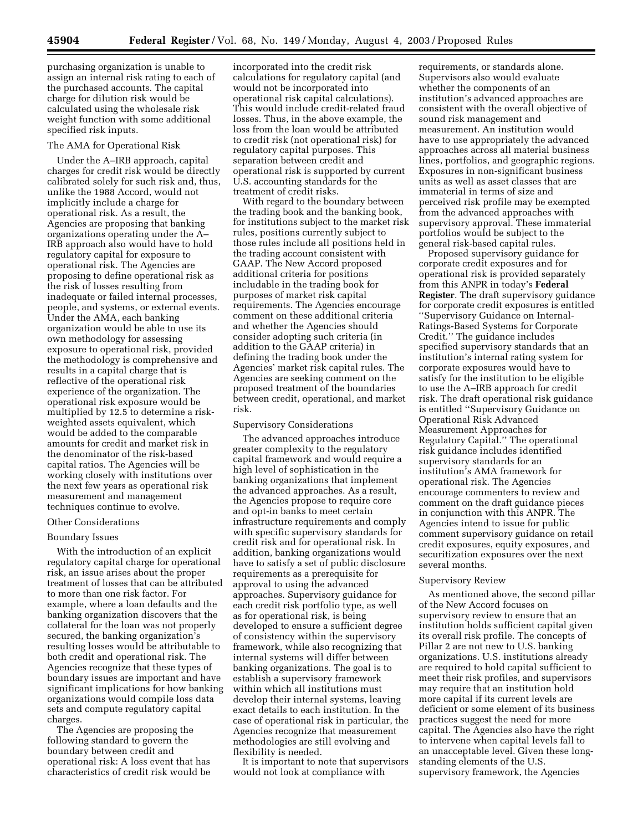purchasing organization is unable to assign an internal risk rating to each of the purchased accounts. The capital charge for dilution risk would be calculated using the wholesale risk weight function with some additional specified risk inputs.

#### The AMA for Operational Risk

Under the A–IRB approach, capital charges for credit risk would be directly calibrated solely for such risk and, thus, unlike the 1988 Accord, would not implicitly include a charge for operational risk. As a result, the Agencies are proposing that banking organizations operating under the A– IRB approach also would have to hold regulatory capital for exposure to operational risk. The Agencies are proposing to define operational risk as the risk of losses resulting from inadequate or failed internal processes, people, and systems, or external events. Under the AMA, each banking organization would be able to use its own methodology for assessing exposure to operational risk, provided the methodology is comprehensive and results in a capital charge that is reflective of the operational risk experience of the organization. The operational risk exposure would be multiplied by 12.5 to determine a riskweighted assets equivalent, which would be added to the comparable amounts for credit and market risk in the denominator of the risk-based capital ratios. The Agencies will be working closely with institutions over the next few years as operational risk measurement and management techniques continue to evolve.

#### Other Considerations

#### Boundary Issues

With the introduction of an explicit regulatory capital charge for operational risk, an issue arises about the proper treatment of losses that can be attributed to more than one risk factor. For example, where a loan defaults and the banking organization discovers that the collateral for the loan was not properly secured, the banking organization's resulting losses would be attributable to both credit and operational risk. The Agencies recognize that these types of boundary issues are important and have significant implications for how banking organizations would compile loss data sets and compute regulatory capital charges.

The Agencies are proposing the following standard to govern the boundary between credit and operational risk: A loss event that has characteristics of credit risk would be

incorporated into the credit risk calculations for regulatory capital (and would not be incorporated into operational risk capital calculations). This would include credit-related fraud losses. Thus, in the above example, the loss from the loan would be attributed to credit risk (not operational risk) for regulatory capital purposes. This separation between credit and operational risk is supported by current U.S. accounting standards for the treatment of credit risks.

With regard to the boundary between the trading book and the banking book, for institutions subject to the market risk rules, positions currently subject to those rules include all positions held in the trading account consistent with GAAP. The New Accord proposed additional criteria for positions includable in the trading book for purposes of market risk capital requirements. The Agencies encourage comment on these additional criteria and whether the Agencies should consider adopting such criteria (in addition to the GAAP criteria) in defining the trading book under the Agencies' market risk capital rules. The Agencies are seeking comment on the proposed treatment of the boundaries between credit, operational, and market risk.

#### Supervisory Considerations

The advanced approaches introduce greater complexity to the regulatory capital framework and would require a high level of sophistication in the banking organizations that implement the advanced approaches. As a result, the Agencies propose to require core and opt-in banks to meet certain infrastructure requirements and comply with specific supervisory standards for credit risk and for operational risk. In addition, banking organizations would have to satisfy a set of public disclosure requirements as a prerequisite for approval to using the advanced approaches. Supervisory guidance for each credit risk portfolio type, as well as for operational risk, is being developed to ensure a sufficient degree of consistency within the supervisory framework, while also recognizing that internal systems will differ between banking organizations. The goal is to establish a supervisory framework within which all institutions must develop their internal systems, leaving exact details to each institution. In the case of operational risk in particular, the Agencies recognize that measurement methodologies are still evolving and flexibility is needed.

It is important to note that supervisors would not look at compliance with

requirements, or standards alone. Supervisors also would evaluate whether the components of an institution's advanced approaches are consistent with the overall objective of sound risk management and measurement. An institution would have to use appropriately the advanced approaches across all material business lines, portfolios, and geographic regions. Exposures in non-significant business units as well as asset classes that are immaterial in terms of size and perceived risk profile may be exempted from the advanced approaches with supervisory approval. These immaterial portfolios would be subject to the general risk-based capital rules.

Proposed supervisory guidance for corporate credit exposures and for operational risk is provided separately from this ANPR in today's **Federal Register**. The draft supervisory guidance for corporate credit exposures is entitled ''Supervisory Guidance on Internal-Ratings-Based Systems for Corporate Credit.'' The guidance includes specified supervisory standards that an institution's internal rating system for corporate exposures would have to satisfy for the institution to be eligible to use the A–IRB approach for credit risk. The draft operational risk guidance is entitled ''Supervisory Guidance on Operational Risk Advanced Measurement Approaches for Regulatory Capital.'' The operational risk guidance includes identified supervisory standards for an institution's AMA framework for operational risk. The Agencies encourage commenters to review and comment on the draft guidance pieces in conjunction with this ANPR. The Agencies intend to issue for public comment supervisory guidance on retail credit exposures, equity exposures, and securitization exposures over the next several months.

#### Supervisory Review

As mentioned above, the second pillar of the New Accord focuses on supervisory review to ensure that an institution holds sufficient capital given its overall risk profile. The concepts of Pillar 2 are not new to U.S. banking organizations. U.S. institutions already are required to hold capital sufficient to meet their risk profiles, and supervisors may require that an institution hold more capital if its current levels are deficient or some element of its business practices suggest the need for more capital. The Agencies also have the right to intervene when capital levels fall to an unacceptable level. Given these longstanding elements of the U.S. supervisory framework, the Agencies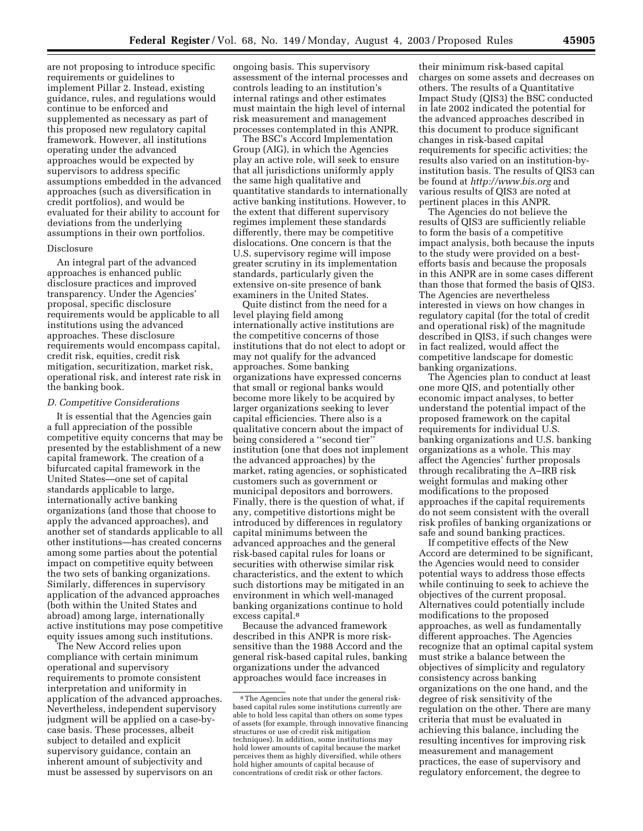are not proposing to introduce specific requirements or guidelines to implement Pillar 2. Instead, existing guidance, rules, and regulations would continue to be enforced and supplemented as necessary as part of this proposed new regulatory capital framework. However, all institutions operating under the advanced approaches would be expected by supervisors to address specific assumptions embedded in the advanced approaches (such as diversification in credit portfolios), and would be evaluated for their ability to account for deviations from the underlying assumptions in their own portfolios.

#### Disclosure

An integral part of the advanced approaches is enhanced public disclosure practices and improved transparency. Under the Agencies' proposal, specific disclosure requirements would be applicable to all institutions using the advanced approaches. These disclosure requirements would encompass capital, credit risk, equities, credit risk mitigation, securitization, market risk, operational risk, and interest rate risk in the banking book.

#### *D. Competitive Considerations*

It is essential that the Agencies gain a full appreciation of the possible competitive equity concerns that may be presented by the establishment of a new capital framework. The creation of a bifurcated capital framework in the United States—one set of capital standards applicable to large, internationally active banking organizations (and those that choose to apply the advanced approaches), and another set of standards applicable to all other institutions—has created concerns among some parties about the potential impact on competitive equity between the two sets of banking organizations. Similarly, differences in supervisory application of the advanced approaches (both within the United States and abroad) among large, internationally active institutions may pose competitive equity issues among such institutions.

The New Accord relies upon compliance with certain minimum operational and supervisory requirements to promote consistent interpretation and uniformity in application of the advanced approaches. Nevertheless, independent supervisory judgment will be applied on a case-bycase basis. These processes, albeit subject to detailed and explicit supervisory guidance, contain an inherent amount of subjectivity and must be assessed by supervisors on an

ongoing basis. This supervisory assessment of the internal processes and controls leading to an institution's internal ratings and other estimates must maintain the high level of internal risk measurement and management processes contemplated in this ANPR.

The BSC's Accord Implementation Group (AIG), in which the Agencies play an active role, will seek to ensure that all jurisdictions uniformly apply the same high qualitative and quantitative standards to internationally active banking institutions. However, to the extent that different supervisory regimes implement these standards differently, there may be competitive dislocations. One concern is that the U.S. supervisory regime will impose greater scrutiny in its implementation standards, particularly given the extensive on-site presence of bank examiners in the United States.

Quite distinct from the need for a level playing field among internationally active institutions are the competitive concerns of those institutions that do not elect to adopt or may not qualify for the advanced approaches. Some banking organizations have expressed concerns that small or regional banks would become more likely to be acquired by larger organizations seeking to lever capital efficiencies. There also is a qualitative concern about the impact of being considered a ''second tier'' institution (one that does not implement the advanced approaches) by the market, rating agencies, or sophisticated customers such as government or municipal depositors and borrowers. Finally, there is the question of what, if any, competitive distortions might be introduced by differences in regulatory capital minimums between the advanced approaches and the general risk-based capital rules for loans or securities with otherwise similar risk characteristics, and the extent to which such distortions may be mitigated in an environment in which well-managed banking organizations continue to hold excess capital.8

Because the advanced framework described in this ANPR is more risksensitive than the 1988 Accord and the general risk-based capital rules, banking organizations under the advanced approaches would face increases in

their minimum risk-based capital charges on some assets and decreases on others. The results of a Quantitative Impact Study (QIS3) the BSC conducted in late 2002 indicated the potential for the advanced approaches described in this document to produce significant changes in risk-based capital requirements for specific activities; the results also varied on an institution-byinstitution basis. The results of QIS3 can be found at *<http://www.bis.org>*and various results of QIS3 are noted at pertinent places in this ANPR.

The Agencies do not believe the results of QIS3 are sufficiently reliable to form the basis of a competitive impact analysis, both because the inputs to the study were provided on a bestefforts basis and because the proposals in this ANPR are in some cases different than those that formed the basis of QIS3. The Agencies are nevertheless interested in views on how changes in regulatory capital (for the total of credit and operational risk) of the magnitude described in QIS3, if such changes were in fact realized, would affect the competitive landscape for domestic banking organizations.

The Agencies plan to conduct at least one more QIS, and potentially other economic impact analyses, to better understand the potential impact of the proposed framework on the capital requirements for individual U.S. banking organizations and U.S. banking organizations as a whole. This may affect the Agencies' further proposals through recalibrating the A–IRB risk weight formulas and making other modifications to the proposed approaches if the capital requirements do not seem consistent with the overall risk profiles of banking organizations or safe and sound banking practices.

If competitive effects of the New Accord are determined to be significant, the Agencies would need to consider potential ways to address those effects while continuing to seek to achieve the objectives of the current proposal. Alternatives could potentially include modifications to the proposed approaches, as well as fundamentally different approaches. The Agencies recognize that an optimal capital system must strike a balance between the objectives of simplicity and regulatory consistency across banking organizations on the one hand, and the degree of risk sensitivity of the regulation on the other. There are many criteria that must be evaluated in achieving this balance, including the resulting incentives for improving risk measurement and management practices, the ease of supervisory and regulatory enforcement, the degree to

<sup>8</sup>The Agencies note that under the general riskbased capital rules some institutions currently are able to hold less capital than others on some types of assets (for example, through innovative financing structures or use of credit risk mitigation techniques). In addition, some institutions may hold lower amounts of capital because the market perceives them as highly diversified, while others hold higher amounts of capital because of concentrations of credit risk or other factors.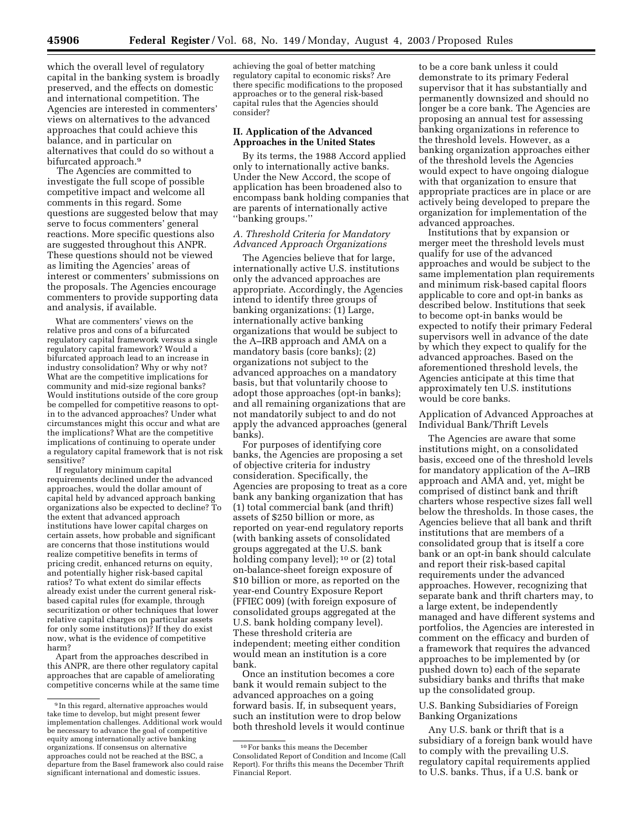which the overall level of regulatory capital in the banking system is broadly preserved, and the effects on domestic and international competition. The Agencies are interested in commenters' views on alternatives to the advanced approaches that could achieve this balance, and in particular on alternatives that could do so without a bifurcated approach.<sup>9</sup>

The Agencies are committed to investigate the full scope of possible competitive impact and welcome all comments in this regard. Some questions are suggested below that may serve to focus commenters' general reactions. More specific questions also are suggested throughout this ANPR. These questions should not be viewed as limiting the Agencies' areas of interest or commenters' submissions on the proposals. The Agencies encourage commenters to provide supporting data and analysis, if available.

What are commenters' views on the relative pros and cons of a bifurcated regulatory capital framework versus a single regulatory capital framework? Would a bifurcated approach lead to an increase in industry consolidation? Why or why not? What are the competitive implications for community and mid-size regional banks? Would institutions outside of the core group be compelled for competitive reasons to optin to the advanced approaches? Under what circumstances might this occur and what are the implications? What are the competitive implications of continuing to operate under a regulatory capital framework that is not risk sensitive?

If regulatory minimum capital requirements declined under the advanced approaches, would the dollar amount of capital held by advanced approach banking organizations also be expected to decline? To the extent that advanced approach institutions have lower capital charges on certain assets, how probable and significant are concerns that those institutions would realize competitive benefits in terms of pricing credit, enhanced returns on equity, and potentially higher risk-based capital ratios? To what extent do similar effects already exist under the current general riskbased capital rules (for example, through securitization or other techniques that lower relative capital charges on particular assets for only some institutions)? If they do exist now, what is the evidence of competitive harm?

Apart from the approaches described in this ANPR, are there other regulatory capital approaches that are capable of ameliorating competitive concerns while at the same time achieving the goal of better matching regulatory capital to economic risks? Are there specific modifications to the proposed approaches or to the general risk-based capital rules that the Agencies should consider?

#### **II. Application of the Advanced Approaches in the United States**

By its terms, the 1988 Accord applied only to internationally active banks. Under the New Accord, the scope of application has been broadened also to encompass bank holding companies that are parents of internationally active ''banking groups.''

## *A. Threshold Criteria for Mandatory Advanced Approach Organizations*

The Agencies believe that for large, internationally active U.S. institutions only the advanced approaches are appropriate. Accordingly, the Agencies intend to identify three groups of banking organizations: (1) Large, internationally active banking organizations that would be subject to the A–IRB approach and AMA on a mandatory basis (core banks); (2) organizations not subject to the advanced approaches on a mandatory basis, but that voluntarily choose to adopt those approaches (opt-in banks); and all remaining organizations that are not mandatorily subject to and do not apply the advanced approaches (general banks).

For purposes of identifying core banks, the Agencies are proposing a set of objective criteria for industry consideration. Specifically, the Agencies are proposing to treat as a core bank any banking organization that has (1) total commercial bank (and thrift) assets of \$250 billion or more, as reported on year-end regulatory reports (with banking assets of consolidated groups aggregated at the U.S. bank holding company level); <sup>10</sup> or (2) total on-balance-sheet foreign exposure of \$10 billion or more, as reported on the year-end Country Exposure Report (FFIEC 009) (with foreign exposure of consolidated groups aggregated at the U.S. bank holding company level). These threshold criteria are independent; meeting either condition would mean an institution is a core bank.

Once an institution becomes a core bank it would remain subject to the advanced approaches on a going forward basis. If, in subsequent years, such an institution were to drop below both threshold levels it would continue

to be a core bank unless it could demonstrate to its primary Federal supervisor that it has substantially and permanently downsized and should no longer be a core bank. The Agencies are proposing an annual test for assessing banking organizations in reference to the threshold levels. However, as a banking organization approaches either of the threshold levels the Agencies would expect to have ongoing dialogue with that organization to ensure that appropriate practices are in place or are actively being developed to prepare the organization for implementation of the advanced approaches.

Institutions that by expansion or merger meet the threshold levels must qualify for use of the advanced approaches and would be subject to the same implementation plan requirements and minimum risk-based capital floors applicable to core and opt-in banks as described below. Institutions that seek to become opt-in banks would be expected to notify their primary Federal supervisors well in advance of the date by which they expect to qualify for the advanced approaches. Based on the aforementioned threshold levels, the Agencies anticipate at this time that approximately ten U.S. institutions would be core banks.

Application of Advanced Approaches at Individual Bank/Thrift Levels

The Agencies are aware that some institutions might, on a consolidated basis, exceed one of the threshold levels for mandatory application of the A–IRB approach and AMA and, yet, might be comprised of distinct bank and thrift charters whose respective sizes fall well below the thresholds. In those cases, the Agencies believe that all bank and thrift institutions that are members of a consolidated group that is itself a core bank or an opt-in bank should calculate and report their risk-based capital requirements under the advanced approaches. However, recognizing that separate bank and thrift charters may, to a large extent, be independently managed and have different systems and portfolios, the Agencies are interested in comment on the efficacy and burden of a framework that requires the advanced approaches to be implemented by (or pushed down to) each of the separate subsidiary banks and thrifts that make up the consolidated group.

U.S. Banking Subsidiaries of Foreign Banking Organizations

Any U.S. bank or thrift that is a subsidiary of a foreign bank would have to comply with the prevailing U.S. regulatory capital requirements applied to U.S. banks. Thus, if a U.S. bank or

<sup>9</sup> In this regard, alternative approaches would take time to develop, but might present fewer implementation challenges. Additional work would be necessary to advance the goal of competitive equity among internationally active banking organizations. If consensus on alternative approaches could not be reached at the BSC, a departure from the Basel framework also could raise significant international and domestic issues.

<sup>10</sup>For banks this means the December Consolidated Report of Condition and Income (Call Report). For thrifts this means the December Thrift Financial Report.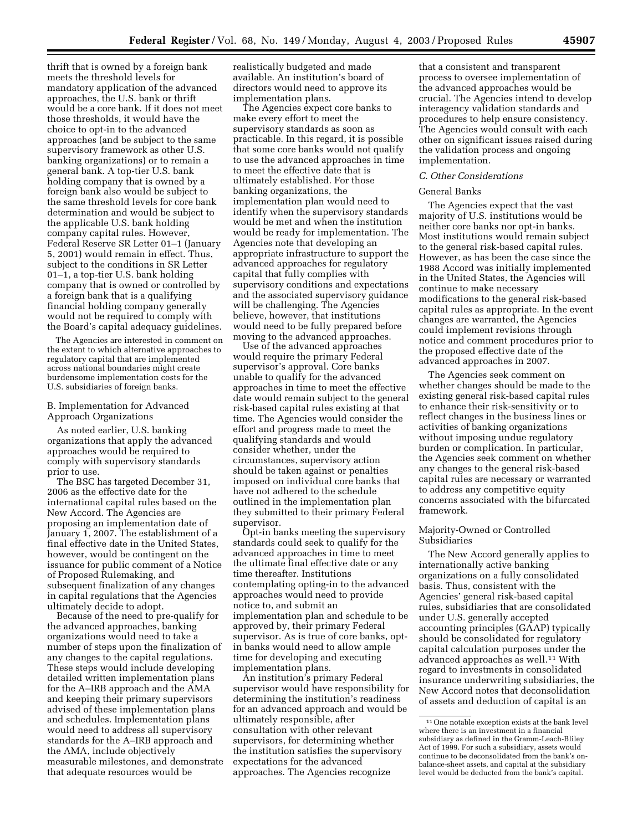thrift that is owned by a foreign bank meets the threshold levels for mandatory application of the advanced approaches, the U.S. bank or thrift would be a core bank. If it does not meet those thresholds, it would have the choice to opt-in to the advanced approaches (and be subject to the same supervisory framework as other U.S. banking organizations) or to remain a general bank. A top-tier U.S. bank holding company that is owned by a foreign bank also would be subject to the same threshold levels for core bank determination and would be subject to the applicable U.S. bank holding company capital rules. However, Federal Reserve SR Letter 01–1 (January 5, 2001) would remain in effect. Thus, subject to the conditions in SR Letter 01–1, a top-tier U.S. bank holding company that is owned or controlled by a foreign bank that is a qualifying financial holding company generally would not be required to comply with the Board's capital adequacy guidelines.

The Agencies are interested in comment on the extent to which alternative approaches to regulatory capital that are implemented across national boundaries might create burdensome implementation costs for the U.S. subsidiaries of foreign banks.

#### B. Implementation for Advanced Approach Organizations

As noted earlier, U.S. banking organizations that apply the advanced approaches would be required to comply with supervisory standards prior to use.

The BSC has targeted December 31, 2006 as the effective date for the international capital rules based on the New Accord. The Agencies are proposing an implementation date of January 1, 2007. The establishment of a final effective date in the United States, however, would be contingent on the issuance for public comment of a Notice of Proposed Rulemaking, and subsequent finalization of any changes in capital regulations that the Agencies ultimately decide to adopt.

Because of the need to pre-qualify for the advanced approaches, banking organizations would need to take a number of steps upon the finalization of any changes to the capital regulations. These steps would include developing detailed written implementation plans for the A–IRB approach and the AMA and keeping their primary supervisors advised of these implementation plans and schedules. Implementation plans would need to address all supervisory standards for the A–IRB approach and the AMA, include objectively measurable milestones, and demonstrate that adequate resources would be

realistically budgeted and made available. An institution's board of directors would need to approve its implementation plans.

The Agencies expect core banks to make every effort to meet the supervisory standards as soon as practicable. In this regard, it is possible that some core banks would not qualify to use the advanced approaches in time to meet the effective date that is ultimately established. For those banking organizations, the implementation plan would need to identify when the supervisory standards would be met and when the institution would be ready for implementation. The Agencies note that developing an appropriate infrastructure to support the advanced approaches for regulatory capital that fully complies with supervisory conditions and expectations and the associated supervisory guidance will be challenging. The Agencies believe, however, that institutions would need to be fully prepared before moving to the advanced approaches.

Use of the advanced approaches would require the primary Federal supervisor's approval. Core banks unable to qualify for the advanced approaches in time to meet the effective date would remain subject to the general risk-based capital rules existing at that time. The Agencies would consider the effort and progress made to meet the qualifying standards and would consider whether, under the circumstances, supervisory action should be taken against or penalties imposed on individual core banks that have not adhered to the schedule outlined in the implementation plan they submitted to their primary Federal supervisor.

Opt-in banks meeting the supervisory standards could seek to qualify for the advanced approaches in time to meet the ultimate final effective date or any time thereafter. Institutions contemplating opting-in to the advanced approaches would need to provide notice to, and submit an implementation plan and schedule to be approved by, their primary Federal supervisor. As is true of core banks, optin banks would need to allow ample time for developing and executing implementation plans.

An institution's primary Federal supervisor would have responsibility for determining the institution's readiness for an advanced approach and would be ultimately responsible, after consultation with other relevant supervisors, for determining whether the institution satisfies the supervisory expectations for the advanced approaches. The Agencies recognize

that a consistent and transparent process to oversee implementation of the advanced approaches would be crucial. The Agencies intend to develop interagency validation standards and procedures to help ensure consistency. The Agencies would consult with each other on significant issues raised during the validation process and ongoing implementation.

#### *C. Other Considerations*

#### General Banks

The Agencies expect that the vast majority of U.S. institutions would be neither core banks nor opt-in banks. Most institutions would remain subject to the general risk-based capital rules. However, as has been the case since the 1988 Accord was initially implemented in the United States, the Agencies will continue to make necessary modifications to the general risk-based capital rules as appropriate. In the event changes are warranted, the Agencies could implement revisions through notice and comment procedures prior to the proposed effective date of the advanced approaches in 2007.

The Agencies seek comment on whether changes should be made to the existing general risk-based capital rules to enhance their risk-sensitivity or to reflect changes in the business lines or activities of banking organizations without imposing undue regulatory burden or complication. In particular, the Agencies seek comment on whether any changes to the general risk-based capital rules are necessary or warranted to address any competitive equity concerns associated with the bifurcated framework.

#### Majority-Owned or Controlled Subsidiaries

The New Accord generally applies to internationally active banking organizations on a fully consolidated basis. Thus, consistent with the Agencies' general risk-based capital rules, subsidiaries that are consolidated under U.S. generally accepted accounting principles (GAAP) typically should be consolidated for regulatory capital calculation purposes under the advanced approaches as well.11 With regard to investments in consolidated insurance underwriting subsidiaries, the New Accord notes that deconsolidation of assets and deduction of capital is an

<sup>11</sup>One notable exception exists at the bank level where there is an investment in a financial subsidiary as defined in the Gramm-Leach-Bliley Act of 1999. For such a subsidiary, assets would continue to be deconsolidated from the bank's onbalance-sheet assets, and capital at the subsidiary level would be deducted from the bank's capital.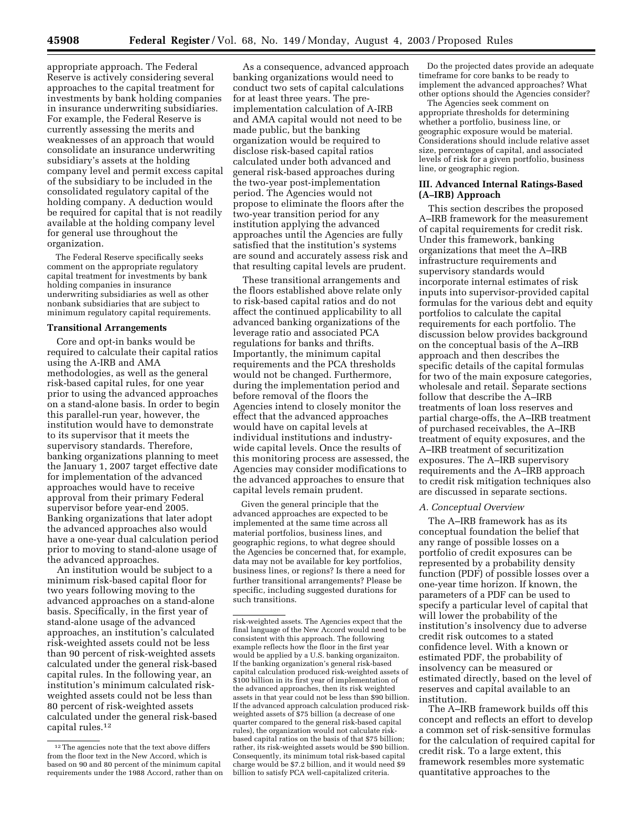appropriate approach. The Federal Reserve is actively considering several approaches to the capital treatment for investments by bank holding companies in insurance underwriting subsidiaries. For example, the Federal Reserve is currently assessing the merits and weaknesses of an approach that would consolidate an insurance underwriting subsidiary's assets at the holding company level and permit excess capital of the subsidiary to be included in the consolidated regulatory capital of the holding company. A deduction would be required for capital that is not readily available at the holding company level for general use throughout the organization.

The Federal Reserve specifically seeks comment on the appropriate regulatory capital treatment for investments by bank holding companies in insurance underwriting subsidiaries as well as other nonbank subsidiaries that are subject to minimum regulatory capital requirements.

#### **Transitional Arrangements**

Core and opt-in banks would be required to calculate their capital ratios using the A-IRB and AMA methodologies, as well as the general risk-based capital rules, for one year prior to using the advanced approaches on a stand-alone basis. In order to begin this parallel-run year, however, the institution would have to demonstrate to its supervisor that it meets the supervisory standards. Therefore, banking organizations planning to meet the January 1, 2007 target effective date for implementation of the advanced approaches would have to receive approval from their primary Federal supervisor before year-end 2005. Banking organizations that later adopt the advanced approaches also would have a one-year dual calculation period prior to moving to stand-alone usage of the advanced approaches.

An institution would be subject to a minimum risk-based capital floor for two years following moving to the advanced approaches on a stand-alone basis. Specifically, in the first year of stand-alone usage of the advanced approaches, an institution's calculated risk-weighted assets could not be less than 90 percent of risk-weighted assets calculated under the general risk-based capital rules. In the following year, an institution's minimum calculated riskweighted assets could not be less than 80 percent of risk-weighted assets calculated under the general risk-based capital rules.12

As a consequence, advanced approach banking organizations would need to conduct two sets of capital calculations for at least three years. The preimplementation calculation of A-IRB and AMA capital would not need to be made public, but the banking organization would be required to disclose risk-based capital ratios calculated under both advanced and general risk-based approaches during the two-year post-implementation period. The Agencies would not propose to eliminate the floors after the two-year transition period for any institution applying the advanced approaches until the Agencies are fully satisfied that the institution's systems are sound and accurately assess risk and that resulting capital levels are prudent.

These transitional arrangements and the floors established above relate only to risk-based capital ratios and do not affect the continued applicability to all advanced banking organizations of the leverage ratio and associated PCA regulations for banks and thrifts. Importantly, the minimum capital requirements and the PCA thresholds would not be changed. Furthermore, during the implementation period and before removal of the floors the Agencies intend to closely monitor the effect that the advanced approaches would have on capital levels at individual institutions and industrywide capital levels. Once the results of this monitoring process are assessed, the Agencies may consider modifications to the advanced approaches to ensure that capital levels remain prudent.

Given the general principle that the advanced approaches are expected to be implemented at the same time across all material portfolios, business lines, and geographic regions, to what degree should the Agencies be concerned that, for example, data may not be available for key portfolios, business lines, or regions? Is there a need for further transitional arrangements? Please be specific, including suggested durations for such transitions.

Do the projected dates provide an adequate timeframe for core banks to be ready to implement the advanced approaches? What other options should the Agencies consider?

The Agencies seek comment on appropriate thresholds for determining whether a portfolio, business line, or geographic exposure would be material. Considerations should include relative asset size, percentages of capital, and associated levels of risk for a given portfolio, business line, or geographic region.

#### **III. Advanced Internal Ratings-Based (A–IRB) Approach**

This section describes the proposed A–IRB framework for the measurement of capital requirements for credit risk. Under this framework, banking organizations that meet the A–IRB infrastructure requirements and supervisory standards would incorporate internal estimates of risk inputs into supervisor-provided capital formulas for the various debt and equity portfolios to calculate the capital requirements for each portfolio. The discussion below provides background on the conceptual basis of the A–IRB approach and then describes the specific details of the capital formulas for two of the main exposure categories, wholesale and retail. Separate sections follow that describe the A–IRB treatments of loan loss reserves and partial charge-offs, the A–IRB treatment of purchased receivables, the A–IRB treatment of equity exposures, and the A–IRB treatment of securitization exposures. The A–IRB supervisory requirements and the A–IRB approach to credit risk mitigation techniques also are discussed in separate sections.

#### *A. Conceptual Overview*

The A–IRB framework has as its conceptual foundation the belief that any range of possible losses on a portfolio of credit exposures can be represented by a probability density function (PDF) of possible losses over a one-year time horizon. If known, the parameters of a PDF can be used to specify a particular level of capital that will lower the probability of the institution's insolvency due to adverse credit risk outcomes to a stated confidence level. With a known or estimated PDF, the probability of insolvency can be measured or estimated directly, based on the level of reserves and capital available to an institution.

The A–IRB framework builds off this concept and reflects an effort to develop a common set of risk-sensitive formulas for the calculation of required capital for credit risk. To a large extent, this framework resembles more systematic quantitative approaches to the

<sup>12</sup>The agencies note that the text above differs from the floor text in the New Accord, which is based on 90 and 80 percent of the minimum capital requirements under the 1988 Accord, rather than on

risk-weighted assets. The Agencies expect that the final language of the New Accord would need to be consistent with this approach. The following example reflects how the floor in the first year would be applied by a U.S. banking organizaiton. If the banking organization's general risk-based capital calculation produced risk-weighted assets of \$100 billion in its first year of implementation of the advanced approaches, then its risk weighted assets in that year could not be less than \$90 billion. If the advanced approach calculation produced riskweighted assets of \$75 billion (a decrease of one quarter compared to the general risk-based capital rules), the organization would not calculate riskbased capital ratios on the basis of that \$75 billion; rather, its risk-weighted assets would be \$90 billion. Consequently, its minimum total risk-based capital charge would be \$7.2 billion, and it would need \$9 billion to satisfy PCA well-capitalized criteria.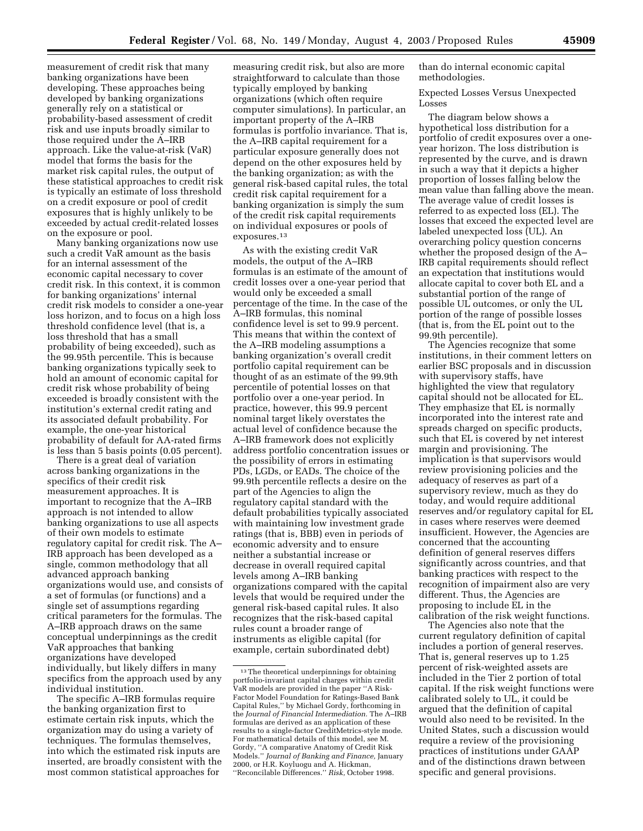than do internal economic capital methodologies.

> Expected Losses Versus Unexpected Losses

The diagram below shows a hypothetical loss distribution for a portfolio of credit exposures over a oneyear horizon. The loss distribution is represented by the curve, and is drawn in such a way that it depicts a higher proportion of losses falling below the mean value than falling above the mean. The average value of credit losses is referred to as expected loss (EL). The losses that exceed the expected level are labeled unexpected loss (UL). An overarching policy question concerns whether the proposed design of the A– IRB capital requirements should reflect an expectation that institutions would allocate capital to cover both EL and a substantial portion of the range of possible UL outcomes, or only the UL portion of the range of possible losses (that is, from the EL point out to the 99.9th percentile).

The Agencies recognize that some institutions, in their comment letters on earlier BSC proposals and in discussion with supervisory staffs, have highlighted the view that regulatory capital should not be allocated for EL. They emphasize that EL is normally incorporated into the interest rate and spreads charged on specific products, such that EL is covered by net interest margin and provisioning. The implication is that supervisors would review provisioning policies and the adequacy of reserves as part of a supervisory review, much as they do today, and would require additional reserves and/or regulatory capital for EL in cases where reserves were deemed insufficient. However, the Agencies are concerned that the accounting definition of general reserves differs significantly across countries, and that banking practices with respect to the recognition of impairment also are very different. Thus, the Agencies are proposing to include EL in the calibration of the risk weight functions.

The Agencies also note that the current regulatory definition of capital includes a portion of general reserves. That is, general reserves up to 1.25 percent of risk-weighted assets are included in the Tier 2 portion of total capital. If the risk weight functions were calibrated solely to UL, it could be argued that the definition of capital would also need to be revisited. In the United States, such a discussion would require a review of the provisioning practices of institutions under GAAP and of the distinctions drawn between specific and general provisions.

measurement of credit risk that many banking organizations have been developing. These approaches being developed by banking organizations generally rely on a statistical or probability-based assessment of credit risk and use inputs broadly similar to those required under the A–IRB approach. Like the value-at-risk (VaR) model that forms the basis for the market risk capital rules, the output of these statistical approaches to credit risk is typically an estimate of loss threshold on a credit exposure or pool of credit exposures that is highly unlikely to be exceeded by actual credit-related losses on the exposure or pool.

Many banking organizations now use such a credit VaR amount as the basis for an internal assessment of the economic capital necessary to cover credit risk. In this context, it is common for banking organizations' internal credit risk models to consider a one-year loss horizon, and to focus on a high loss threshold confidence level (that is, a loss threshold that has a small probability of being exceeded), such as the 99.95th percentile. This is because banking organizations typically seek to hold an amount of economic capital for credit risk whose probability of being exceeded is broadly consistent with the institution's external credit rating and its associated default probability. For example, the one-year historical probability of default for AA-rated firms is less than 5 basis points (0.05 percent).

There is a great deal of variation across banking organizations in the specifics of their credit risk measurement approaches. It is important to recognize that the A–IRB approach is not intended to allow banking organizations to use all aspects of their own models to estimate regulatory capital for credit risk. The A– IRB approach has been developed as a single, common methodology that all advanced approach banking organizations would use, and consists of a set of formulas (or functions) and a single set of assumptions regarding critical parameters for the formulas. The A–IRB approach draws on the same conceptual underpinnings as the credit VaR approaches that banking organizations have developed individually, but likely differs in many specifics from the approach used by any individual institution.

The specific A–IRB formulas require the banking organization first to estimate certain risk inputs, which the organization may do using a variety of techniques. The formulas themselves, into which the estimated risk inputs are inserted, are broadly consistent with the most common statistical approaches for

measuring credit risk, but also are more straightforward to calculate than those typically employed by banking organizations (which often require computer simulations). In particular, an important property of the A–IRB formulas is portfolio invariance. That is, the A–IRB capital requirement for a particular exposure generally does not depend on the other exposures held by the banking organization; as with the general risk-based capital rules, the total credit risk capital requirement for a banking organization is simply the sum of the credit risk capital requirements on individual exposures or pools of exposures.13

As with the existing credit VaR models, the output of the A–IRB formulas is an estimate of the amount of credit losses over a one-year period that would only be exceeded a small percentage of the time. In the case of the A–IRB formulas, this nominal confidence level is set to 99.9 percent. This means that within the context of the A–IRB modeling assumptions a banking organization's overall credit portfolio capital requirement can be thought of as an estimate of the 99.9th percentile of potential losses on that portfolio over a one-year period. In practice, however, this 99.9 percent nominal target likely overstates the actual level of confidence because the A–IRB framework does not explicitly address portfolio concentration issues or the possibility of errors in estimating PDs, LGDs, or EADs. The choice of the 99.9th percentile reflects a desire on the part of the Agencies to align the regulatory capital standard with the default probabilities typically associated with maintaining low investment grade ratings (that is, BBB) even in periods of economic adversity and to ensure neither a substantial increase or decrease in overall required capital levels among A–IRB banking organizations compared with the capital levels that would be required under the general risk-based capital rules. It also recognizes that the risk-based capital rules count a broader range of instruments as eligible capital (for example, certain subordinated debt)

<sup>13</sup>The theoretical underpinnings for obtaining portfolio-invariant capital charges within credit VaR models are provided in the paper ''A Risk-Factor Model Foundation for Ratings-Based Bank Capital Rules,'' by Michael Gordy, forthcoming in the *Journal of Financial Intermediation.* The A–IRB formulas are derived as an application of these results to a single-factor CreditMetrics-style mode. For mathematical details of this model, see M. Gordy, ''A comparative Anatomy of Credit Risk Models.'' *Journal of Banking and Finance,* January 2000, or H.R. Koyluogu and A. Hickman, ''Reconcilable Differences.'' *Risk,* October 1998.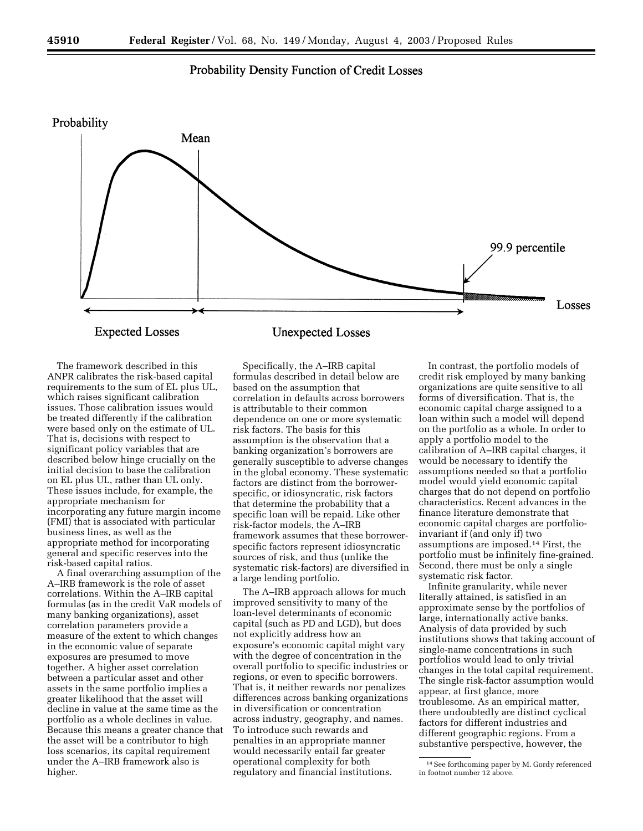# Probability Density Function of Credit Losses



The framework described in this ANPR calibrates the risk-based capital requirements to the sum of EL plus UL, which raises significant calibration issues. Those calibration issues would be treated differently if the calibration were based only on the estimate of UL. That is, decisions with respect to significant policy variables that are described below hinge crucially on the initial decision to base the calibration on EL plus UL, rather than UL only. These issues include, for example, the appropriate mechanism for incorporating any future margin income (FMI) that is associated with particular business lines, as well as the appropriate method for incorporating general and specific reserves into the risk-based capital ratios.

A final overarching assumption of the A–IRB framework is the role of asset correlations. Within the A–IRB capital formulas (as in the credit VaR models of many banking organizations), asset correlation parameters provide a measure of the extent to which changes in the economic value of separate exposures are presumed to move together. A higher asset correlation between a particular asset and other assets in the same portfolio implies a greater likelihood that the asset will decline in value at the same time as the portfolio as a whole declines in value. Because this means a greater chance that the asset will be a contributor to high loss scenarios, its capital requirement under the A–IRB framework also is higher.

Specifically, the A–IRB capital formulas described in detail below are based on the assumption that correlation in defaults across borrowers is attributable to their common dependence on one or more systematic risk factors. The basis for this assumption is the observation that a banking organization's borrowers are generally susceptible to adverse changes in the global economy. These systematic factors are distinct from the borrowerspecific, or idiosyncratic, risk factors that determine the probability that a specific loan will be repaid. Like other risk-factor models, the A–IRB framework assumes that these borrowerspecific factors represent idiosyncratic sources of risk, and thus (unlike the systematic risk-factors) are diversified in a large lending portfolio.

The A–IRB approach allows for much improved sensitivity to many of the loan-level determinants of economic capital (such as PD and LGD), but does not explicitly address how an exposure's economic capital might vary with the degree of concentration in the overall portfolio to specific industries or regions, or even to specific borrowers. That is, it neither rewards nor penalizes differences across banking organizations in diversification or concentration across industry, geography, and names. To introduce such rewards and penalties in an appropriate manner would necessarily entail far greater operational complexity for both regulatory and financial institutions.

In contrast, the portfolio models of credit risk employed by many banking organizations are quite sensitive to all forms of diversification. That is, the economic capital charge assigned to a loan within such a model will depend on the portfolio as a whole. In order to apply a portfolio model to the calibration of A–IRB capital charges, it would be necessary to identify the assumptions needed so that a portfolio model would yield economic capital charges that do not depend on portfolio characteristics. Recent advances in the finance literature demonstrate that economic capital charges are portfolioinvariant if (and only if) two assumptions are imposed.14 First, the portfolio must be infinitely fine-grained. Second, there must be only a single systematic risk factor.

Infinite granularity, while never literally attained, is satisfied in an approximate sense by the portfolios of large, internationally active banks. Analysis of data provided by such institutions shows that taking account of single-name concentrations in such portfolios would lead to only trivial changes in the total capital requirement. The single risk-factor assumption would appear, at first glance, more troublesome. As an empirical matter, there undoubtedly are distinct cyclical factors for different industries and different geographic regions. From a substantive perspective, however, the

<sup>14</sup>See forthcoming paper by M. Gordy referenced in footnot number 12 above.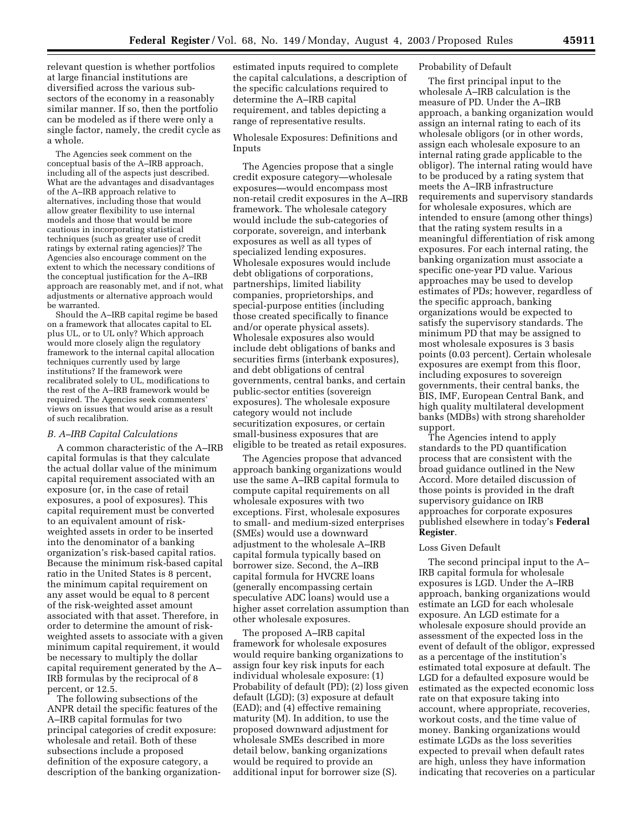relevant question is whether portfolios at large financial institutions are diversified across the various subsectors of the economy in a reasonably similar manner. If so, then the portfolio can be modeled as if there were only a single factor, namely, the credit cycle as a whole.

The Agencies seek comment on the conceptual basis of the A–IRB approach, including all of the aspects just described. What are the advantages and disadvantages of the A–IRB approach relative to alternatives, including those that would allow greater flexibility to use internal models and those that would be more cautious in incorporating statistical techniques (such as greater use of credit ratings by external rating agencies)? The Agencies also encourage comment on the extent to which the necessary conditions of the conceptual justification for the A–IRB approach are reasonably met, and if not, what adjustments or alternative approach would be warranted.

Should the A–IRB capital regime be based on a framework that allocates capital to EL plus UL, or to UL only? Which approach would more closely align the regulatory framework to the internal capital allocation techniques currently used by large institutions? If the framework were recalibrated solely to UL, modifications to the rest of the A–IRB framework would be required. The Agencies seek commenters' views on issues that would arise as a result of such recalibration.

#### *B. A–IRB Capital Calculations*

A common characteristic of the A–IRB capital formulas is that they calculate the actual dollar value of the minimum capital requirement associated with an exposure (or, in the case of retail exposures, a pool of exposures). This capital requirement must be converted to an equivalent amount of riskweighted assets in order to be inserted into the denominator of a banking organization's risk-based capital ratios. Because the minimum risk-based capital ratio in the United States is 8 percent, the minimum capital requirement on any asset would be equal to 8 percent of the risk-weighted asset amount associated with that asset. Therefore, in order to determine the amount of riskweighted assets to associate with a given minimum capital requirement, it would be necessary to multiply the dollar capital requirement generated by the A– IRB formulas by the reciprocal of 8 percent, or 12.5.

The following subsections of the ANPR detail the specific features of the A–IRB capital formulas for two principal categories of credit exposure: wholesale and retail. Both of these subsections include a proposed definition of the exposure category, a description of the banking organizationestimated inputs required to complete the capital calculations, a description of the specific calculations required to determine the A–IRB capital requirement, and tables depicting a range of representative results.

Wholesale Exposures: Definitions and Inputs

The Agencies propose that a single credit exposure category—wholesale exposures—would encompass most non-retail credit exposures in the A–IRB framework. The wholesale category would include the sub-categories of corporate, sovereign, and interbank exposures as well as all types of specialized lending exposures. Wholesale exposures would include debt obligations of corporations, partnerships, limited liability companies, proprietorships, and special-purpose entities (including those created specifically to finance and/or operate physical assets). Wholesale exposures also would include debt obligations of banks and securities firms (interbank exposures), and debt obligations of central governments, central banks, and certain public-sector entities (sovereign exposures). The wholesale exposure category would not include securitization exposures, or certain small-business exposures that are eligible to be treated as retail exposures.

The Agencies propose that advanced approach banking organizations would use the same A–IRB capital formula to compute capital requirements on all wholesale exposures with two exceptions. First, wholesale exposures to small- and medium-sized enterprises (SMEs) would use a downward adjustment to the wholesale A–IRB capital formula typically based on borrower size. Second, the A–IRB capital formula for HVCRE loans (generally encompassing certain speculative ADC loans) would use a higher asset correlation assumption than other wholesale exposures.

The proposed A–IRB capital framework for wholesale exposures would require banking organizations to assign four key risk inputs for each individual wholesale exposure: (1) Probability of default (PD); (2) loss given default (LGD); (3) exposure at default (EAD); and (4) effective remaining maturity (M). In addition, to use the proposed downward adjustment for wholesale SMEs described in more detail below, banking organizations would be required to provide an additional input for borrower size (S).

#### Probability of Default

The first principal input to the wholesale A–IRB calculation is the measure of PD. Under the A–IRB approach, a banking organization would assign an internal rating to each of its wholesale obligors (or in other words, assign each wholesale exposure to an internal rating grade applicable to the obligor). The internal rating would have to be produced by a rating system that meets the A–IRB infrastructure requirements and supervisory standards for wholesale exposures, which are intended to ensure (among other things) that the rating system results in a meaningful differentiation of risk among exposures. For each internal rating, the banking organization must associate a specific one-year PD value. Various approaches may be used to develop estimates of PDs; however, regardless of the specific approach, banking organizations would be expected to satisfy the supervisory standards. The minimum PD that may be assigned to most wholesale exposures is 3 basis points (0.03 percent). Certain wholesale exposures are exempt from this floor, including exposures to sovereign governments, their central banks, the BIS, IMF, European Central Bank, and high quality multilateral development banks (MDBs) with strong shareholder support.

The Agencies intend to apply standards to the PD quantification process that are consistent with the broad guidance outlined in the New Accord. More detailed discussion of those points is provided in the draft supervisory guidance on IRB approaches for corporate exposures published elsewhere in today's **Federal Register**.

#### Loss Given Default

The second principal input to the A– IRB capital formula for wholesale exposures is LGD. Under the A–IRB approach, banking organizations would estimate an LGD for each wholesale exposure. An LGD estimate for a wholesale exposure should provide an assessment of the expected loss in the event of default of the obligor, expressed as a percentage of the institution's estimated total exposure at default. The LGD for a defaulted exposure would be estimated as the expected economic loss rate on that exposure taking into account, where appropriate, recoveries, workout costs, and the time value of money. Banking organizations would estimate LGDs as the loss severities expected to prevail when default rates are high, unless they have information indicating that recoveries on a particular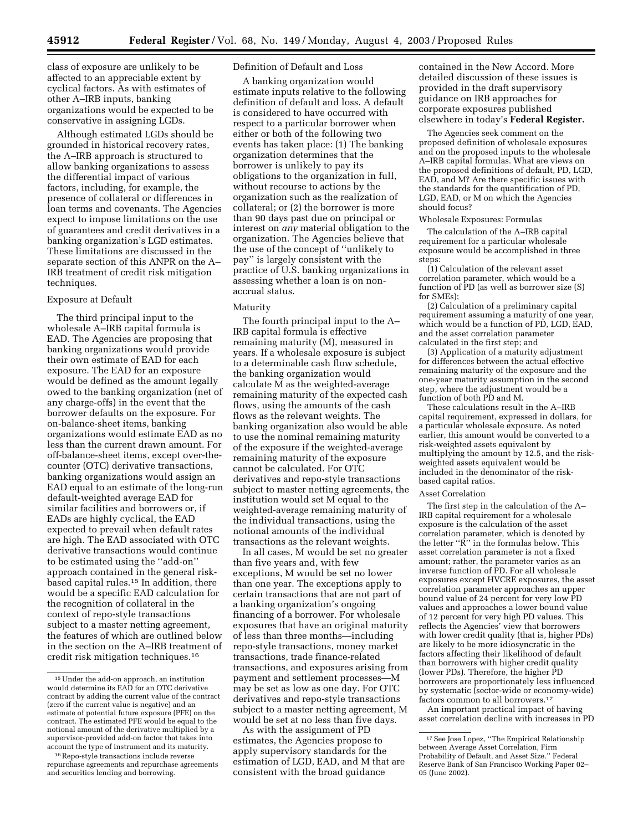class of exposure are unlikely to be affected to an appreciable extent by cyclical factors. As with estimates of other A–IRB inputs, banking organizations would be expected to be conservative in assigning LGDs.

Although estimated LGDs should be grounded in historical recovery rates, the A–IRB approach is structured to allow banking organizations to assess the differential impact of various factors, including, for example, the presence of collateral or differences in loan terms and covenants. The Agencies expect to impose limitations on the use of guarantees and credit derivatives in a banking organization's LGD estimates. These limitations are discussed in the separate section of this ANPR on the A– IRB treatment of credit risk mitigation techniques.

#### Exposure at Default

The third principal input to the wholesale A–IRB capital formula is EAD. The Agencies are proposing that banking organizations would provide their own estimate of EAD for each exposure. The EAD for an exposure would be defined as the amount legally owed to the banking organization (net of any charge-offs) in the event that the borrower defaults on the exposure. For on-balance-sheet items, banking organizations would estimate EAD as no less than the current drawn amount. For off-balance-sheet items, except over-thecounter (OTC) derivative transactions, banking organizations would assign an EAD equal to an estimate of the long-run default-weighted average EAD for similar facilities and borrowers or, if EADs are highly cyclical, the EAD expected to prevail when default rates are high. The EAD associated with OTC derivative transactions would continue to be estimated using the ''add-on'' approach contained in the general riskbased capital rules.15 In addition, there would be a specific EAD calculation for the recognition of collateral in the context of repo-style transactions subject to a master netting agreement, the features of which are outlined below in the section on the A–IRB treatment of credit risk mitigation techniques.16

# Definition of Default and Loss

A banking organization would estimate inputs relative to the following definition of default and loss. A default is considered to have occurred with respect to a particular borrower when either or both of the following two events has taken place: (1) The banking organization determines that the borrower is unlikely to pay its obligations to the organization in full, without recourse to actions by the organization such as the realization of collateral; or (2) the borrower is more than 90 days past due on principal or interest on *any* material obligation to the organization. The Agencies believe that the use of the concept of ''unlikely to pay'' is largely consistent with the practice of U.S. banking organizations in assessing whether a loan is on nonaccrual status.

#### Maturity

The fourth principal input to the A– IRB capital formula is effective remaining maturity (M), measured in years. If a wholesale exposure is subject to a determinable cash flow schedule, the banking organization would calculate M as the weighted-average remaining maturity of the expected cash flows, using the amounts of the cash flows as the relevant weights. The banking organization also would be able to use the nominal remaining maturity of the exposure if the weighted-average remaining maturity of the exposure cannot be calculated. For OTC derivatives and repo-style transactions subject to master netting agreements, the institution would set M equal to the weighted-average remaining maturity of the individual transactions, using the notional amounts of the individual transactions as the relevant weights.

In all cases, M would be set no greater than five years and, with few exceptions, M would be set no lower than one year. The exceptions apply to certain transactions that are not part of a banking organization's ongoing financing of a borrower. For wholesale exposures that have an original maturity of less than three months—including repo-style transactions, money market transactions, trade finance-related transactions, and exposures arising from payment and settlement processes—M may be set as low as one day. For OTC derivatives and repo-style transactions subject to a master netting agreement, M would be set at no less than five days.

As with the assignment of PD estimates, the Agencies propose to apply supervisory standards for the estimation of LGD, EAD, and M that are consistent with the broad guidance

contained in the New Accord. More detailed discussion of these issues is provided in the draft supervisory guidance on IRB approaches for corporate exposures published elsewhere in today's **Federal Register.**

The Agencies seek comment on the proposed definition of wholesale exposures and on the proposed inputs to the wholesale A–IRB capital formulas. What are views on the proposed definitions of default, PD, LGD, EAD, and M? Are there specific issues with the standards for the quantification of PD, LGD, EAD, or M on which the Agencies should focus?

Wholesale Exposures: Formulas

The calculation of the A–IRB capital requirement for a particular wholesale exposure would be accomplished in three steps:

 $(1)$  Calculation of the relevant asset correlation parameter, which would be a function of PD (as well as borrower size (S) for SMEs);

(2) Calculation of a preliminary capital requirement assuming a maturity of one year, which would be a function of PD, LGD, EAD, and the asset correlation parameter calculated in the first step; and

(3) Application of a maturity adjustment for differences between the actual effective remaining maturity of the exposure and the one-year maturity assumption in the second step, where the adjustment would be a function of both PD and M.

These calculations result in the A–IRB capital requirement, expressed in dollars, for a particular wholesale exposure. As noted earlier, this amount would be converted to a risk-weighted assets equivalent by multiplying the amount by 12.5, and the riskweighted assets equivalent would be included in the denominator of the riskbased capital ratios.

#### Asset Correlation

The first step in the calculation of the A– IRB capital requirement for a wholesale exposure is the calculation of the asset correlation parameter, which is denoted by the letter ''R'' in the formulas below. This asset correlation parameter is not a fixed amount; rather, the parameter varies as an inverse function of PD. For all wholesale exposures except HVCRE exposures, the asset correlation parameter approaches an upper bound value of 24 percent for very low PD values and approaches a lower bound value of 12 percent for very high PD values. This reflects the Agencies' view that borrowers with lower credit quality (that is, higher PDs) are likely to be more idiosyncratic in the factors affecting their likelihood of default than borrowers with higher credit quality (lower PDs). Therefore, the higher PD borrowers are proportionately less influenced by systematic (sector-wide or economy-wide) factors common to all borrowers.17

An important practical impact of having asset correlation decline with increases in PD

<sup>15</sup>Under the add-on approach, an institution would determine its EAD for an OTC derivative contract by adding the current value of the contract (zero if the current value is negative) and an estimate of potential future exposure (PFE) on the contract. The estimated PFE would be equal to the notional amount of the derivative multiplied by a supervisor-provided add-on factor that takes into account the type of instrument and its maturity.

<sup>16</sup>Repo-style transactions include reverse repurchase agreements and repurchase agreements and securities lending and borrowing.

<sup>17</sup>See Jose Lopez, ''The Empirical Relationship between Average Asset Correlation, Firm Probability of Default, and Asset Size.'' Federal Reserve Bank of San Francisco Working Paper 02– 05 (June 2002).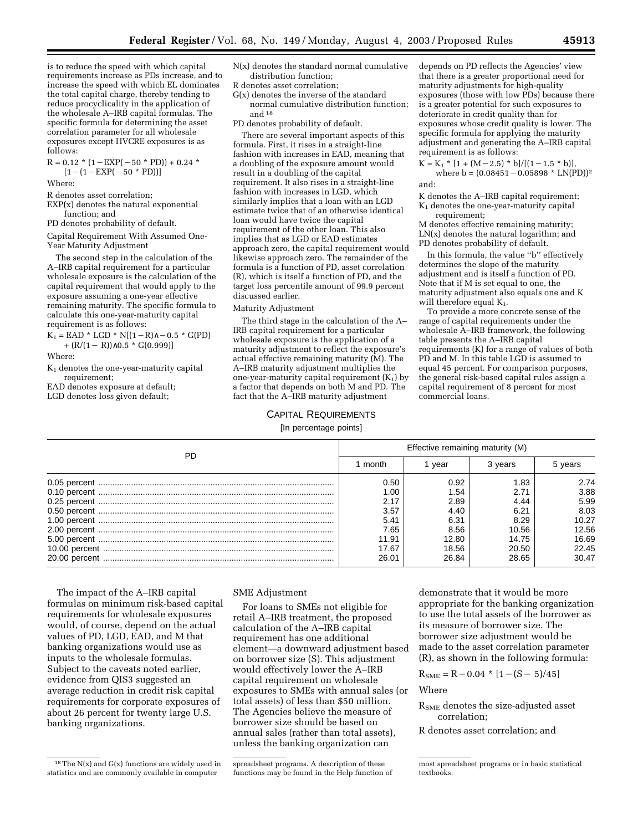is to reduce the speed with which capital requirements increase as PDs increase, and to increase the speed with which EL dominates the total capital charge, thereby tending to reduce procyclicality in the application of the wholesale A–IRB capital formulas. The specific formula for determining the asset correlation parameter for all wholesale exposures except HVCRE exposures is as follows:

 $R = 0.12 * (1 - EXP(-50 * PD)) + 0.24 *$  $[1-(1-EXP(-50 * PD))]$ 

Where:

R denotes asset correlation;

EXP(x) denotes the natural exponential function; and

PD denotes probability of default.

Capital Requirement With Assumed One-Year Maturity Adjustment

The second step in the calculation of the A–IRB capital requirement for a particular wholesale exposure is the calculation of the capital requirement that would apply to the exposure assuming a one-year effective remaining maturity. The specific formula to calculate this one-year-maturity capital requirement is as follows:

 $K_1 = EAD * LGD * N[(1-R)<sub>0</sub> - 0.5 * G(PD)]$ +  $(R/(1 - R))$ ∧0.5 \* G(0.999)]

Where:

K1 denotes the one-year-maturity capital requirement;

EAD denotes exposure at default;

LGD denotes loss given default;

- N(x) denotes the standard normal cumulative distribution function;
- R denotes asset correlation;
- G(x) denotes the inverse of the standard normal cumulative distribution function; and  $^{\rm 18}$
- PD denotes probability of default.

There are several important aspects of this formula. First, it rises in a straight-line fashion with increases in EAD, meaning that a doubling of the exposure amount would result in a doubling of the capital requirement. It also rises in a straight-line fashion with increases in LGD, which similarly implies that a loan with an LGD estimate twice that of an otherwise identical loan would have twice the capital requirement of the other loan. This also implies that as LGD or EAD estimates approach zero, the capital requirement would likewise approach zero. The remainder of the formula is a function of PD, asset correlation (R), which is itself a function of PD, and the target loss percentile amount of 99.9 percent discussed earlier.

#### Maturity Adjustment

The third stage in the calculation of the A– IRB capital requirement for a particular wholesale exposure is the application of a maturity adjustment to reflect the exposure's actual effective remaining maturity (M). The A–IRB maturity adjustment multiplies the one-year-maturity capital requirement  $(K_1)$  by a factor that depends on both M and PD. The fact that the A–IRB maturity adjustment

depends on PD reflects the Agencies' view that there is a greater proportional need for maturity adjustments for high-quality exposures (those with low PDs) because there is a greater potential for such exposures to deteriorate in credit quality than for exposures whose credit quality is lower. The specific formula for applying the maturity adjustment and generating the A–IRB capital requirement is as follows:

 $K = K_1 * [1 + (M - 2.5) * b]/[(1 - 1.5 * b)],$ where  $b = (0.08451 - 0.05898 * LN(PD))^2$ and:

K denotes the A–IRB capital requirement;  $K_1$  denotes the one-year-maturity capital requirement;

M denotes effective remaining maturity; LN(x) denotes the natural logarithm; and PD denotes probability of default.

In this formula, the value ''b'' effectively determines the slope of the maturity adjustment and is itself a function of PD. Note that if M is set equal to one, the maturity adjustment also equals one and K will therefore equal  $K_1$ .

To provide a more concrete sense of the range of capital requirements under the wholesale A–IRB framework, the following table presents the A–IRB capital requirements (K) for a range of values of both PD and M. In this table LGD is assumed to equal 45 percent. For comparison purposes, the general risk-based capital rules assign a capital requirement of 8 percent for most commercial loans.

#### CAPITAL REQUIREMENTS

#### [In percentage points]

| PD | Effective remaining maturity (M) |       |         |         |
|----|----------------------------------|-------|---------|---------|
|    | month                            | year  | 3 years | 5 years |
|    | 0.50                             | 0.92  | 1.83    | 2.74    |
|    | 1.00                             | 1.54  | 2.71    | 3.88    |
|    | 2.17                             | 2.89  | 4.44    | 5.99    |
|    | 3.57                             | 4.40  | 6.21    | 8.03    |
|    | 5.41                             | 6.31  | 8.29    | 10.27   |
|    | 7.65                             | 8.56  | 10.56   | 12.56   |
|    | 11.91                            | 12.80 | 14.75   | 16.69   |
|    | 17.67                            | 18.56 | 20.50   | 22.45   |
|    | 26.01                            | 26.84 | 28.65   | 30.47   |

The impact of the A–IRB capital formulas on minimum risk-based capital requirements for wholesale exposures would, of course, depend on the actual values of PD, LGD, EAD, and M that banking organizations would use as inputs to the wholesale formulas. Subject to the caveats noted earlier, evidence from QIS3 suggested an average reduction in credit risk capital requirements for corporate exposures of about 26 percent for twenty large U.S. banking organizations.

#### SME Adjustment

For loans to SMEs not eligible for retail A–IRB treatment, the proposed calculation of the A–IRB capital requirement has one additional element—a downward adjustment based on borrower size (S). This adjustment would effectively lower the A–IRB capital requirement on wholesale exposures to SMEs with annual sales (or total assets) of less than \$50 million. The Agencies believe the measure of borrower size should be based on annual sales (rather than total assets), unless the banking organization can

demonstrate that it would be more appropriate for the banking organization to use the total assets of the borrower as its measure of borrower size. The borrower size adjustment would be made to the asset correlation parameter (R), as shown in the following formula:

$$
R_{\text{SME}} = R - 0.04 \cdot [1 - (S - 5)/45]
$$

Where

R<sub>SME</sub> denotes the size-adjusted asset correlation;

R denotes asset correlation; and

<sup>18</sup>The N(x) and G(x) functions are widely used in statistics and are commonly available in computer

spreadsheet programs. A description of these functions may be found in the Help function of

most spreadsheet programs or in basic statistical textbooks.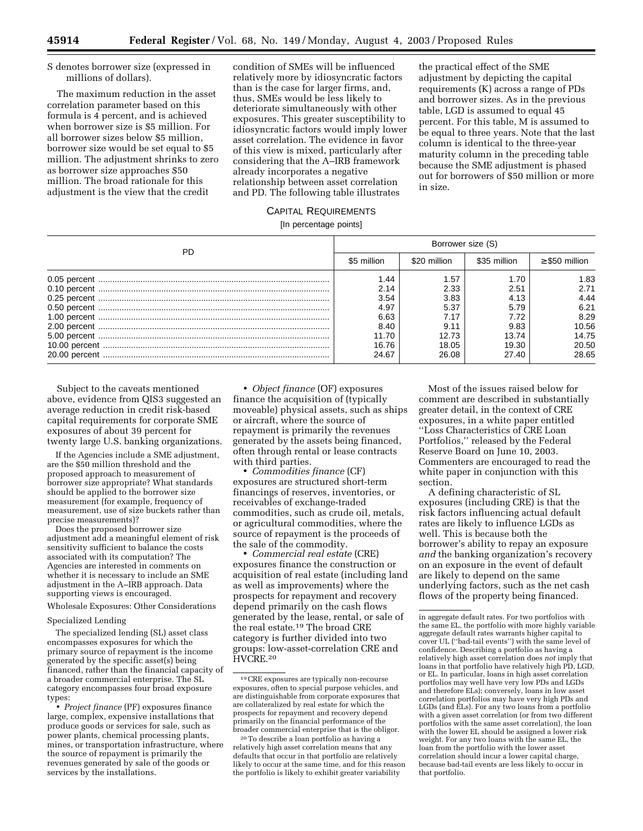S denotes borrower size (expressed in millions of dollars).

The maximum reduction in the asset correlation parameter based on this formula is 4 percent, and is achieved when borrower size is \$5 million. For all borrower sizes below \$5 million, borrower size would be set equal to \$5 million. The adjustment shrinks to zero as borrower size approaches \$50 million. The broad rationale for this adjustment is the view that the credit

condition of SMEs will be influenced relatively more by idiosyncratic factors than is the case for larger firms, and, thus, SMEs would be less likely to deteriorate simultaneously with other exposures. This greater susceptibility to idiosyncratic factors would imply lower asset correlation. The evidence in favor of this view is mixed, particularly after considering that the A–IRB framework already incorporates a negative relationship between asset correlation and PD. The following table illustrates

the practical effect of the SME adjustment by depicting the capital requirements (K) across a range of PDs and borrower sizes. As in the previous table, LGD is assumed to equal 45 percent. For this table, M is assumed to be equal to three years. Note that the last column is identical to the three-year maturity column in the preceding table because the SME adjustment is phased out for borrowers of \$50 million or more in size.

# CAPITAL REQUIREMENTS

[In percentage points]

| PD. | Borrower size (S) |              |              |                     |
|-----|-------------------|--------------|--------------|---------------------|
|     | \$5 million       | \$20 million | \$35 million | $\geq$ \$50 million |
|     | 1.44              | 1.57         | 1.70         | 1.83                |
|     | 2.14              | 2.33         | 2.51         | 2.71                |
|     | 3.54              | 3.83         | 4.13         | 4.44                |
|     | 4.97              | 5.37         | 5.79         | 6.21                |
|     | 6.63              |              | 7.72         | 8.29                |
|     | 8.40              | 9.11         | 9.83         | 10.56               |
|     | 11.70             | 12.73        | 13.74        | 14.75               |
|     | 16.76             | 18.05        | 19.30        | 20.50               |
|     | 24.67             | 26.08        | 27.40        | 28.65               |

Subject to the caveats mentioned above, evidence from QIS3 suggested an average reduction in credit risk-based capital requirements for corporate SME exposures of about 39 percent for twenty large U.S. banking organizations.

If the Agencies include a SME adjustment, are the \$50 million threshold and the proposed approach to measurement of borrower size appropriate? What standards should be applied to the borrower size measurement (for example, frequency of measurement, use of size buckets rather than precise measurements)?

Does the proposed borrower size adjustment add a meaningful element of risk sensitivity sufficient to balance the costs associated with its computation? The Agencies are interested in comments on whether it is necessary to include an SME adjustment in the A–IRB approach. Data supporting views is encouraged.

Wholesale Exposures: Other Considerations

#### Specialized Lending

The specialized lending (SL) asset class encompasses exposures for which the primary source of repayment is the income generated by the specific asset(s) being financed, rather than the financial capacity of a broader commercial enterprise. The SL category encompasses four broad exposure types:

• *Project finance* (PF) exposures finance large, complex, expensive installations that produce goods or services for sale, such as power plants, chemical processing plants, mines, or transportation infrastructure, where the source of repayment is primarily the revenues generated by sale of the goods or services by the installations.

• *Object finance* (OF) exposures finance the acquisition of (typically moveable) physical assets, such as ships or aircraft, where the source of repayment is primarily the revenues generated by the assets being financed, often through rental or lease contracts with third parties.

• *Commodities finance* (CF) exposures are structured short-term financings of reserves, inventories, or receivables of exchange-traded commodities, such as crude oil, metals, or agricultural commodities, where the source of repayment is the proceeds of the sale of the commodity.

• *Commercial real estate* (CRE) exposures finance the construction or acquisition of real estate (including land as well as improvements) where the prospects for repayment and recovery depend primarily on the cash flows generated by the lease, rental, or sale of the real estate.19 The broad CRE category is further divided into two groups: low-asset-correlation CRE and HVCRE.20

Most of the issues raised below for comment are described in substantially greater detail, in the context of CRE exposures, in a white paper entitled ''Loss Characteristics of CRE Loan Portfolios,'' released by the Federal Reserve Board on June 10, 2003. Commenters are encouraged to read the white paper in conjunction with this section.

A defining characteristic of SL exposures (including CRE) is that the risk factors influencing actual default rates are likely to influence LGDs as well. This is because both the borrower's ability to repay an exposure *and* the banking organization's recovery on an exposure in the event of default are likely to depend on the same underlying factors, such as the net cash flows of the property being financed.

<sup>19</sup>CRE exposures are typically non-recourse exposures, often to special purpose vehicles, and are distinguishable from corporate exposures that are collateralized by real estate for which the prospects for repayment and recovery depend primarily on the financial performance of the broader commercial enterprise that is the obligor.

<sup>20</sup>To describe a loan portfolio as having a relatively high asset correlation means that any defaults that occur in that portfolio are relatively likely to occur at the same time, and for this reason the portfolio is likely to exhibit greater variability

in aggregate default rates. For two portfolios with the same EL, the portfolio with more highly variable aggregate default rates warrants higher capital to cover UL (''bad-tail events'') with the same level of confidence. Describing a portfolio as having a relatively high asset correlation does *not* imply that loans in that portfolio have relatively high PD, LGD, or EL. In particular, loans in high asset correlation portfolios may well have very low PDs and LGDs and therefore ELs); conversely, loans in low asset correlation portfolios may have very high PDs and LGDs (and ELs). For any two loans from a portfolio with a given asset correlation (or from two different portfolios with the same asset correlation), the loan with the lower EL should be assigned a lower risk weight. For any two loans with the same EL, the loan from the portfolio with the lower asset correlation should incur a lower capital charge, because bad-tail events are less likely to occur in that portfolio.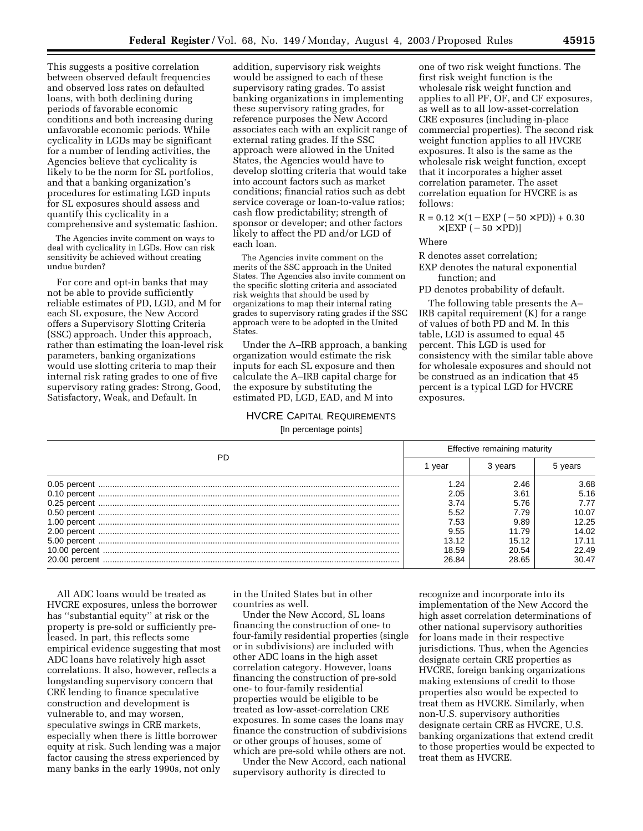This suggests a positive correlation between observed default frequencies and observed loss rates on defaulted loans, with both declining during periods of favorable economic conditions and both increasing during unfavorable economic periods. While cyclicality in LGDs may be significant for a number of lending activities, the Agencies believe that cyclicality is likely to be the norm for SL portfolios, and that a banking organization's procedures for estimating LGD inputs for SL exposures should assess and quantify this cyclicality in a comprehensive and systematic fashion.

The Agencies invite comment on ways to deal with cyclicality in LGDs. How can risk sensitivity be achieved without creating undue burden?

For core and opt-in banks that may not be able to provide sufficiently reliable estimates of PD, LGD, and M for each SL exposure, the New Accord offers a Supervisory Slotting Criteria (SSC) approach. Under this approach, rather than estimating the loan-level risk parameters, banking organizations would use slotting criteria to map their internal risk rating grades to one of five supervisory rating grades: Strong, Good, Satisfactory, Weak, and Default. In

addition, supervisory risk weights would be assigned to each of these supervisory rating grades. To assist banking organizations in implementing these supervisory rating grades, for reference purposes the New Accord associates each with an explicit range of external rating grades. If the SSC approach were allowed in the United States, the Agencies would have to develop slotting criteria that would take into account factors such as market conditions; financial ratios such as debt service coverage or loan-to-value ratios; cash flow predictability; strength of sponsor or developer; and other factors likely to affect the PD and/or LGD of each loan.

The Agencies invite comment on the merits of the SSC approach in the United States. The Agencies also invite comment on the specific slotting criteria and associated risk weights that should be used by organizations to map their internal rating grades to supervisory rating grades if the SSC approach were to be adopted in the United States.

Under the A–IRB approach, a banking organization would estimate the risk inputs for each SL exposure and then calculate the A–IRB capital charge for the exposure by substituting the estimated PD, LGD, EAD, and M into

# HVCRE CAPITAL REQUIREMENTS [In percentage points]

one of two risk weight functions. The first risk weight function is the wholesale risk weight function and applies to all PF, OF, and CF exposures, as well as to all low-asset-correlation CRE exposures (including in-place commercial properties). The second risk weight function applies to all HVCRE exposures. It also is the same as the wholesale risk weight function, except that it incorporates a higher asset correlation parameter. The asset correlation equation for HVCRE is as follows:

$$
R = 0.12 \times (1 - EXP (-50 \times PD)) + 0.30
$$
  
× [EXP (-50 × PD)]

Where

R denotes asset correlation;

EXP denotes the natural exponential function; and

PD denotes probability of default.

The following table presents the A– IRB capital requirement (K) for a range of values of both PD and M. In this table, LGD is assumed to equal 45 percent. This LGD is used for consistency with the similar table above for wholesale exposures and should not be construed as an indication that 45 percent is a typical LGD for HVCRE exposures.

| PD | Effective remaining maturity |         |         |
|----|------------------------------|---------|---------|
|    | vear                         | 3 vears | 5 years |
|    | 1.24                         | 2.46    | 3.68    |
|    | 2.05                         | 3.61    | 5.16    |
|    | 3.74                         | 5.76    | 7.77    |
|    | 5.52                         | 7.79    | 10.07   |
|    | 7.53                         | 9.89    | 12.25   |
|    | 9.55                         | 11.79   | 14.02   |
|    | 13.12                        | 15.12   | 17.11   |
|    | 18.59                        | 20.54   | 22.49   |
|    | 26.84                        | 28.65   | 30.47   |

All ADC loans would be treated as HVCRE exposures, unless the borrower has ''substantial equity'' at risk or the property is pre-sold or sufficiently preleased. In part, this reflects some empirical evidence suggesting that most ADC loans have relatively high asset correlations. It also, however, reflects a longstanding supervisory concern that CRE lending to finance speculative construction and development is vulnerable to, and may worsen, speculative swings in CRE markets, especially when there is little borrower equity at risk. Such lending was a major factor causing the stress experienced by many banks in the early 1990s, not only

in the United States but in other countries as well.

Under the New Accord, SL loans financing the construction of one- to four-family residential properties (single or in subdivisions) are included with other ADC loans in the high asset correlation category. However, loans financing the construction of pre-sold one- to four-family residential properties would be eligible to be treated as low-asset-correlation CRE exposures. In some cases the loans may finance the construction of subdivisions or other groups of houses, some of which are pre-sold while others are not.

Under the New Accord, each national supervisory authority is directed to

recognize and incorporate into its implementation of the New Accord the high asset correlation determinations of other national supervisory authorities for loans made in their respective jurisdictions. Thus, when the Agencies designate certain CRE properties as HVCRE, foreign banking organizations making extensions of credit to those properties also would be expected to treat them as HVCRE. Similarly, when non-U.S. supervisory authorities designate certain CRE as HVCRE, U.S. banking organizations that extend credit to those properties would be expected to treat them as HVCRE.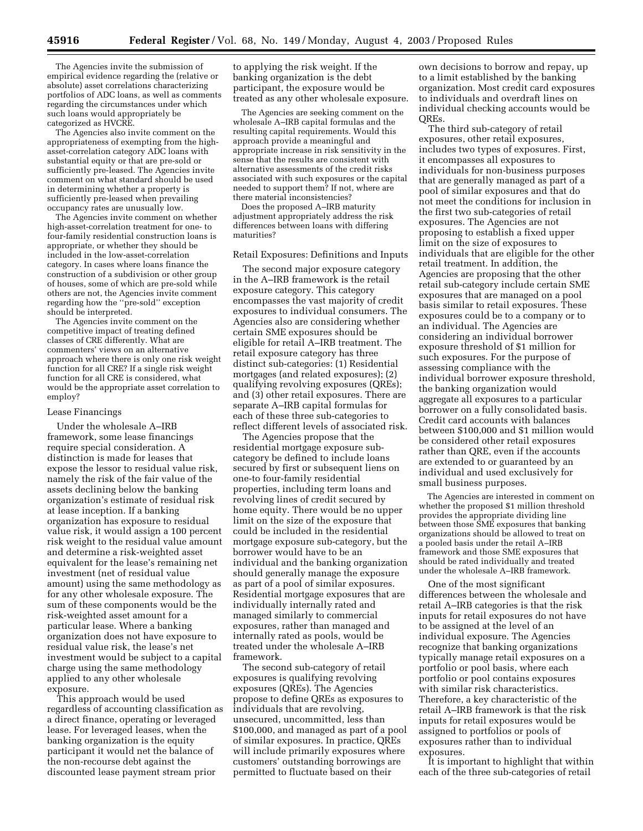The Agencies invite the submission of empirical evidence regarding the (relative or absolute) asset correlations characterizing portfolios of ADC loans, as well as comments regarding the circumstances under which such loans would appropriately be categorized as HVCRE.

The Agencies also invite comment on the appropriateness of exempting from the highasset-correlation category ADC loans with substantial equity or that are pre-sold or sufficiently pre-leased. The Agencies invite comment on what standard should be used in determining whether a property is sufficiently pre-leased when prevailing occupancy rates are unusually low.

The Agencies invite comment on whether high-asset-correlation treatment for one- to four-family residential construction loans is appropriate, or whether they should be included in the low-asset-correlation category. In cases where loans finance the construction of a subdivision or other group of houses, some of which are pre-sold while others are not, the Agencies invite comment regarding how the ''pre-sold'' exception should be interpreted.

The Agencies invite comment on the competitive impact of treating defined classes of CRE differently. What are commenters' views on an alternative approach where there is only one risk weight function for all CRE? If a single risk weight function for all CRE is considered, what would be the appropriate asset correlation to employ?

#### Lease Financings

Under the wholesale A–IRB framework, some lease financings require special consideration. A distinction is made for leases that expose the lessor to residual value risk, namely the risk of the fair value of the assets declining below the banking organization's estimate of residual risk at lease inception. If a banking organization has exposure to residual value risk, it would assign a 100 percent risk weight to the residual value amount and determine a risk-weighted asset equivalent for the lease's remaining net investment (net of residual value amount) using the same methodology as for any other wholesale exposure. The sum of these components would be the risk-weighted asset amount for a particular lease. Where a banking organization does not have exposure to residual value risk, the lease's net investment would be subject to a capital charge using the same methodology applied to any other wholesale exposure.

This approach would be used regardless of accounting classification as a direct finance, operating or leveraged lease. For leveraged leases, when the banking organization is the equity participant it would net the balance of the non-recourse debt against the discounted lease payment stream prior

to applying the risk weight. If the banking organization is the debt participant, the exposure would be treated as any other wholesale exposure.

The Agencies are seeking comment on the wholesale A–IRB capital formulas and the resulting capital requirements. Would this approach provide a meaningful and appropriate increase in risk sensitivity in the sense that the results are consistent with alternative assessments of the credit risks associated with such exposures or the capital needed to support them? If not, where are there material inconsistencies?

Does the proposed A–IRB maturity adjustment appropriately address the risk differences between loans with differing maturities?

#### Retail Exposures: Definitions and Inputs

The second major exposure category in the A–IRB framework is the retail exposure category. This category encompasses the vast majority of credit exposures to individual consumers. The Agencies also are considering whether certain SME exposures should be eligible for retail A–IRB treatment. The retail exposure category has three distinct sub-categories: (1) Residential mortgages (and related exposures); (2) qualifying revolving exposures (QREs); and (3) other retail exposures. There are separate A–IRB capital formulas for each of these three sub-categories to reflect different levels of associated risk.

The Agencies propose that the residential mortgage exposure subcategory be defined to include loans secured by first or subsequent liens on one-to four-family residential properties, including term loans and revolving lines of credit secured by home equity. There would be no upper limit on the size of the exposure that could be included in the residential mortgage exposure sub-category, but the borrower would have to be an individual and the banking organization should generally manage the exposure as part of a pool of similar exposures. Residential mortgage exposures that are individually internally rated and managed similarly to commercial exposures, rather than managed and internally rated as pools, would be treated under the wholesale A–IRB framework.

The second sub-category of retail exposures is qualifying revolving exposures (QREs). The Agencies propose to define QREs as exposures to individuals that are revolving, unsecured, uncommitted, less than \$100,000, and managed as part of a pool of similar exposures. In practice, QREs will include primarily exposures where customers' outstanding borrowings are permitted to fluctuate based on their

own decisions to borrow and repay, up to a limit established by the banking organization. Most credit card exposures to individuals and overdraft lines on individual checking accounts would be QREs.

The third sub-category of retail exposures, other retail exposures, includes two types of exposures. First, it encompasses all exposures to individuals for non-business purposes that are generally managed as part of a pool of similar exposures and that do not meet the conditions for inclusion in the first two sub-categories of retail exposures. The Agencies are not proposing to establish a fixed upper limit on the size of exposures to individuals that are eligible for the other retail treatment. In addition, the Agencies are proposing that the other retail sub-category include certain SME exposures that are managed on a pool basis similar to retail exposures. These exposures could be to a company or to an individual. The Agencies are considering an individual borrower exposure threshold of \$1 million for such exposures. For the purpose of assessing compliance with the individual borrower exposure threshold, the banking organization would aggregate all exposures to a particular borrower on a fully consolidated basis. Credit card accounts with balances between \$100,000 and \$1 million would be considered other retail exposures rather than QRE, even if the accounts are extended to or guaranteed by an individual and used exclusively for small business purposes.

The Agencies are interested in comment on whether the proposed \$1 million threshold provides the appropriate dividing line between those SME exposures that banking organizations should be allowed to treat on a pooled basis under the retail A–IRB framework and those SME exposures that should be rated individually and treated under the wholesale A–IRB framework.

One of the most significant differences between the wholesale and retail A–IRB categories is that the risk inputs for retail exposures do not have to be assigned at the level of an individual exposure. The Agencies recognize that banking organizations typically manage retail exposures on a portfolio or pool basis, where each portfolio or pool contains exposures with similar risk characteristics. Therefore, a key characteristic of the retail A–IRB framework is that the risk inputs for retail exposures would be assigned to portfolios or pools of exposures rather than to individual exposures.

It is important to highlight that within each of the three sub-categories of retail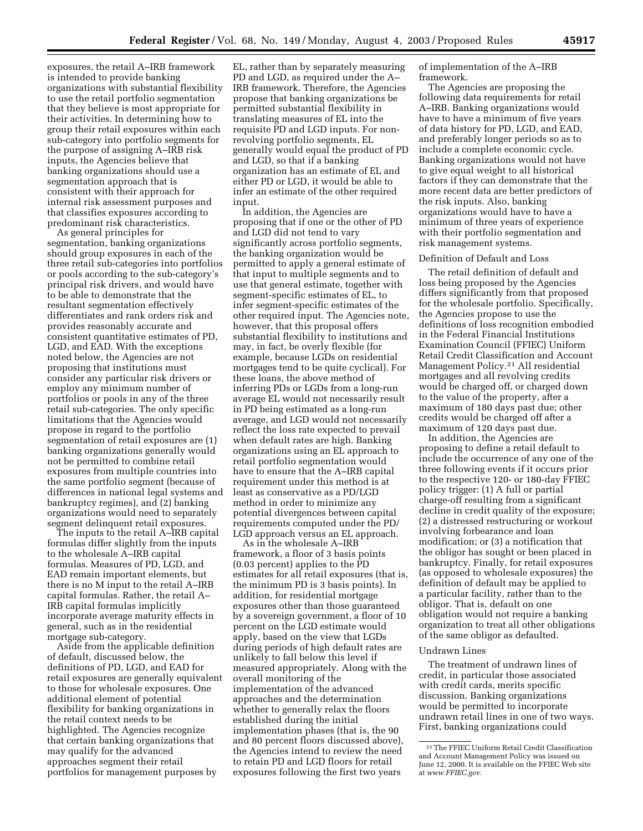exposures, the retail A–IRB framework is intended to provide banking organizations with substantial flexibility to use the retail portfolio segmentation that they believe is most appropriate for their activities. In determining how to group their retail exposures within each sub-category into portfolio segments for the purpose of assigning A–IRB risk inputs, the Agencies believe that banking organizations should use a segmentation approach that is consistent with their approach for internal risk assessment purposes and that classifies exposures according to predominant risk characteristics.

As general principles for segmentation, banking organizations should group exposures in each of the three retail sub-categories into portfolios or pools according to the sub-category's principal risk drivers, and would have to be able to demonstrate that the resultant segmentation effectively differentiates and rank orders risk and provides reasonably accurate and consistent quantitative estimates of PD, LGD, and EAD. With the exceptions noted below, the Agencies are not proposing that institutions must consider any particular risk drivers or employ any minimum number of portfolios or pools in any of the three retail sub-categories. The only specific limitations that the Agencies would propose in regard to the portfolio segmentation of retail exposures are (1) banking organizations generally would not be permitted to combine retail exposures from multiple countries into the same portfolio segment (because of differences in national legal systems and bankruptcy regimes), and (2) banking organizations would need to separately segment delinquent retail exposures.

The inputs to the retail A–IRB capital formulas differ slightly from the inputs to the wholesale A–IRB capital formulas. Measures of PD, LGD, and EAD remain important elements, but there is no M input to the retail A–IRB capital formulas. Rather, the retail A– IRB capital formulas implicitly incorporate average maturity effects in general, such as in the residential mortgage sub-category.

Aside from the applicable definition of default, discussed below, the definitions of PD, LGD, and EAD for retail exposures are generally equivalent to those for wholesale exposures. One additional element of potential flexibility for banking organizations in the retail context needs to be highlighted. The Agencies recognize that certain banking organizations that may qualify for the advanced approaches segment their retail portfolios for management purposes by

EL, rather than by separately measuring PD and LGD, as required under the A– IRB framework. Therefore, the Agencies propose that banking organizations be permitted substantial flexibility in translating measures of EL into the requisite PD and LGD inputs. For nonrevolving portfolio segments, EL generally would equal the product of PD and LGD, so that if a banking organization has an estimate of EL and either PD or LGD, it would be able to infer an estimate of the other required input.

In addition, the Agencies are proposing that if one or the other of PD and LGD did not tend to vary significantly across portfolio segments, the banking organization would be permitted to apply a general estimate of that input to multiple segments and to use that general estimate, together with segment-specific estimates of EL, to infer segment-specific estimates of the other required input. The Agencies note, however, that this proposal offers substantial flexibility to institutions and may, in fact, be overly flexible (for example, because LGDs on residential mortgages tend to be quite cyclical). For these loans, the above method of inferring PDs or LGDs from a long-run average EL would not necessarily result in PD being estimated as a long-run average, and LGD would not necessarily reflect the loss rate expected to prevail when default rates are high. Banking organizations using an EL approach to retail portfolio segmentation would have to ensure that the A–IRB capital requirement under this method is at least as conservative as a PD/LGD method in order to minimize any potential divergences between capital requirements computed under the PD/ LGD approach versus an EL approach.

As in the wholesale A–IRB framework, a floor of 3 basis points (0.03 percent) applies to the PD estimates for all retail exposures (that is, the minimum PD is 3 basis points). In addition, for residential mortgage exposures other than those guaranteed by a sovereign government, a floor of 10 percent on the LGD estimate would apply, based on the view that LGDs during periods of high default rates are unlikely to fall below this level if measured appropriately. Along with the overall monitoring of the implementation of the advanced approaches and the determination whether to generally relax the floors established during the initial implementation phases (that is, the 90 and 80 percent floors discussed above), the Agencies intend to review the need to retain PD and LGD floors for retail exposures following the first two years

of implementation of the A–IRB framework.

The Agencies are proposing the following data requirements for retail A–IRB. Banking organizations would have to have a minimum of five years of data history for PD, LGD, and EAD, and preferably longer periods so as to include a complete economic cycle. Banking organizations would not have to give equal weight to all historical factors if they can demonstrate that the more recent data are better predictors of the risk inputs. Also, banking organizations would have to have a minimum of three years of experience with their portfolio segmentation and risk management systems.

#### Definition of Default and Loss

The retail definition of default and loss being proposed by the Agencies differs significantly from that proposed for the wholesale portfolio. Specifically, the Agencies propose to use the definitions of loss recognition embodied in the Federal Financial Institutions Examination Council (FFIEC) Uniform Retail Credit Classification and Account Management Policy.21 All residential mortgages and all revolving credits would be charged off, or charged down to the value of the property, after a maximum of 180 days past due; other credits would be charged off after a maximum of 120 days past due.

In addition, the Agencies are proposing to define a retail default to include the occurrence of any one of the three following events if it occurs prior to the respective 120- or 180-day FFIEC policy trigger: (1) A full or partial charge-off resulting from a significant decline in credit quality of the exposure; (2) a distressed restructuring or workout involving forbearance and loan modification; or (3) a notification that the obligor has sought or been placed in bankruptcy. Finally, for retail exposures (as opposed to wholesale exposures) the definition of default may be applied to a particular facility, rather than to the obligor. That is, default on one obligation would not require a banking organization to treat all other obligations of the same obligor as defaulted.

#### Undrawn Lines

The treatment of undrawn lines of credit, in particular those associated with credit cards, merits specific discussion. Banking organizations would be permitted to incorporate undrawn retail lines in one of two ways. First, banking organizations could

<sup>21</sup>The FFIEC Uniform Retail Credit Classification and Account Management Policy was issued on June 12, 2000. It is available on the FFIEC Web site at *[www.FFIEC.gov.](http://www.FFIEC.gov)*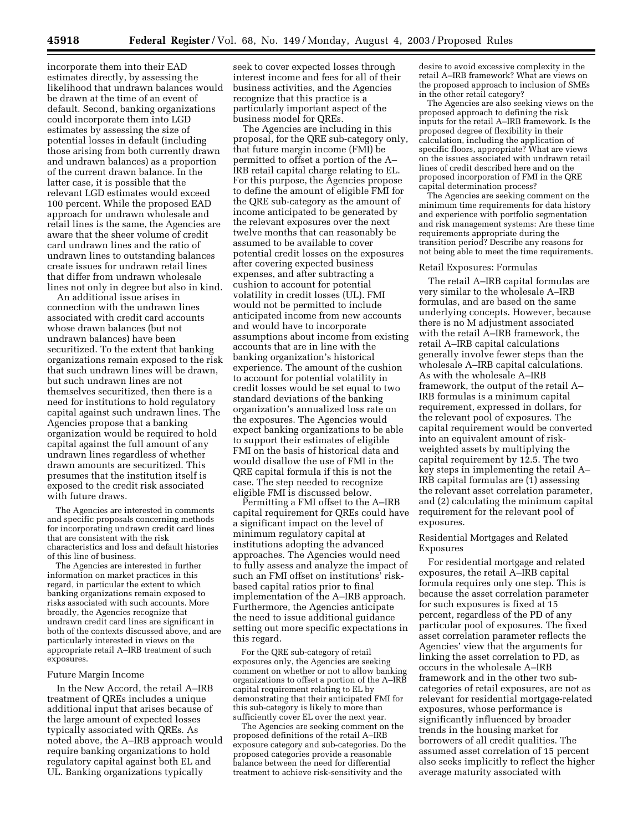incorporate them into their EAD estimates directly, by assessing the likelihood that undrawn balances would be drawn at the time of an event of default. Second, banking organizations could incorporate them into LGD estimates by assessing the size of potential losses in default (including those arising from both currently drawn and undrawn balances) as a proportion of the current drawn balance. In the latter case, it is possible that the relevant LGD estimates would exceed 100 percent. While the proposed EAD approach for undrawn wholesale and retail lines is the same, the Agencies are aware that the sheer volume of credit card undrawn lines and the ratio of undrawn lines to outstanding balances create issues for undrawn retail lines that differ from undrawn wholesale lines not only in degree but also in kind.

An additional issue arises in connection with the undrawn lines associated with credit card accounts whose drawn balances (but not undrawn balances) have been securitized. To the extent that banking organizations remain exposed to the risk that such undrawn lines will be drawn, but such undrawn lines are not themselves securitized, then there is a need for institutions to hold regulatory capital against such undrawn lines. The Agencies propose that a banking organization would be required to hold capital against the full amount of any undrawn lines regardless of whether drawn amounts are securitized. This presumes that the institution itself is exposed to the credit risk associated with future draws.

The Agencies are interested in comments and specific proposals concerning methods for incorporating undrawn credit card lines that are consistent with the risk characteristics and loss and default histories of this line of business.

The Agencies are interested in further information on market practices in this regard, in particular the extent to which banking organizations remain exposed to risks associated with such accounts. More broadly, the Agencies recognize that undrawn credit card lines are significant in both of the contexts discussed above, and are particularly interested in views on the appropriate retail A–IRB treatment of such exposures.

#### Future Margin Income

In the New Accord, the retail A–IRB treatment of QREs includes a unique additional input that arises because of the large amount of expected losses typically associated with QREs. As noted above, the A–IRB approach would require banking organizations to hold regulatory capital against both EL and UL. Banking organizations typically

seek to cover expected losses through interest income and fees for all of their business activities, and the Agencies recognize that this practice is a particularly important aspect of the business model for QREs.

The Agencies are including in this proposal, for the QRE sub-category only, that future margin income (FMI) be permitted to offset a portion of the A– IRB retail capital charge relating to EL. For this purpose, the Agencies propose to define the amount of eligible FMI for the QRE sub-category as the amount of income anticipated to be generated by the relevant exposures over the next twelve months that can reasonably be assumed to be available to cover potential credit losses on the exposures after covering expected business expenses, and after subtracting a cushion to account for potential volatility in credit losses (UL). FMI would not be permitted to include anticipated income from new accounts and would have to incorporate assumptions about income from existing accounts that are in line with the banking organization's historical experience. The amount of the cushion to account for potential volatility in credit losses would be set equal to two standard deviations of the banking organization's annualized loss rate on the exposures. The Agencies would expect banking organizations to be able to support their estimates of eligible FMI on the basis of historical data and would disallow the use of FMI in the QRE capital formula if this is not the case. The step needed to recognize eligible FMI is discussed below.

Permitting a FMI offset to the A–IRB capital requirement for QREs could have a significant impact on the level of minimum regulatory capital at institutions adopting the advanced approaches. The Agencies would need to fully assess and analyze the impact of such an FMI offset on institutions' riskbased capital ratios prior to final implementation of the A–IRB approach. Furthermore, the Agencies anticipate the need to issue additional guidance setting out more specific expectations in this regard.

For the QRE sub-category of retail exposures only, the Agencies are seeking comment on whether or not to allow banking organizations to offset a portion of the A–IRB capital requirement relating to EL by demonstrating that their anticipated FMI for this sub-category is likely to more than sufficiently cover EL over the next year.

The Agencies are seeking comment on the proposed definitions of the retail A–IRB exposure category and sub-categories. Do the proposed categories provide a reasonable balance between the need for differential treatment to achieve risk-sensitivity and the

desire to avoid excessive complexity in the retail A–IRB framework? What are views on the proposed approach to inclusion of SMEs in the other retail category?

The Agencies are also seeking views on the proposed approach to defining the risk inputs for the retail A–IRB framework. Is the proposed degree of flexibility in their calculation, including the application of specific floors, appropriate? What are views on the issues associated with undrawn retail lines of credit described here and on the proposed incorporation of FMI in the QRE capital determination process?

The Agencies are seeking comment on the minimum time requirements for data history and experience with portfolio segmentation and risk management systems: Are these time requirements appropriate during the transition period? Describe any reasons for not being able to meet the time requirements.

#### Retail Exposures: Formulas

The retail A–IRB capital formulas are very similar to the wholesale A–IRB formulas, and are based on the same underlying concepts. However, because there is no M adjustment associated with the retail A–IRB framework, the retail A–IRB capital calculations generally involve fewer steps than the wholesale A–IRB capital calculations. As with the wholesale A–IRB framework, the output of the retail A– IRB formulas is a minimum capital requirement, expressed in dollars, for the relevant pool of exposures. The capital requirement would be converted into an equivalent amount of riskweighted assets by multiplying the capital requirement by 12.5. The two key steps in implementing the retail A– IRB capital formulas are (1) assessing the relevant asset correlation parameter, and (2) calculating the minimum capital requirement for the relevant pool of exposures.

#### Residential Mortgages and Related Exposures

For residential mortgage and related exposures, the retail A–IRB capital formula requires only one step. This is because the asset correlation parameter for such exposures is fixed at 15 percent, regardless of the PD of any particular pool of exposures. The fixed asset correlation parameter reflects the Agencies' view that the arguments for linking the asset correlation to PD, as occurs in the wholesale A–IRB framework and in the other two subcategories of retail exposures, are not as relevant for residential mortgage-related exposures, whose performance is significantly influenced by broader trends in the housing market for borrowers of all credit qualities. The assumed asset correlation of 15 percent also seeks implicitly to reflect the higher average maturity associated with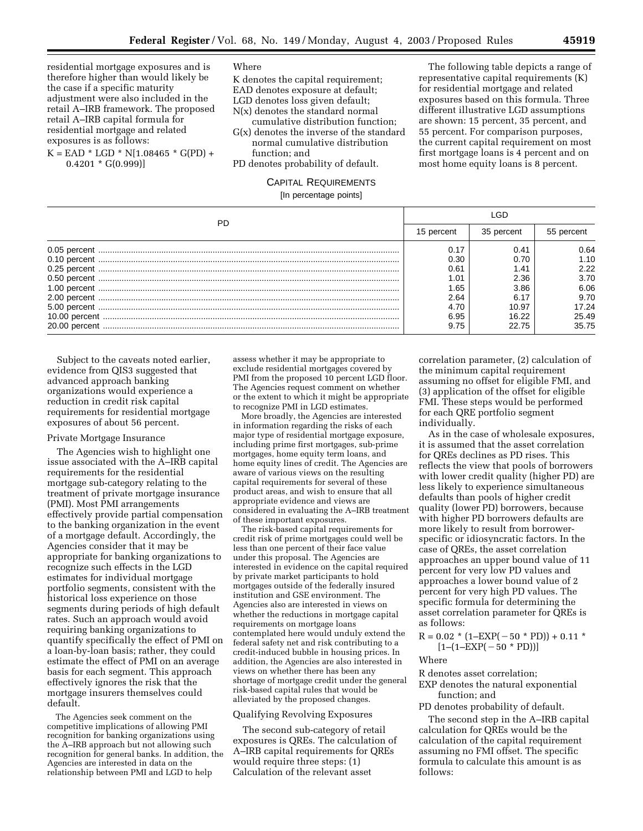residential mortgage exposures and is therefore higher than would likely be the case if a specific maturity adjustment were also included in the retail A–IRB framework. The proposed retail A–IRB capital formula for residential mortgage and related exposures is as follows:

 $K =$  EAD \* LGD \* N[1.08465 \* G(PD) +  $0.4201 * G(0.999)$ 

**Where** 

K denotes the capital requirement;

EAD denotes exposure at default;

- LGD denotes loss given default;
- N(x) denotes the standard normal
- cumulative distribution function;
- G(x) denotes the inverse of the standard normal cumulative distribution function; and
- PD denotes probability of default.

representative capital requirements (K) for residential mortgage and related exposures based on this formula. Three different illustrative LGD assumptions are shown: 15 percent, 35 percent, and 55 percent. For comparison purposes, the current capital requirement on most first mortgage loans is 4 percent and on most home equity loans is 8 percent.

The following table depicts a range of

| <b>CAPITAL REQUIREMENTS</b> |
|-----------------------------|
| [In percentage points]      |

| PD | 15 percent | 35 percent | 55 percent |
|----|------------|------------|------------|
|    | 0.17       | 0.41       | 0.64       |
|    | 0.30       | 0.70       | 1.10       |
|    | 0.61       | .41        | 2.22       |
|    | 1.01       | 2.36       | 3.70       |
|    | 1.65       | 3.86       | 6.06       |
|    | 2.64       | 6.17       | 9.70       |
|    | 4.70       | 10.97      | 17.24      |
|    | 6.95       | 16.22      | 25.49      |
|    | 9.75       | 22.75      | 35.75      |

Subject to the caveats noted earlier, evidence from QIS3 suggested that advanced approach banking organizations would experience a reduction in credit risk capital requirements for residential mortgage exposures of about 56 percent.

#### Private Mortgage Insurance

The Agencies wish to highlight one issue associated with the A–IRB capital requirements for the residential mortgage sub-category relating to the treatment of private mortgage insurance (PMI). Most PMI arrangements effectively provide partial compensation to the banking organization in the event of a mortgage default. Accordingly, the Agencies consider that it may be appropriate for banking organizations to recognize such effects in the LGD estimates for individual mortgage portfolio segments, consistent with the historical loss experience on those segments during periods of high default rates. Such an approach would avoid requiring banking organizations to quantify specifically the effect of PMI on a loan-by-loan basis; rather, they could estimate the effect of PMI on an average basis for each segment. This approach effectively ignores the risk that the mortgage insurers themselves could default.

The Agencies seek comment on the competitive implications of allowing PMI recognition for banking organizations using the A–IRB approach but not allowing such recognition for general banks. In addition, the Agencies are interested in data on the relationship between PMI and LGD to help

assess whether it may be appropriate to exclude residential mortgages covered by PMI from the proposed 10 percent LGD floor. The Agencies request comment on whether or the extent to which it might be appropriate to recognize PMI in LGD estimates.

More broadly, the Agencies are interested in information regarding the risks of each major type of residential mortgage exposure, including prime first mortgages, sub-prime mortgages, home equity term loans, and home equity lines of credit. The Agencies are aware of various views on the resulting capital requirements for several of these product areas, and wish to ensure that all appropriate evidence and views are considered in evaluating the A–IRB treatment of these important exposures.

The risk-based capital requirements for credit risk of prime mortgages could well be less than one percent of their face value under this proposal. The Agencies are interested in evidence on the capital required by private market participants to hold mortgages outside of the federally insured institution and GSE environment. The Agencies also are interested in views on whether the reductions in mortgage capital requirements on mortgage loans contemplated here would unduly extend the federal safety net and risk contributing to a credit-induced bubble in housing prices. In addition, the Agencies are also interested in views on whether there has been any shortage of mortgage credit under the general risk-based capital rules that would be alleviated by the proposed changes.

#### Qualifying Revolving Exposures

The second sub-category of retail exposures is QREs. The calculation of A–IRB capital requirements for QREs would require three steps: (1) Calculation of the relevant asset

correlation parameter, (2) calculation of the minimum capital requirement assuming no offset for eligible FMI, and (3) application of the offset for eligible FMI. These steps would be performed for each QRE portfolio segment individually.

As in the case of wholesale exposures, it is assumed that the asset correlation for QREs declines as PD rises. This reflects the view that pools of borrowers with lower credit quality (higher PD) are less likely to experience simultaneous defaults than pools of higher credit quality (lower PD) borrowers, because with higher PD borrowers defaults are more likely to result from borrowerspecific or idiosyncratic factors. In the case of QREs, the asset correlation approaches an upper bound value of 11 percent for very low PD values and approaches a lower bound value of 2 percent for very high PD values. The specific formula for determining the asset correlation parameter for QREs is as follows:

$$
R = 0.02 * (1 - EXP(-50 * PD)) + 0.11 * [1 - (1 - EXP(-50 * PD))]
$$

**Where** 

R denotes asset correlation; EXP denotes the natural exponential function; and

PD denotes probability of default.

The second step in the A–IRB capital calculation for QREs would be the calculation of the capital requirement assuming no FMI offset. The specific formula to calculate this amount is as follows: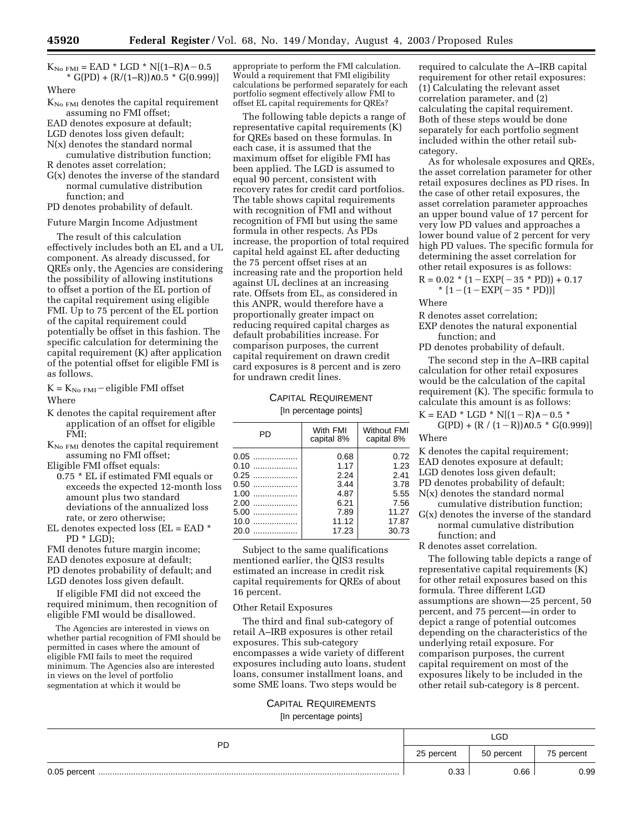$K_{\text{No FM}} =$  EAD \* LGD \* N[(1–R) $\land$  - 0.5  $*$  G(PD) + (R/(1–R))∧0.5  $*$  G(0.999)] Where

- $K_{\text{No FM}}$  denotes the capital requirement assuming no FMI offset;
- EAD denotes exposure at default;
- LGD denotes loss given default;
- N(x) denotes the standard normal
- cumulative distribution function; R denotes asset correlation;
- G(x) denotes the inverse of the standard normal cumulative distribution function; and
- PD denotes probability of default.

#### Future Margin Income Adjustment

The result of this calculation effectively includes both an EL and a UL component. As already discussed, for QREs only, the Agencies are considering the possibility of allowing institutions to offset a portion of the EL portion of the capital requirement using eligible FMI. Up to 75 percent of the EL portion of the capital requirement could potentially be offset in this fashion. The specific calculation for determining the capital requirement (K) after application of the potential offset for eligible FMI is as follows.

 $K = K_{No\ FMI}$  – eligible FMI offset Where

- K denotes the capital requirement after application of an offset for eligible FMI;
- $K_{\text{No FM}}$  denotes the capital requirement assuming no FMI offset;

Eligible FMI offset equals:

- 0.75 \* EL if estimated FMI equals or exceeds the expected 12-month loss amount plus two standard deviations of the annualized loss rate, or zero otherwise;
- EL denotes expected loss  $(EL = EAD *$ PD \* LGD);

FMI denotes future margin income; EAD denotes exposure at default; PD denotes probability of default; and LGD denotes loss given default.

If eligible FMI did not exceed the required minimum, then recognition of eligible FMI would be disallowed.

The Agencies are interested in views on whether partial recognition of FMI should be permitted in cases where the amount of eligible FMI fails to meet the required minimum. The Agencies also are interested in views on the level of portfolio segmentation at which it would be

appropriate to perform the FMI calculation. Would a requirement that FMI eligibility calculations be performed separately for each portfolio segment effectively allow FMI to offset EL capital requirements for QREs?

The following table depicts a range of representative capital requirements (K) for QREs based on these formulas. In each case, it is assumed that the maximum offset for eligible FMI has been applied. The LGD is assumed to equal 90 percent, consistent with recovery rates for credit card portfolios. The table shows capital requirements with recognition of FMI and without recognition of FMI but using the same formula in other respects. As PDs increase, the proportion of total required capital held against EL after deducting the 75 percent offset rises at an increasing rate and the proportion held against UL declines at an increasing rate. Offsets from EL, as considered in this ANPR, would therefore have a proportionally greater impact on reducing required capital charges as default probabilities increase. For comparison purposes, the current capital requirement on drawn credit card exposures is 8 percent and is zero for undrawn credit lines.

# CAPITAL REQUIREMENT

[In percentage points]

| PD     | With FMI<br>capital 8% | <b>Without FMI</b><br>capital 8% |
|--------|------------------------|----------------------------------|
| 0.05   | 0.68                   | 0.72                             |
| 0.10   | 1.17                   | 1.23                             |
| $0.25$ | 2.24                   | 2.41                             |
| 0.50   | 3.44                   | 3.78                             |
| $1.00$ | 4.87                   | 5.55                             |
| 2.00   | 6.21                   | 7.56                             |
| 5.00   | 7.89                   | 11.27                            |
| 10.0   | 11.12                  | 17.87                            |
| 20.0   | 17.23                  | 30.73                            |

Subject to the same qualifications mentioned earlier, the QIS3 results estimated an increase in credit risk capital requirements for QREs of about 16 percent.

#### Other Retail Exposures

The third and final sub-category of retail A–IRB exposures is other retail exposures. This sub-category encompasses a wide variety of different exposures including auto loans, student loans, consumer installment loans, and some SME loans. Two steps would be

# CAPITAL REQUIREMENTS

[In percentage points]

required to calculate the A–IRB capital requirement for other retail exposures: (1) Calculating the relevant asset correlation parameter, and (2) calculating the capital requirement. Both of these steps would be done separately for each portfolio segment included within the other retail subcategory.

As for wholesale exposures and QREs, the asset correlation parameter for other retail exposures declines as PD rises. In the case of other retail exposures, the asset correlation parameter approaches an upper bound value of 17 percent for very low PD values and approaches a lower bound value of 2 percent for very high PD values. The specific formula for determining the asset correlation for other retail exposures is as follows:  $R = 0.02 * (1 - EXP(-35 * P)) + 0.17$ 

$$
K = 0.02 \quad (1 - EXY(-33 + FD)) + 0.1
$$
  
\* [1 - (1 - EXP(-35 \* PD))]

Where

R denotes asset correlation;

EXP denotes the natural exponential function; and

PD denotes probability of default.

The second step in the A–IRB capital calculation for other retail exposures would be the calculation of the capital requirement (K). The specific formula to calculate this amount is as follows:

 $K = EAD * LGD * N[(1-R)<sub>A</sub> - 0.5 *$  $G(PD) + (R / (1 - R)) \wedge 0.5 * G(0.999)]$ 

Where

K denotes the capital requirement;

EAD denotes exposure at default;

LGD denotes loss given default;

- PD denotes probability of default;
- N(x) denotes the standard normal
- cumulative distribution function; G(x) denotes the inverse of the standard

normal cumulative distribution function; and

R denotes asset correlation.

The following table depicts a range of representative capital requirements (K) for other retail exposures based on this formula. Three different LGD assumptions are shown—25 percent, 50 percent, and 75 percent—in order to depict a range of potential outcomes depending on the characteristics of the underlying retail exposure. For comparison purposes, the current capital requirement on most of the exposures likely to be included in the other retail sub-category is 8 percent.

| <b>PD</b> |      | LGD        |            |  |
|-----------|------|------------|------------|--|
|           |      | 50 percent | 75 percent |  |
|           | 0.33 | 0.66       | 0.99       |  |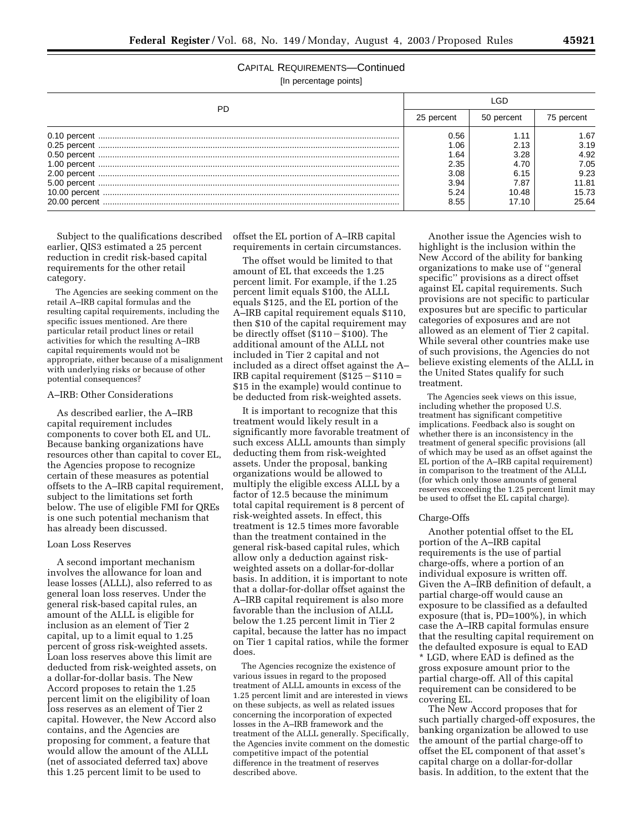# CAPITAL REQUIREMENTS—Continued

[In percentage points]

| PD |            |            |            |
|----|------------|------------|------------|
|    | 25 percent | 50 percent | 75 percent |
|    | 0.56       |            | 1.67       |
|    | 1.06       |            | 3.19       |
|    | 1.64       | 3.28       | 4.92       |
|    | 2.35       | 4.70       | 7.05       |
|    | 3.08       | 6.15       | 9.23       |
|    | 3.94       | 7.87       | 11.81      |
|    | 5.24       | 10.48      | 15.73      |
|    | 8.55       | 17.10      | 25.64      |

Subject to the qualifications described earlier, QIS3 estimated a 25 percent reduction in credit risk-based capital requirements for the other retail category.

The Agencies are seeking comment on the retail A–IRB capital formulas and the resulting capital requirements, including the specific issues mentioned. Are there particular retail product lines or retail activities for which the resulting A–IRB capital requirements would not be appropriate, either because of a misalignment with underlying risks or because of other potential consequences?

#### A–IRB: Other Considerations

As described earlier, the A–IRB capital requirement includes components to cover both EL and UL. Because banking organizations have resources other than capital to cover EL, the Agencies propose to recognize certain of these measures as potential offsets to the A–IRB capital requirement, subject to the limitations set forth below. The use of eligible FMI for QREs is one such potential mechanism that has already been discussed.

#### Loan Loss Reserves

A second important mechanism involves the allowance for loan and lease losses (ALLL), also referred to as general loan loss reserves. Under the general risk-based capital rules, an amount of the ALLL is eligible for inclusion as an element of Tier 2 capital, up to a limit equal to 1.25 percent of gross risk-weighted assets. Loan loss reserves above this limit are deducted from risk-weighted assets, on a dollar-for-dollar basis. The New Accord proposes to retain the 1.25 percent limit on the eligibility of loan loss reserves as an element of Tier 2 capital. However, the New Accord also contains, and the Agencies are proposing for comment, a feature that would allow the amount of the ALLL (net of associated deferred tax) above this 1.25 percent limit to be used to

offset the EL portion of A–IRB capital requirements in certain circumstances.

The offset would be limited to that amount of EL that exceeds the 1.25 percent limit. For example, if the 1.25 percent limit equals \$100, the ALLL equals \$125, and the EL portion of the A–IRB capital requirement equals \$110, then \$10 of the capital requirement may be directly offset  $(\$110 - \$100)$ . The additional amount of the ALLL not included in Tier 2 capital and not included as a direct offset against the A– IRB capital requirement  $($125 - $110 =$ \$15 in the example) would continue to be deducted from risk-weighted assets.

It is important to recognize that this treatment would likely result in a significantly more favorable treatment of such excess ALLL amounts than simply deducting them from risk-weighted assets. Under the proposal, banking organizations would be allowed to multiply the eligible excess ALLL by a factor of 12.5 because the minimum total capital requirement is 8 percent of risk-weighted assets. In effect, this treatment is 12.5 times more favorable than the treatment contained in the general risk-based capital rules, which allow only a deduction against riskweighted assets on a dollar-for-dollar basis. In addition, it is important to note that a dollar-for-dollar offset against the A–IRB capital requirement is also more favorable than the inclusion of ALLL below the 1.25 percent limit in Tier 2 capital, because the latter has no impact on Tier 1 capital ratios, while the former does.

The Agencies recognize the existence of various issues in regard to the proposed treatment of ALLL amounts in excess of the 1.25 percent limit and are interested in views on these subjects, as well as related issues concerning the incorporation of expected losses in the A–IRB framework and the treatment of the ALLL generally. Specifically, the Agencies invite comment on the domestic competitive impact of the potential difference in the treatment of reserves described above.

Another issue the Agencies wish to highlight is the inclusion within the New Accord of the ability for banking organizations to make use of ''general specific'' provisions as a direct offset against EL capital requirements. Such provisions are not specific to particular exposures but are specific to particular categories of exposures and are not allowed as an element of Tier 2 capital. While several other countries make use of such provisions, the Agencies do not believe existing elements of the ALLL in the United States qualify for such treatment.

The Agencies seek views on this issue, including whether the proposed U.S. treatment has significant competitive implications. Feedback also is sought on whether there is an inconsistency in the treatment of general specific provisions (all of which may be used as an offset against the EL portion of the A–IRB capital requirement) in comparison to the treatment of the ALLL (for which only those amounts of general reserves exceeding the 1.25 percent limit may be used to offset the EL capital charge).

#### Charge-Offs

Another potential offset to the EL portion of the A–IRB capital requirements is the use of partial charge-offs, where a portion of an individual exposure is written off. Given the A–IRB definition of default, a partial charge-off would cause an exposure to be classified as a defaulted exposure (that is, PD=100%), in which case the A–IRB capital formulas ensure that the resulting capital requirement on the defaulted exposure is equal to EAD \* LGD, where EAD is defined as the gross exposure amount prior to the partial charge-off. All of this capital requirement can be considered to be covering EL.

The New Accord proposes that for such partially charged-off exposures, the banking organization be allowed to use the amount of the partial charge-off to offset the EL component of that asset's capital charge on a dollar-for-dollar basis. In addition, to the extent that the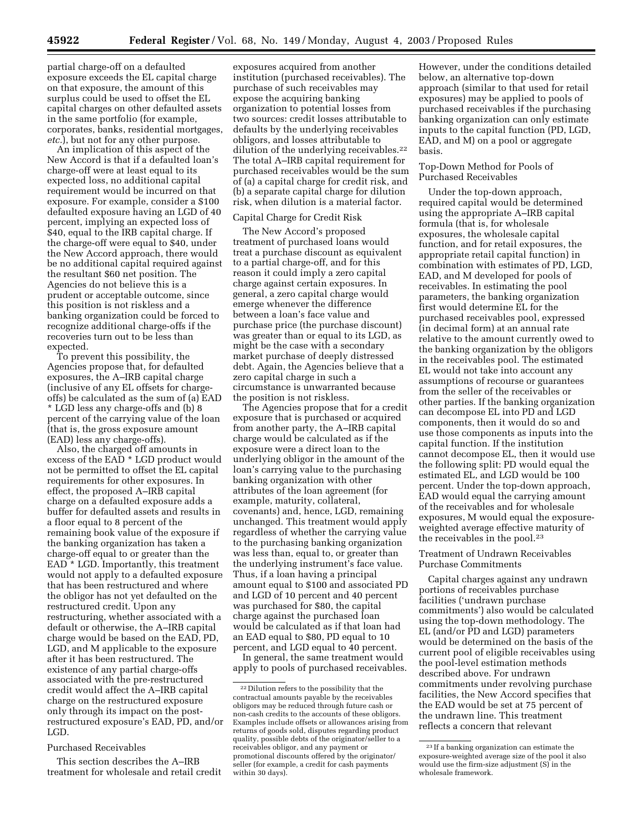partial charge-off on a defaulted exposure exceeds the EL capital charge on that exposure, the amount of this surplus could be used to offset the EL capital charges on other defaulted assets in the same portfolio (for example, corporates, banks, residential mortgages, *etc.*), but not for any other purpose.

An implication of this aspect of the New Accord is that if a defaulted loan's charge-off were at least equal to its expected loss, no additional capital requirement would be incurred on that exposure. For example, consider a \$100 defaulted exposure having an LGD of 40 percent, implying an expected loss of \$40, equal to the IRB capital charge. If the charge-off were equal to \$40, under the New Accord approach, there would be no additional capital required against the resultant \$60 net position. The Agencies do not believe this is a prudent or acceptable outcome, since this position is not riskless and a banking organization could be forced to recognize additional charge-offs if the recoveries turn out to be less than expected.

To prevent this possibility, the Agencies propose that, for defaulted exposures, the A–IRB capital charge (inclusive of any EL offsets for chargeoffs) be calculated as the sum of (a) EAD \* LGD less any charge-offs and (b) 8 percent of the carrying value of the loan (that is, the gross exposure amount (EAD) less any charge-offs).

Also, the charged off amounts in excess of the EAD \* LGD product would not be permitted to offset the EL capital requirements for other exposures. In effect, the proposed A–IRB capital charge on a defaulted exposure adds a buffer for defaulted assets and results in a floor equal to 8 percent of the remaining book value of the exposure if the banking organization has taken a charge-off equal to or greater than the EAD \* LGD. Importantly, this treatment would not apply to a defaulted exposure that has been restructured and where the obligor has not yet defaulted on the restructured credit. Upon any restructuring, whether associated with a default or otherwise, the A–IRB capital charge would be based on the EAD, PD, LGD, and M applicable to the exposure after it has been restructured. The existence of any partial charge-offs associated with the pre-restructured credit would affect the A–IRB capital charge on the restructured exposure only through its impact on the postrestructured exposure's EAD, PD, and/or LGD.

#### Purchased Receivables

This section describes the A–IRB treatment for wholesale and retail credit

exposures acquired from another institution (purchased receivables). The purchase of such receivables may expose the acquiring banking organization to potential losses from two sources: credit losses attributable to defaults by the underlying receivables obligors, and losses attributable to dilution of the underlying receivables.<sup>22</sup> The total A–IRB capital requirement for purchased receivables would be the sum of (a) a capital charge for credit risk, and (b) a separate capital charge for dilution risk, when dilution is a material factor.

#### Capital Charge for Credit Risk

The New Accord's proposed treatment of purchased loans would treat a purchase discount as equivalent to a partial charge-off, and for this reason it could imply a zero capital charge against certain exposures. In general, a zero capital charge would emerge whenever the difference between a loan's face value and purchase price (the purchase discount) was greater than or equal to its LGD, as might be the case with a secondary market purchase of deeply distressed debt. Again, the Agencies believe that a zero capital charge in such a circumstance is unwarranted because the position is not riskless.

The Agencies propose that for a credit exposure that is purchased or acquired from another party, the A–IRB capital charge would be calculated as if the exposure were a direct loan to the underlying obligor in the amount of the loan's carrying value to the purchasing banking organization with other attributes of the loan agreement (for example, maturity, collateral, covenants) and, hence, LGD, remaining unchanged. This treatment would apply regardless of whether the carrying value to the purchasing banking organization was less than, equal to, or greater than the underlying instrument's face value. Thus, if a loan having a principal amount equal to \$100 and associated PD and LGD of 10 percent and 40 percent was purchased for \$80, the capital charge against the purchased loan would be calculated as if that loan had an EAD equal to \$80, PD equal to 10 percent, and LGD equal to 40 percent.

In general, the same treatment would apply to pools of purchased receivables.

However, under the conditions detailed below, an alternative top-down approach (similar to that used for retail exposures) may be applied to pools of purchased receivables if the purchasing banking organization can only estimate inputs to the capital function (PD, LGD, EAD, and M) on a pool or aggregate basis.

# Top-Down Method for Pools of Purchased Receivables

Under the top-down approach, required capital would be determined using the appropriate A–IRB capital formula (that is, for wholesale exposures, the wholesale capital function, and for retail exposures, the appropriate retail capital function) in combination with estimates of PD, LGD, EAD, and M developed for pools of receivables. In estimating the pool parameters, the banking organization first would determine EL for the purchased receivables pool, expressed (in decimal form) at an annual rate relative to the amount currently owed to the banking organization by the obligors in the receivables pool. The estimated EL would not take into account any assumptions of recourse or guarantees from the seller of the receivables or other parties. If the banking organization can decompose EL into PD and LGD components, then it would do so and use those components as inputs into the capital function. If the institution cannot decompose EL, then it would use the following split: PD would equal the estimated EL, and LGD would be 100 percent. Under the top-down approach, EAD would equal the carrying amount of the receivables and for wholesale exposures, M would equal the exposureweighted average effective maturity of the receivables in the pool.23

Treatment of Undrawn Receivables Purchase Commitments

Capital charges against any undrawn portions of receivables purchase facilities ('undrawn purchase commitments') also would be calculated using the top-down methodology. The EL (and/or PD and LGD) parameters would be determined on the basis of the current pool of eligible receivables using the pool-level estimation methods described above. For undrawn commitments under revolving purchase facilities, the New Accord specifies that the EAD would be set at 75 percent of the undrawn line. This treatment reflects a concern that relevant

<sup>22</sup> Dilution refers to the possibility that the contractual amounts payable by the receivables obligors may be reduced through future cash or non-cash credits to the accounts of these obligors. Examples include offsets or allowances arising from returns of goods sold, disputes regarding product quality, possible debts of the originator/seller to a receivables obligor, and any payment or promotional discounts offered by the originator/ seller (for example, a credit for cash payments within 30 days).

<sup>23</sup> If a banking organization can estimate the exposure-weighted average size of the pool it also would use the firm-size adjustment (S) in the wholesale framework.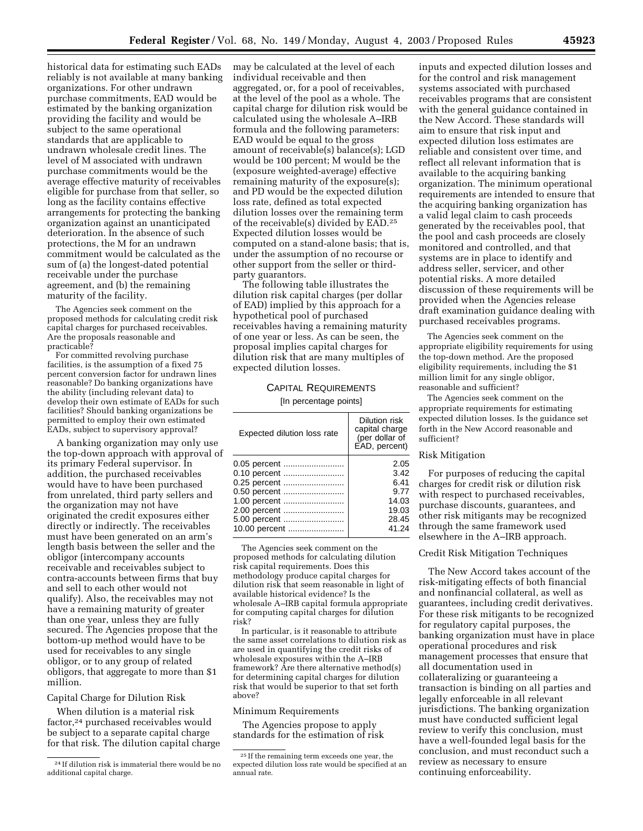historical data for estimating such EADs reliably is not available at many banking organizations. For other undrawn purchase commitments, EAD would be estimated by the banking organization providing the facility and would be subject to the same operational standards that are applicable to undrawn wholesale credit lines. The level of M associated with undrawn purchase commitments would be the average effective maturity of receivables eligible for purchase from that seller, so long as the facility contains effective arrangements for protecting the banking organization against an unanticipated deterioration. In the absence of such protections, the M for an undrawn commitment would be calculated as the sum of (a) the longest-dated potential receivable under the purchase agreement, and (b) the remaining maturity of the facility.

The Agencies seek comment on the proposed methods for calculating credit risk capital charges for purchased receivables. Are the proposals reasonable and practicable?

For committed revolving purchase facilities, is the assumption of a fixed 75 percent conversion factor for undrawn lines reasonable? Do banking organizations have the ability (including relevant data) to develop their own estimate of EADs for such facilities? Should banking organizations be permitted to employ their own estimated EADs, subject to supervisory approval?

A banking organization may only use the top-down approach with approval of its primary Federal supervisor. In addition, the purchased receivables would have to have been purchased from unrelated, third party sellers and the organization may not have originated the credit exposures either directly or indirectly. The receivables must have been generated on an arm's length basis between the seller and the obligor (intercompany accounts receivable and receivables subject to contra-accounts between firms that buy and sell to each other would not qualify). Also, the receivables may not have a remaining maturity of greater than one year, unless they are fully secured. The Agencies propose that the bottom-up method would have to be used for receivables to any single obligor, or to any group of related obligors, that aggregate to more than \$1 million.

Capital Charge for Dilution Risk

When dilution is a material risk factor,24 purchased receivables would be subject to a separate capital charge for that risk. The dilution capital charge may be calculated at the level of each individual receivable and then aggregated, or, for a pool of receivables, at the level of the pool as a whole. The capital charge for dilution risk would be calculated using the wholesale A–IRB formula and the following parameters: EAD would be equal to the gross amount of receivable(s) balance(s); LGD would be 100 percent; M would be the (exposure weighted-average) effective remaining maturity of the exposure(s); and PD would be the expected dilution loss rate, defined as total expected dilution losses over the remaining term of the receivable(s) divided by EAD.25 Expected dilution losses would be computed on a stand-alone basis; that is, under the assumption of no recourse or other support from the seller or thirdparty guarantors.

The following table illustrates the dilution risk capital charges (per dollar of EAD) implied by this approach for a hypothetical pool of purchased receivables having a remaining maturity of one year or less. As can be seen, the proposal implies capital charges for dilution risk that are many multiples of expected dilution losses.

# CAPITAL REQUIREMENTS

[In percentage points]

| Expected dilution loss rate | Dilution risk<br>capital charge<br>(per dollar of<br>EAD, percent) |
|-----------------------------|--------------------------------------------------------------------|
| 0.05 percent                | 2.05                                                               |
| 0.10 percent                | 3.42                                                               |
| 0.25 percent                | 6.41                                                               |
| 0.50 percent                | 9.77                                                               |
| 1.00 percent                | 14.03                                                              |
| 2.00 percent                | 19.03                                                              |
| 5.00 percent                | 28.45                                                              |
| 10.00 percent               | 41.24                                                              |

The Agencies seek comment on the proposed methods for calculating dilution risk capital requirements. Does this methodology produce capital charges for dilution risk that seem reasonable in light of available historical evidence? Is the wholesale A–IRB capital formula appropriate for computing capital charges for dilution risk?

In particular, is it reasonable to attribute the same asset correlations to dilution risk as are used in quantifying the credit risks of wholesale exposures within the A–IRB framework? Are there alternative method(s) for determining capital charges for dilution risk that would be superior to that set forth above?

Minimum Requirements

The Agencies propose to apply standards for the estimation of risk

inputs and expected dilution losses and for the control and risk management systems associated with purchased receivables programs that are consistent with the general guidance contained in the New Accord. These standards will aim to ensure that risk input and expected dilution loss estimates are reliable and consistent over time, and reflect all relevant information that is available to the acquiring banking organization. The minimum operational requirements are intended to ensure that the acquiring banking organization has a valid legal claim to cash proceeds generated by the receivables pool, that the pool and cash proceeds are closely monitored and controlled, and that systems are in place to identify and address seller, servicer, and other potential risks. A more detailed discussion of these requirements will be provided when the Agencies release draft examination guidance dealing with purchased receivables programs.

The Agencies seek comment on the appropriate eligibility requirements for using the top-down method. Are the proposed eligibility requirements, including the \$1 million limit for any single obligor, reasonable and sufficient?

The Agencies seek comment on the appropriate requirements for estimating expected dilution losses. Is the guidance set forth in the New Accord reasonable and sufficient?

#### Risk Mitigation

For purposes of reducing the capital charges for credit risk or dilution risk with respect to purchased receivables, purchase discounts, guarantees, and other risk mitigants may be recognized through the same framework used elsewhere in the A–IRB approach.

#### Credit Risk Mitigation Techniques

The New Accord takes account of the risk-mitigating effects of both financial and nonfinancial collateral, as well as guarantees, including credit derivatives. For these risk mitigants to be recognized for regulatory capital purposes, the banking organization must have in place operational procedures and risk management processes that ensure that all documentation used in collateralizing or guaranteeing a transaction is binding on all parties and legally enforceable in all relevant jurisdictions. The banking organization must have conducted sufficient legal review to verify this conclusion, must have a well-founded legal basis for the conclusion, and must reconduct such a review as necessary to ensure continuing enforceability.

<sup>24</sup> If dilution risk is immaterial there would be no additional capital charge.

<sup>25</sup> If the remaining term exceeds one year, the expected dilution loss rate would be specified at an annual rate.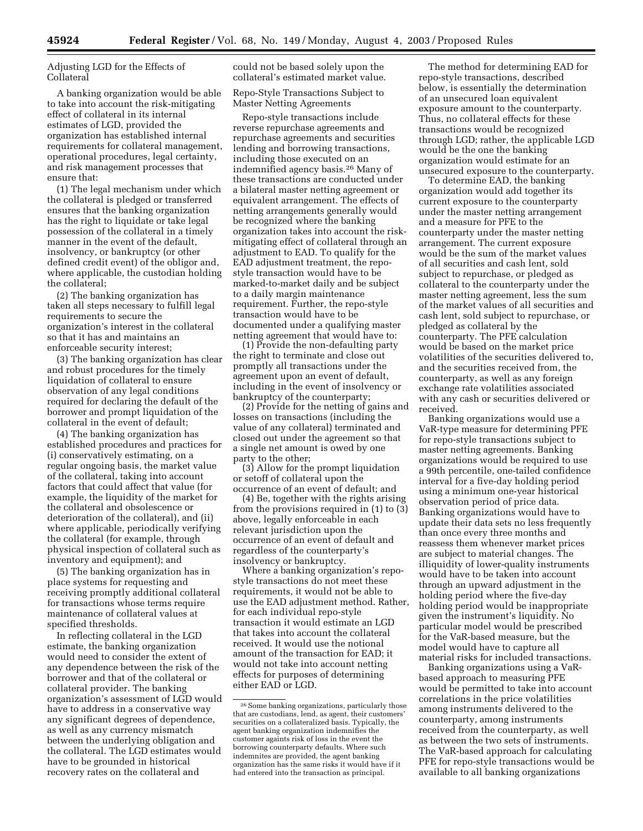Adjusting LGD for the Effects of Collateral

A banking organization would be able to take into account the risk-mitigating effect of collateral in its internal estimates of LGD, provided the organization has established internal requirements for collateral management, operational procedures, legal certainty, and risk management processes that ensure that:

(1) The legal mechanism under which the collateral is pledged or transferred ensures that the banking organization has the right to liquidate or take legal possession of the collateral in a timely manner in the event of the default, insolvency, or bankruptcy (or other defined credit event) of the obligor and, where applicable, the custodian holding the collateral;

(2) The banking organization has taken all steps necessary to fulfill legal requirements to secure the organization's interest in the collateral so that it has and maintains an enforceable security interest;

(3) The banking organization has clear and robust procedures for the timely liquidation of collateral to ensure observation of any legal conditions required for declaring the default of the borrower and prompt liquidation of the collateral in the event of default;

(4) The banking organization has established procedures and practices for (i) conservatively estimating, on a regular ongoing basis, the market value of the collateral, taking into account factors that could affect that value (for example, the liquidity of the market for the collateral and obsolescence or deterioration of the collateral), and (ii) where applicable, periodically verifying the collateral (for example, through physical inspection of collateral such as inventory and equipment); and

(5) The banking organization has in place systems for requesting and receiving promptly additional collateral for transactions whose terms require maintenance of collateral values at specified thresholds.

In reflecting collateral in the LGD estimate, the banking organization would need to consider the extent of any dependence between the risk of the borrower and that of the collateral or collateral provider. The banking organization's assessment of LGD would have to address in a conservative way any significant degrees of dependence, as well as any currency mismatch between the underlying obligation and the collateral. The LGD estimates would have to be grounded in historical recovery rates on the collateral and

could not be based solely upon the collateral's estimated market value.

Repo-Style Transactions Subject to Master Netting Agreements

Repo-style transactions include reverse repurchase agreements and repurchase agreements and securities lending and borrowing transactions, including those executed on an indemnified agency basis.26 Many of these transactions are conducted under a bilateral master netting agreement or equivalent arrangement. The effects of netting arrangements generally would be recognized where the banking organization takes into account the riskmitigating effect of collateral through an adjustment to EAD. To qualify for the EAD adjustment treatment, the repostyle transaction would have to be marked-to-market daily and be subject to a daily margin maintenance requirement. Further, the repo-style transaction would have to be documented under a qualifying master netting agreement that would have to:

(1) Provide the non-defaulting party the right to terminate and close out promptly all transactions under the agreement upon an event of default, including in the event of insolvency or bankruptcy of the counterparty;

(2) Provide for the netting of gains and losses on transactions (including the value of any collateral) terminated and closed out under the agreement so that a single net amount is owed by one party to the other;

(3) Allow for the prompt liquidation or setoff of collateral upon the occurrence of an event of default; and

(4) Be, together with the rights arising from the provisions required in (1) to (3) above, legally enforceable in each relevant jurisdiction upon the occurrence of an event of default and regardless of the counterparty's insolvency or bankruptcy.

Where a banking organization's repostyle transactions do not meet these requirements, it would not be able to use the EAD adjustment method. Rather, for each individual repo-style transaction it would estimate an LGD that takes into account the collateral received. It would use the notional amount of the transaction for EAD; it would not take into account netting effects for purposes of determining either EAD or LGD.

The method for determining EAD for repo-style transactions, described below, is essentially the determination of an unsecured loan equivalent exposure amount to the counterparty. Thus, no collateral effects for these transactions would be recognized through LGD; rather, the applicable LGD would be the one the banking organization would estimate for an unsecured exposure to the counterparty.

To determine EAD, the banking organization would add together its current exposure to the counterparty under the master netting arrangement and a measure for PFE to the counterparty under the master netting arrangement. The current exposure would be the sum of the market values of all securities and cash lent, sold subject to repurchase, or pledged as collateral to the counterparty under the master netting agreement, less the sum of the market values of all securities and cash lent, sold subject to repurchase, or pledged as collateral by the counterparty. The PFE calculation would be based on the market price volatilities of the securities delivered to, and the securities received from, the counterparty, as well as any foreign exchange rate volatilities associated with any cash or securities delivered or received.

Banking organizations would use a VaR-type measure for determining PFE for repo-style transactions subject to master netting agreements. Banking organizations would be required to use a 99th percentile, one-tailed confidence interval for a five-day holding period using a minimum one-year historical observation period of price data. Banking organizations would have to update their data sets no less frequently than once every three months and reassess them whenever market prices are subject to material changes. The illiquidity of lower-quality instruments would have to be taken into account through an upward adjustment in the holding period where the five-day holding period would be inappropriate given the instrument's liquidity. No particular model would be prescribed for the VaR-based measure, but the model would have to capture all material risks for included transactions.

Banking organizations using a VaRbased approach to measuring PFE would be permitted to take into account correlations in the price volatilities among instruments delivered to the counterparty, among instruments received from the counterparty, as well as between the two sets of instruments. The VaR-based approach for calculating PFE for repo-style transactions would be available to all banking organizations

<sup>&</sup>lt;sup>26</sup> Some banking organizations, particularly those that are custodians, lend, as agent, their customers' securities on a collateralized basis. Typically, the agent banking organization indemnifies the customer againts risk of loss in the event the borrowing counterparty defaults. Where such indemnites are provided, the agent banking organization has the same risks it would have if it had entered into the transaction as principal.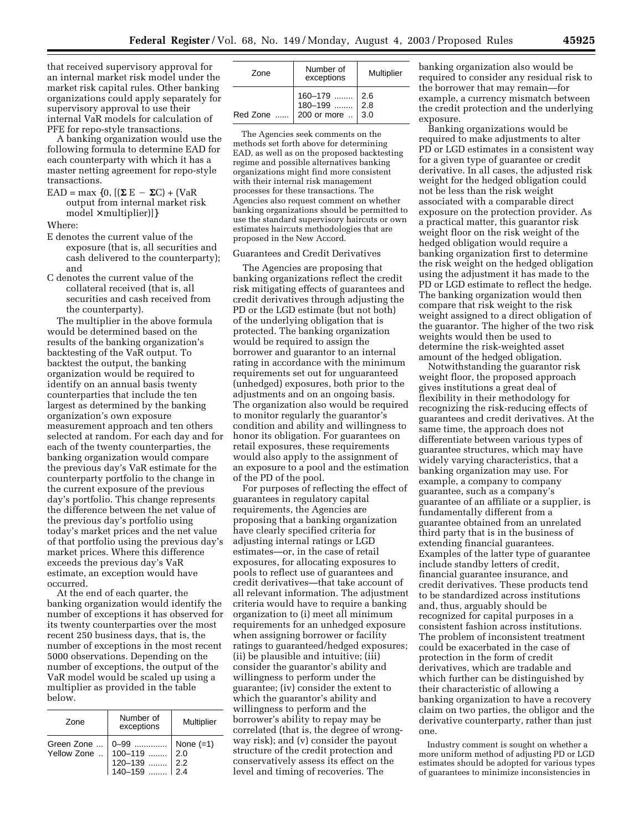that received supervisory approval for an internal market risk model under the market risk capital rules. Other banking organizations could apply separately for supervisory approval to use their internal VaR models for calculation of PFE for repo-style transactions.

A banking organization would use the following formula to determine EAD for each counterparty with which it has a master netting agreement for repo-style transactions.

 $EAD = max \{0, [(\Sigma E - \Sigma C) + (VaR)$ output from internal market risk  $model \times multiplier)]$ 

Where:

- E denotes the current value of the exposure (that is, all securities and cash delivered to the counterparty); and
- C denotes the current value of the collateral received (that is, all securities and cash received from the counterparty).

The multiplier in the above formula would be determined based on the results of the banking organization's backtesting of the VaR output. To backtest the output, the banking organization would be required to identify on an annual basis twenty counterparties that include the ten largest as determined by the banking organization's own exposure measurement approach and ten others selected at random. For each day and for each of the twenty counterparties, the banking organization would compare the previous day's VaR estimate for the counterparty portfolio to the change in the current exposure of the previous day's portfolio. This change represents the difference between the net value of the previous day's portfolio using today's market prices and the net value of that portfolio using the previous day's market prices. Where this difference exceeds the previous day's VaR estimate, an exception would have occurred.

At the end of each quarter, the banking organization would identify the number of exceptions it has observed for its twenty counterparties over the most recent 250 business days, that is, the number of exceptions in the most recent 5000 observations. Depending on the number of exceptions, the output of the VaR model would be scaled up using a multiplier as provided in the table below.

| Zone                                                     | Number of<br>exceptions | Multiplier                |
|----------------------------------------------------------|-------------------------|---------------------------|
| Green Zone<br>Yellow Zone  100–119<br>120–139<br>140–159 | 0-99                    | None $(=1)$<br>2.0<br>2.2 |

| Zone | Number of<br>exceptions                                           | Multiplier |
|------|-------------------------------------------------------------------|------------|
|      | 2.6  160–179  2.6<br>2.8  180–199  2.8<br>1.3.0  200 or more  3.0 |            |

The Agencies seek comments on the methods set forth above for determining EAD, as well as on the proposed backtesting regime and possible alternatives banking organizations might find more consistent with their internal risk management processes for these transactions. The Agencies also request comment on whether banking organizations should be permitted to use the standard supervisory haircuts or own estimates haircuts methodologies that are proposed in the New Accord.

#### Guarantees and Credit Derivatives

The Agencies are proposing that banking organizations reflect the credit risk mitigating effects of guarantees and credit derivatives through adjusting the PD or the LGD estimate (but not both) of the underlying obligation that is protected. The banking organization would be required to assign the borrower and guarantor to an internal rating in accordance with the minimum requirements set out for unguaranteed (unhedged) exposures, both prior to the adjustments and on an ongoing basis. The organization also would be required to monitor regularly the guarantor's condition and ability and willingness to honor its obligation. For guarantees on retail exposures, these requirements would also apply to the assignment of an exposure to a pool and the estimation of the PD of the pool.

For purposes of reflecting the effect of guarantees in regulatory capital requirements, the Agencies are proposing that a banking organization have clearly specified criteria for adjusting internal ratings or LGD estimates—or, in the case of retail exposures, for allocating exposures to pools to reflect use of guarantees and credit derivatives—that take account of all relevant information. The adjustment criteria would have to require a banking organization to (i) meet all minimum requirements for an unhedged exposure when assigning borrower or facility ratings to guaranteed/hedged exposures; (ii) be plausible and intuitive; (iii) consider the guarantor's ability and willingness to perform under the guarantee; (iv) consider the extent to which the guarantor's ability and willingness to perform and the borrower's ability to repay may be correlated (that is, the degree of wrongway risk); and (v) consider the payout structure of the credit protection and conservatively assess its effect on the level and timing of recoveries. The

banking organization also would be required to consider any residual risk to the borrower that may remain—for example, a currency mismatch between the credit protection and the underlying exposure.

Banking organizations would be required to make adjustments to alter PD or LGD estimates in a consistent way for a given type of guarantee or credit derivative. In all cases, the adjusted risk weight for the hedged obligation could not be less than the risk weight associated with a comparable direct exposure on the protection provider. As a practical matter, this guarantor risk weight floor on the risk weight of the hedged obligation would require a banking organization first to determine the risk weight on the hedged obligation using the adjustment it has made to the PD or LGD estimate to reflect the hedge. The banking organization would then compare that risk weight to the risk weight assigned to a direct obligation of the guarantor. The higher of the two risk weights would then be used to determine the risk-weighted asset amount of the hedged obligation.

Notwithstanding the guarantor risk weight floor, the proposed approach gives institutions a great deal of flexibility in their methodology for recognizing the risk-reducing effects of guarantees and credit derivatives. At the same time, the approach does not differentiate between various types of guarantee structures, which may have widely varying characteristics, that a banking organization may use. For example, a company to company guarantee, such as a company's guarantee of an affiliate or a supplier, is fundamentally different from a guarantee obtained from an unrelated third party that is in the business of extending financial guarantees. Examples of the latter type of guarantee include standby letters of credit, financial guarantee insurance, and credit derivatives. These products tend to be standardized across institutions and, thus, arguably should be recognized for capital purposes in a consistent fashion across institutions. The problem of inconsistent treatment could be exacerbated in the case of protection in the form of credit derivatives, which are tradable and which further can be distinguished by their characteristic of allowing a banking organization to have a recovery claim on two parties, the obligor and the derivative counterparty, rather than just one.

Industry comment is sought on whether a more uniform method of adjusting PD or LGD estimates should be adopted for various types of guarantees to minimize inconsistencies in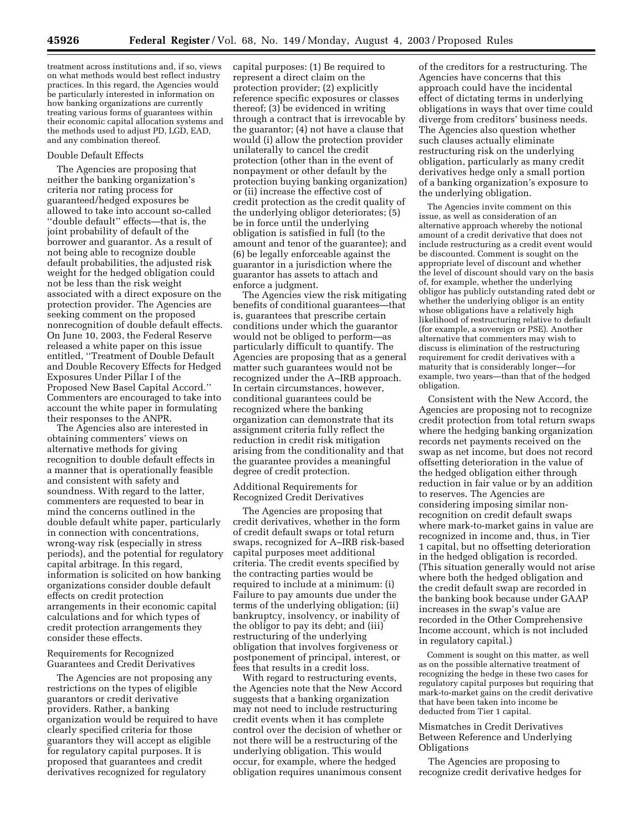treatment across institutions and, if so, views on what methods would best reflect industry practices. In this regard, the Agencies would be particularly interested in information on how banking organizations are currently treating various forms of guarantees within their economic capital allocation systems and the methods used to adjust PD, LGD, EAD, and any combination thereof.

#### Double Default Effects

The Agencies are proposing that neither the banking organization's criteria nor rating process for guaranteed/hedged exposures be allowed to take into account so-called ''double default'' effects—that is, the joint probability of default of the borrower and guarantor. As a result of not being able to recognize double default probabilities, the adjusted risk weight for the hedged obligation could not be less than the risk weight associated with a direct exposure on the protection provider. The Agencies are seeking comment on the proposed nonrecognition of double default effects. On June 10, 2003, the Federal Reserve released a white paper on this issue entitled, ''Treatment of Double Default and Double Recovery Effects for Hedged Exposures Under Pillar I of the Proposed New Basel Capital Accord.'' Commenters are encouraged to take into account the white paper in formulating their responses to the ANPR.

The Agencies also are interested in obtaining commenters' views on alternative methods for giving recognition to double default effects in a manner that is operationally feasible and consistent with safety and soundness. With regard to the latter, commenters are requested to bear in mind the concerns outlined in the double default white paper, particularly in connection with concentrations, wrong-way risk (especially in stress periods), and the potential for regulatory capital arbitrage. In this regard, information is solicited on how banking organizations consider double default effects on credit protection arrangements in their economic capital calculations and for which types of credit protection arrangements they consider these effects.

Requirements for Recognized Guarantees and Credit Derivatives

The Agencies are not proposing any restrictions on the types of eligible guarantors or credit derivative providers. Rather, a banking organization would be required to have clearly specified criteria for those guarantors they will accept as eligible for regulatory capital purposes. It is proposed that guarantees and credit derivatives recognized for regulatory

capital purposes: (1) Be required to represent a direct claim on the protection provider; (2) explicitly reference specific exposures or classes thereof; (3) be evidenced in writing through a contract that is irrevocable by the guarantor; (4) not have a clause that would (i) allow the protection provider unilaterally to cancel the credit protection (other than in the event of nonpayment or other default by the protection buying banking organization) or (ii) increase the effective cost of credit protection as the credit quality of the underlying obligor deteriorates; (5) be in force until the underlying obligation is satisfied in full (to the amount and tenor of the guarantee); and (6) be legally enforceable against the guarantor in a jurisdiction where the guarantor has assets to attach and enforce a judgment.

The Agencies view the risk mitigating benefits of conditional guarantees—that is, guarantees that prescribe certain conditions under which the guarantor would not be obliged to perform—as particularly difficult to quantify. The Agencies are proposing that as a general matter such guarantees would not be recognized under the A–IRB approach. In certain circumstances, however, conditional guarantees could be recognized where the banking organization can demonstrate that its assignment criteria fully reflect the reduction in credit risk mitigation arising from the conditionality and that the guarantee provides a meaningful degree of credit protection.

Additional Requirements for Recognized Credit Derivatives

The Agencies are proposing that credit derivatives, whether in the form of credit default swaps or total return swaps, recognized for A–IRB risk-based capital purposes meet additional criteria. The credit events specified by the contracting parties would be required to include at a minimum: (i) Failure to pay amounts due under the terms of the underlying obligation; (ii) bankruptcy, insolvency, or inability of the obligor to pay its debt; and (iii) restructuring of the underlying obligation that involves forgiveness or postponement of principal, interest, or fees that results in a credit loss.

With regard to restructuring events, the Agencies note that the New Accord suggests that a banking organization may not need to include restructuring credit events when it has complete control over the decision of whether or not there will be a restructuring of the underlying obligation. This would occur, for example, where the hedged obligation requires unanimous consent

of the creditors for a restructuring. The Agencies have concerns that this approach could have the incidental effect of dictating terms in underlying obligations in ways that over time could diverge from creditors' business needs. The Agencies also question whether such clauses actually eliminate restructuring risk on the underlying obligation, particularly as many credit derivatives hedge only a small portion of a banking organization's exposure to the underlying obligation.

The Agencies invite comment on this issue, as well as consideration of an alternative approach whereby the notional amount of a credit derivative that does not include restructuring as a credit event would be discounted. Comment is sought on the appropriate level of discount and whether the level of discount should vary on the basis of, for example, whether the underlying obligor has publicly outstanding rated debt or whether the underlying obligor is an entity whose obligations have a relatively high likelihood of restructuring relative to default (for example, a sovereign or PSE). Another alternative that commenters may wish to discuss is elimination of the restructuring requirement for credit derivatives with a maturity that is considerably longer—for example, two years—than that of the hedged obligation.

Consistent with the New Accord, the Agencies are proposing not to recognize credit protection from total return swaps where the hedging banking organization records net payments received on the swap as net income, but does not record offsetting deterioration in the value of the hedged obligation either through reduction in fair value or by an addition to reserves. The Agencies are considering imposing similar nonrecognition on credit default swaps where mark-to-market gains in value are recognized in income and, thus, in Tier 1 capital, but no offsetting deterioration in the hedged obligation is recorded. (This situation generally would not arise where both the hedged obligation and the credit default swap are recorded in the banking book because under GAAP increases in the swap's value are recorded in the Other Comprehensive Income account, which is not included in regulatory capital.)

Comment is sought on this matter, as well as on the possible alternative treatment of recognizing the hedge in these two cases for regulatory capital purposes but requiring that mark-to-market gains on the credit derivative that have been taken into income be deducted from Tier 1 capital.

#### Mismatches in Credit Derivatives Between Reference and Underlying **Obligations**

The Agencies are proposing to recognize credit derivative hedges for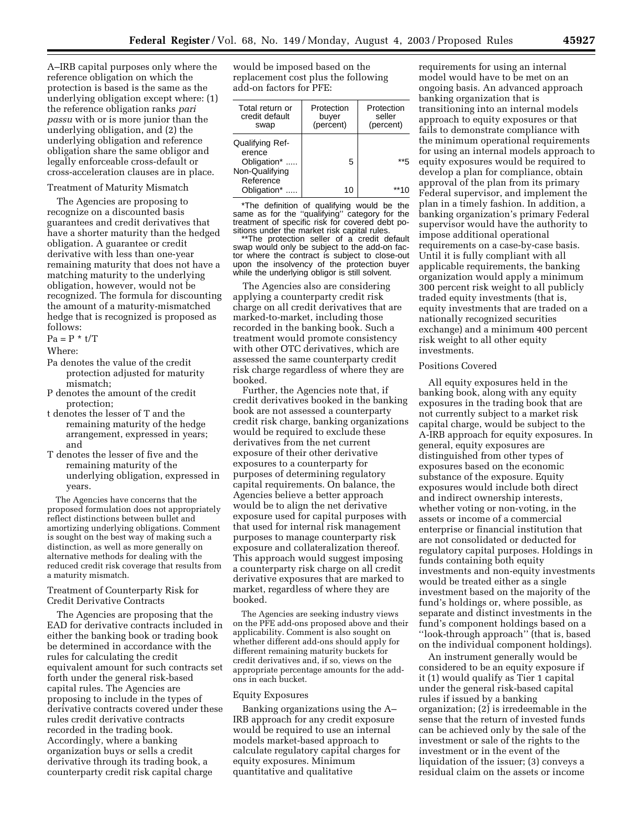A–IRB capital purposes only where the reference obligation on which the protection is based is the same as the underlying obligation except where: (1) the reference obligation ranks *pari passu* with or is more junior than the underlying obligation, and (2) the underlying obligation and reference obligation share the same obligor and legally enforceable cross-default or cross-acceleration clauses are in place.

#### Treatment of Maturity Mismatch

The Agencies are proposing to recognize on a discounted basis guarantees and credit derivatives that have a shorter maturity than the hedged obligation. A guarantee or credit derivative with less than one-year remaining maturity that does not have a matching maturity to the underlying obligation, however, would not be recognized. The formula for discounting the amount of a maturity-mismatched hedge that is recognized is proposed as follows:

 $Pa = P * t/T$ 

Where:

- Pa denotes the value of the credit protection adjusted for maturity mismatch;
- P denotes the amount of the credit protection;
- t denotes the lesser of T and the remaining maturity of the hedge arrangement, expressed in years; and
- T denotes the lesser of five and the remaining maturity of the underlying obligation, expressed in years.

The Agencies have concerns that the proposed formulation does not appropriately reflect distinctions between bullet and amortizing underlying obligations. Comment is sought on the best way of making such a distinction, as well as more generally on alternative methods for dealing with the reduced credit risk coverage that results from a maturity mismatch.

#### Treatment of Counterparty Risk for Credit Derivative Contracts

The Agencies are proposing that the EAD for derivative contracts included in either the banking book or trading book be determined in accordance with the rules for calculating the credit equivalent amount for such contracts set forth under the general risk-based capital rules. The Agencies are proposing to include in the types of derivative contracts covered under these rules credit derivative contracts recorded in the trading book. Accordingly, where a banking organization buys or sells a credit derivative through its trading book, a counterparty credit risk capital charge

would be imposed based on the replacement cost plus the following add-on factors for PFE:

| Total return or<br>credit default<br>swap | Protection<br>buyer<br>(percent) | Protection<br>seller<br>(percent) |
|-------------------------------------------|----------------------------------|-----------------------------------|
| Qualifying Ref-<br>erence                 |                                  |                                   |
| Obligation*<br>Non-Qualifying             | 5                                | ** 5                              |
| Reference<br>Obligation*                  | 10                               |                                   |

\*The definition of qualifying would be the same as for the ''qualifying'' category for the treatment of specific risk for covered debt po-

sitions under the market risk capital rules. \*\*The protection seller of a credit default swap would only be subject to the add-on factor where the contract is subject to close-out upon the insolvency of the protection buyer while the underlying obligor is still solvent.

The Agencies also are considering applying a counterparty credit risk charge on all credit derivatives that are marked-to-market, including those recorded in the banking book. Such a treatment would promote consistency with other OTC derivatives, which are assessed the same counterparty credit risk charge regardless of where they are booked.

Further, the Agencies note that, if credit derivatives booked in the banking book are not assessed a counterparty credit risk charge, banking organizations would be required to exclude these derivatives from the net current exposure of their other derivative exposures to a counterparty for purposes of determining regulatory capital requirements. On balance, the Agencies believe a better approach would be to align the net derivative exposure used for capital purposes with that used for internal risk management purposes to manage counterparty risk exposure and collateralization thereof. This approach would suggest imposing a counterparty risk charge on all credit derivative exposures that are marked to market, regardless of where they are booked.

The Agencies are seeking industry views on the PFE add-ons proposed above and their applicability. Comment is also sought on whether different add-ons should apply for different remaining maturity buckets for credit derivatives and, if so, views on the appropriate percentage amounts for the addons in each bucket.

#### Equity Exposures

Banking organizations using the A– IRB approach for any credit exposure would be required to use an internal models market-based approach to calculate regulatory capital charges for equity exposures. Minimum quantitative and qualitative

requirements for using an internal model would have to be met on an ongoing basis. An advanced approach banking organization that is transitioning into an internal models approach to equity exposures or that fails to demonstrate compliance with the minimum operational requirements for using an internal models approach to equity exposures would be required to develop a plan for compliance, obtain approval of the plan from its primary Federal supervisor, and implement the plan in a timely fashion. In addition, a banking organization's primary Federal supervisor would have the authority to impose additional operational requirements on a case-by-case basis. Until it is fully compliant with all applicable requirements, the banking organization would apply a minimum 300 percent risk weight to all publicly traded equity investments (that is, equity investments that are traded on a nationally recognized securities exchange) and a minimum 400 percent risk weight to all other equity investments.

#### Positions Covered

All equity exposures held in the banking book, along with any equity exposures in the trading book that are not currently subject to a market risk capital charge, would be subject to the A-IRB approach for equity exposures. In general, equity exposures are distinguished from other types of exposures based on the economic substance of the exposure. Equity exposures would include both direct and indirect ownership interests, whether voting or non-voting, in the assets or income of a commercial enterprise or financial institution that are not consolidated or deducted for regulatory capital purposes. Holdings in funds containing both equity investments and non-equity investments would be treated either as a single investment based on the majority of the fund's holdings or, where possible, as separate and distinct investments in the fund's component holdings based on a ''look-through approach'' (that is, based on the individual component holdings).

An instrument generally would be considered to be an equity exposure if it (1) would qualify as Tier 1 capital under the general risk-based capital rules if issued by a banking organization; (2) is irredeemable in the sense that the return of invested funds can be achieved only by the sale of the investment or sale of the rights to the investment or in the event of the liquidation of the issuer; (3) conveys a residual claim on the assets or income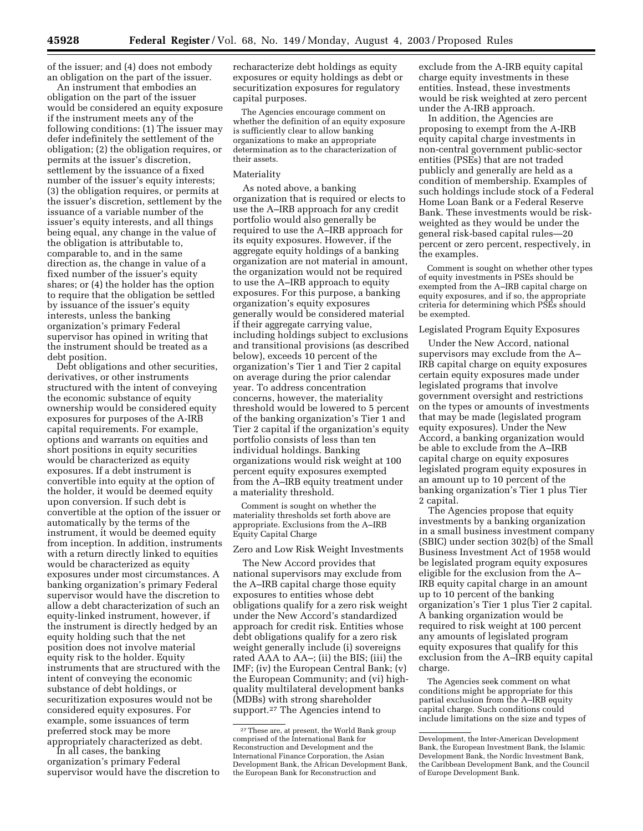of the issuer; and (4) does not embody an obligation on the part of the issuer.

An instrument that embodies an obligation on the part of the issuer would be considered an equity exposure if the instrument meets any of the following conditions: (1) The issuer may defer indefinitely the settlement of the obligation; (2) the obligation requires, or permits at the issuer's discretion, settlement by the issuance of a fixed number of the issuer's equity interests; (3) the obligation requires, or permits at the issuer's discretion, settlement by the issuance of a variable number of the issuer's equity interests, and all things being equal, any change in the value of the obligation is attributable to, comparable to, and in the same direction as, the change in value of a fixed number of the issuer's equity shares; or (4) the holder has the option to require that the obligation be settled by issuance of the issuer's equity interests, unless the banking organization's primary Federal supervisor has opined in writing that the instrument should be treated as a debt position.

Debt obligations and other securities, derivatives, or other instruments structured with the intent of conveying the economic substance of equity ownership would be considered equity exposures for purposes of the A-IRB capital requirements. For example, options and warrants on equities and short positions in equity securities would be characterized as equity exposures. If a debt instrument is convertible into equity at the option of the holder, it would be deemed equity upon conversion. If such debt is convertible at the option of the issuer or automatically by the terms of the instrument, it would be deemed equity from inception. In addition, instruments with a return directly linked to equities would be characterized as equity exposures under most circumstances. A banking organization's primary Federal supervisor would have the discretion to allow a debt characterization of such an equity-linked instrument, however, if the instrument is directly hedged by an equity holding such that the net position does not involve material equity risk to the holder. Equity instruments that are structured with the intent of conveying the economic substance of debt holdings, or securitization exposures would not be considered equity exposures. For example, some issuances of term preferred stock may be more appropriately characterized as debt.

In all cases, the banking organization's primary Federal supervisor would have the discretion to recharacterize debt holdings as equity exposures or equity holdings as debt or securitization exposures for regulatory capital purposes.

The Agencies encourage comment on whether the definition of an equity exposure is sufficiently clear to allow banking organizations to make an appropriate determination as to the characterization of their assets.

#### Materiality

As noted above, a banking organization that is required or elects to use the A–IRB approach for any credit portfolio would also generally be required to use the A–IRB approach for its equity exposures. However, if the aggregate equity holdings of a banking organization are not material in amount, the organization would not be required to use the A–IRB approach to equity exposures. For this purpose, a banking organization's equity exposures generally would be considered material if their aggregate carrying value, including holdings subject to exclusions and transitional provisions (as described below), exceeds 10 percent of the organization's Tier 1 and Tier 2 capital on average during the prior calendar year. To address concentration concerns, however, the materiality threshold would be lowered to 5 percent of the banking organization's Tier 1 and Tier 2 capital if the organization's equity portfolio consists of less than ten individual holdings. Banking organizations would risk weight at 100 percent equity exposures exempted from the A–IRB equity treatment under a materiality threshold.

Comment is sought on whether the materiality thresholds set forth above are appropriate. Exclusions from the A–IRB Equity Capital Charge

#### Zero and Low Risk Weight Investments

The New Accord provides that national supervisors may exclude from the A–IRB capital charge those equity exposures to entities whose debt obligations qualify for a zero risk weight under the New Accord's standardized approach for credit risk. Entities whose debt obligations qualify for a zero risk weight generally include (i) sovereigns rated AAA to AA–; (ii) the BIS; (iii) the IMF; (iv) the European Central Bank; (v) the European Community; and (vi) highquality multilateral development banks (MDBs) with strong shareholder support.27 The Agencies intend to

exclude from the A-IRB equity capital charge equity investments in these entities. Instead, these investments would be risk weighted at zero percent under the A-IRB approach.

In addition, the Agencies are proposing to exempt from the A-IRB equity capital charge investments in non-central government public-sector entities (PSEs) that are not traded publicly and generally are held as a condition of membership. Examples of such holdings include stock of a Federal Home Loan Bank or a Federal Reserve Bank. These investments would be riskweighted as they would be under the general risk-based capital rules—20 percent or zero percent, respectively, in the examples.

Comment is sought on whether other types of equity investments in PSEs should be exempted from the A–IRB capital charge on equity exposures, and if so, the appropriate criteria for determining which PSEs should be exempted.

# Legislated Program Equity Exposures

Under the New Accord, national supervisors may exclude from the A– IRB capital charge on equity exposures certain equity exposures made under legislated programs that involve government oversight and restrictions on the types or amounts of investments that may be made (legislated program equity exposures). Under the New Accord, a banking organization would be able to exclude from the A–IRB capital charge on equity exposures legislated program equity exposures in an amount up to 10 percent of the banking organization's Tier 1 plus Tier 2 capital.

The Agencies propose that equity investments by a banking organization in a small business investment company (SBIC) under section 302(b) of the Small Business Investment Act of 1958 would be legislated program equity exposures eligible for the exclusion from the A– IRB equity capital charge in an amount up to 10 percent of the banking organization's Tier 1 plus Tier 2 capital. A banking organization would be required to risk weight at 100 percent any amounts of legislated program equity exposures that qualify for this exclusion from the A–IRB equity capital charge.

The Agencies seek comment on what conditions might be appropriate for this partial exclusion from the A–IRB equity capital charge. Such conditions could include limitations on the size and types of

<sup>27</sup>These are, at present, the World Bank group comprised of the International Bank for Reconstruction and Development and the International Finance Corporation, the Asian Development Bank, the African Development Bank, the European Bank for Reconstruction and

Development, the Inter-American Development Bank, the European Investment Bank, the Islamic Development Bank, the Nordic Investment Bank, the Caribbean Development Bank, and the Council of Europe Development Bank.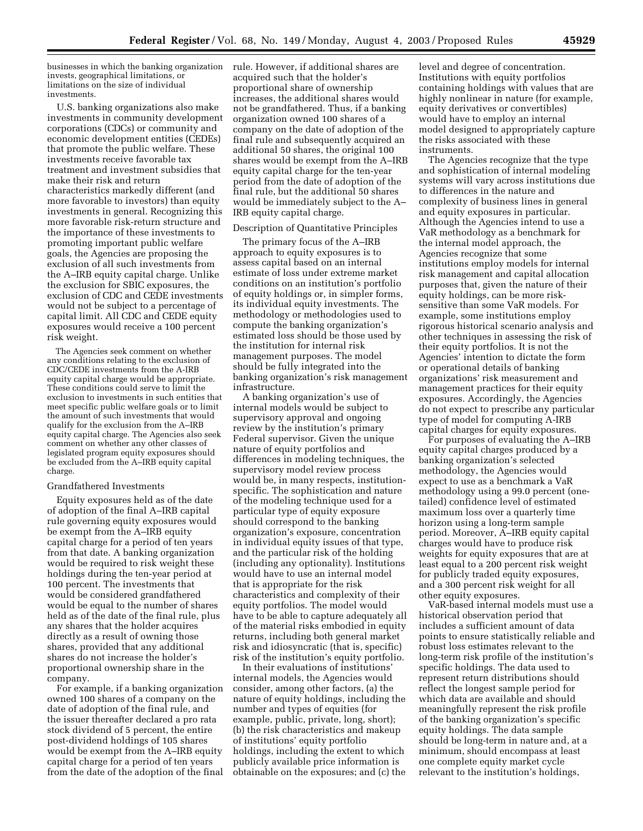businesses in which the banking organization invests, geographical limitations, or limitations on the size of individual investments.

U.S. banking organizations also make investments in community development corporations (CDCs) or community and economic development entities (CEDEs) that promote the public welfare. These investments receive favorable tax treatment and investment subsidies that make their risk and return characteristics markedly different (and more favorable to investors) than equity investments in general. Recognizing this more favorable risk-return structure and the importance of these investments to promoting important public welfare goals, the Agencies are proposing the exclusion of all such investments from the A–IRB equity capital charge. Unlike the exclusion for SBIC exposures, the exclusion of CDC and CEDE investments would not be subject to a percentage of capital limit. All CDC and CEDE equity exposures would receive a 100 percent risk weight.

The Agencies seek comment on whether any conditions relating to the exclusion of CDC/CEDE investments from the A-IRB equity capital charge would be appropriate. These conditions could serve to limit the exclusion to investments in such entities that meet specific public welfare goals or to limit the amount of such investments that would qualify for the exclusion from the A–IRB equity capital charge. The Agencies also seek comment on whether any other classes of legislated program equity exposures should be excluded from the A–IRB equity capital charge.

#### Grandfathered Investments

Equity exposures held as of the date of adoption of the final A–IRB capital rule governing equity exposures would be exempt from the A–IRB equity capital charge for a period of ten years from that date. A banking organization would be required to risk weight these holdings during the ten-year period at 100 percent. The investments that would be considered grandfathered would be equal to the number of shares held as of the date of the final rule, plus any shares that the holder acquires directly as a result of owning those shares, provided that any additional shares do not increase the holder's proportional ownership share in the company.

For example, if a banking organization owned 100 shares of a company on the date of adoption of the final rule, and the issuer thereafter declared a pro rata stock dividend of 5 percent, the entire post-dividend holdings of 105 shares would be exempt from the A–IRB equity capital charge for a period of ten years from the date of the adoption of the final

rule. However, if additional shares are acquired such that the holder's proportional share of ownership increases, the additional shares would not be grandfathered. Thus, if a banking organization owned 100 shares of a company on the date of adoption of the final rule and subsequently acquired an additional 50 shares, the original 100 shares would be exempt from the A–IRB equity capital charge for the ten-year period from the date of adoption of the final rule, but the additional 50 shares would be immediately subject to the A– IRB equity capital charge.

#### Description of Quantitative Principles

The primary focus of the A–IRB approach to equity exposures is to assess capital based on an internal estimate of loss under extreme market conditions on an institution's portfolio of equity holdings or, in simpler forms, its individual equity investments. The methodology or methodologies used to compute the banking organization's estimated loss should be those used by the institution for internal risk management purposes. The model should be fully integrated into the banking organization's risk management infrastructure.

A banking organization's use of internal models would be subject to supervisory approval and ongoing review by the institution's primary Federal supervisor. Given the unique nature of equity portfolios and differences in modeling techniques, the supervisory model review process would be, in many respects, institutionspecific. The sophistication and nature of the modeling technique used for a particular type of equity exposure should correspond to the banking organization's exposure, concentration in individual equity issues of that type, and the particular risk of the holding (including any optionality). Institutions would have to use an internal model that is appropriate for the risk characteristics and complexity of their equity portfolios. The model would have to be able to capture adequately all of the material risks embodied in equity returns, including both general market risk and idiosyncratic (that is, specific) risk of the institution's equity portfolio.

In their evaluations of institutions' internal models, the Agencies would consider, among other factors, (a) the nature of equity holdings, including the number and types of equities (for example, public, private, long, short); (b) the risk characteristics and makeup of institutions' equity portfolio holdings, including the extent to which publicly available price information is obtainable on the exposures; and (c) the level and degree of concentration. Institutions with equity portfolios containing holdings with values that are highly nonlinear in nature (for example, equity derivatives or convertibles) would have to employ an internal model designed to appropriately capture the risks associated with these instruments.

The Agencies recognize that the type and sophistication of internal modeling systems will vary across institutions due to differences in the nature and complexity of business lines in general and equity exposures in particular. Although the Agencies intend to use a VaR methodology as a benchmark for the internal model approach, the Agencies recognize that some institutions employ models for internal risk management and capital allocation purposes that, given the nature of their equity holdings, can be more risksensitive than some VaR models. For example, some institutions employ rigorous historical scenario analysis and other techniques in assessing the risk of their equity portfolios. It is not the Agencies' intention to dictate the form or operational details of banking organizations' risk measurement and management practices for their equity exposures. Accordingly, the Agencies do not expect to prescribe any particular type of model for computing A-IRB capital charges for equity exposures.

For purposes of evaluating the A–IRB equity capital charges produced by a banking organization's selected methodology, the Agencies would expect to use as a benchmark a VaR methodology using a 99.0 percent (onetailed) confidence level of estimated maximum loss over a quarterly time horizon using a long-term sample period. Moreover, A–IRB equity capital charges would have to produce risk weights for equity exposures that are at least equal to a 200 percent risk weight for publicly traded equity exposures, and a 300 percent risk weight for all other equity exposures.

VaR-based internal models must use a historical observation period that includes a sufficient amount of data points to ensure statistically reliable and robust loss estimates relevant to the long-term risk profile of the institution's specific holdings. The data used to represent return distributions should reflect the longest sample period for which data are available and should meaningfully represent the risk profile of the banking organization's specific equity holdings. The data sample should be long-term in nature and, at a minimum, should encompass at least one complete equity market cycle relevant to the institution's holdings,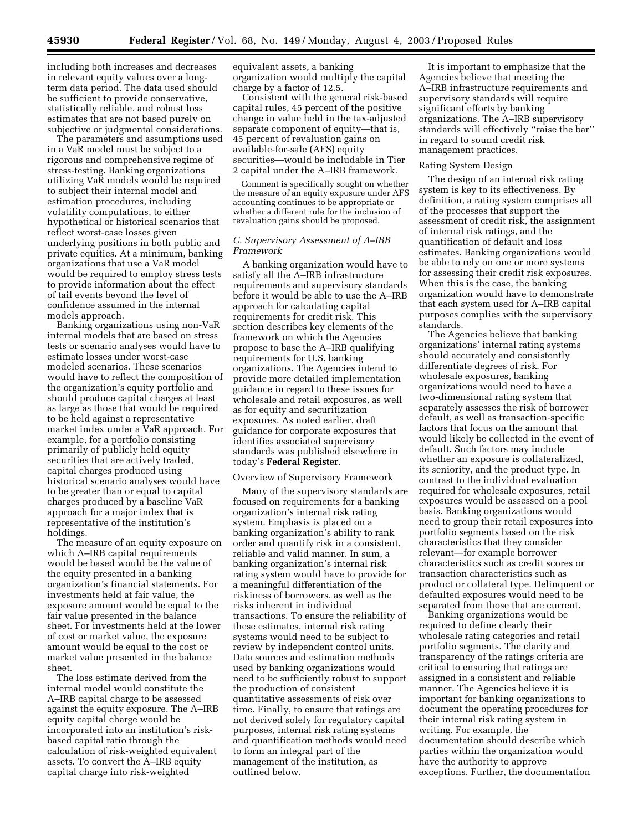including both increases and decreases in relevant equity values over a longterm data period. The data used should be sufficient to provide conservative, statistically reliable, and robust loss estimates that are not based purely on subjective or judgmental considerations.

The parameters and assumptions used in a VaR model must be subject to a rigorous and comprehensive regime of stress-testing. Banking organizations utilizing VaR models would be required to subject their internal model and estimation procedures, including volatility computations, to either hypothetical or historical scenarios that reflect worst-case losses given underlying positions in both public and private equities. At a minimum, banking organizations that use a VaR model would be required to employ stress tests to provide information about the effect of tail events beyond the level of confidence assumed in the internal models approach.

Banking organizations using non-VaR internal models that are based on stress tests or scenario analyses would have to estimate losses under worst-case modeled scenarios. These scenarios would have to reflect the composition of the organization's equity portfolio and should produce capital charges at least as large as those that would be required to be held against a representative market index under a VaR approach. For example, for a portfolio consisting primarily of publicly held equity securities that are actively traded, capital charges produced using historical scenario analyses would have to be greater than or equal to capital charges produced by a baseline VaR approach for a major index that is representative of the institution's holdings.

The measure of an equity exposure on which A–IRB capital requirements would be based would be the value of the equity presented in a banking organization's financial statements. For investments held at fair value, the exposure amount would be equal to the fair value presented in the balance sheet. For investments held at the lower of cost or market value, the exposure amount would be equal to the cost or market value presented in the balance sheet.

The loss estimate derived from the internal model would constitute the A–IRB capital charge to be assessed against the equity exposure. The A–IRB equity capital charge would be incorporated into an institution's riskbased capital ratio through the calculation of risk-weighted equivalent assets. To convert the A–IRB equity capital charge into risk-weighted

equivalent assets, a banking organization would multiply the capital charge by a factor of 12.5.

Consistent with the general risk-based capital rules, 45 percent of the positive change in value held in the tax-adjusted separate component of equity—that is, 45 percent of revaluation gains on available-for-sale (AFS) equity securities—would be includable in Tier 2 capital under the A–IRB framework.

Comment is specifically sought on whether the measure of an equity exposure under AFS accounting continues to be appropriate or whether a different rule for the inclusion of revaluation gains should be proposed.

## *C. Supervisory Assessment of A–IRB Framework*

A banking organization would have to satisfy all the A–IRB infrastructure requirements and supervisory standards before it would be able to use the A–IRB approach for calculating capital requirements for credit risk. This section describes key elements of the framework on which the Agencies propose to base the A–IRB qualifying requirements for U.S. banking organizations. The Agencies intend to provide more detailed implementation guidance in regard to these issues for wholesale and retail exposures, as well as for equity and securitization exposures. As noted earlier, draft guidance for corporate exposures that identifies associated supervisory standards was published elsewhere in today's **Federal Register**.

#### Overview of Supervisory Framework

Many of the supervisory standards are focused on requirements for a banking organization's internal risk rating system. Emphasis is placed on a banking organization's ability to rank order and quantify risk in a consistent, reliable and valid manner. In sum, a banking organization's internal risk rating system would have to provide for a meaningful differentiation of the riskiness of borrowers, as well as the risks inherent in individual transactions. To ensure the reliability of these estimates, internal risk rating systems would need to be subject to review by independent control units. Data sources and estimation methods used by banking organizations would need to be sufficiently robust to support the production of consistent quantitative assessments of risk over time. Finally, to ensure that ratings are not derived solely for regulatory capital purposes, internal risk rating systems and quantification methods would need to form an integral part of the management of the institution, as outlined below.

It is important to emphasize that the Agencies believe that meeting the A–IRB infrastructure requirements and supervisory standards will require significant efforts by banking organizations. The A–IRB supervisory standards will effectively ''raise the bar'' in regard to sound credit risk management practices.

#### Rating System Design

The design of an internal risk rating system is key to its effectiveness. By definition, a rating system comprises all of the processes that support the assessment of credit risk, the assignment of internal risk ratings, and the quantification of default and loss estimates. Banking organizations would be able to rely on one or more systems for assessing their credit risk exposures. When this is the case, the banking organization would have to demonstrate that each system used for A–IRB capital purposes complies with the supervisory standards.

The Agencies believe that banking organizations' internal rating systems should accurately and consistently differentiate degrees of risk. For wholesale exposures, banking organizations would need to have a two-dimensional rating system that separately assesses the risk of borrower default, as well as transaction-specific factors that focus on the amount that would likely be collected in the event of default. Such factors may include whether an exposure is collateralized, its seniority, and the product type. In contrast to the individual evaluation required for wholesale exposures, retail exposures would be assessed on a pool basis. Banking organizations would need to group their retail exposures into portfolio segments based on the risk characteristics that they consider relevant—for example borrower characteristics such as credit scores or transaction characteristics such as product or collateral type. Delinquent or defaulted exposures would need to be separated from those that are current.

Banking organizations would be required to define clearly their wholesale rating categories and retail portfolio segments. The clarity and transparency of the ratings criteria are critical to ensuring that ratings are assigned in a consistent and reliable manner. The Agencies believe it is important for banking organizations to document the operating procedures for their internal risk rating system in writing. For example, the documentation should describe which parties within the organization would have the authority to approve exceptions. Further, the documentation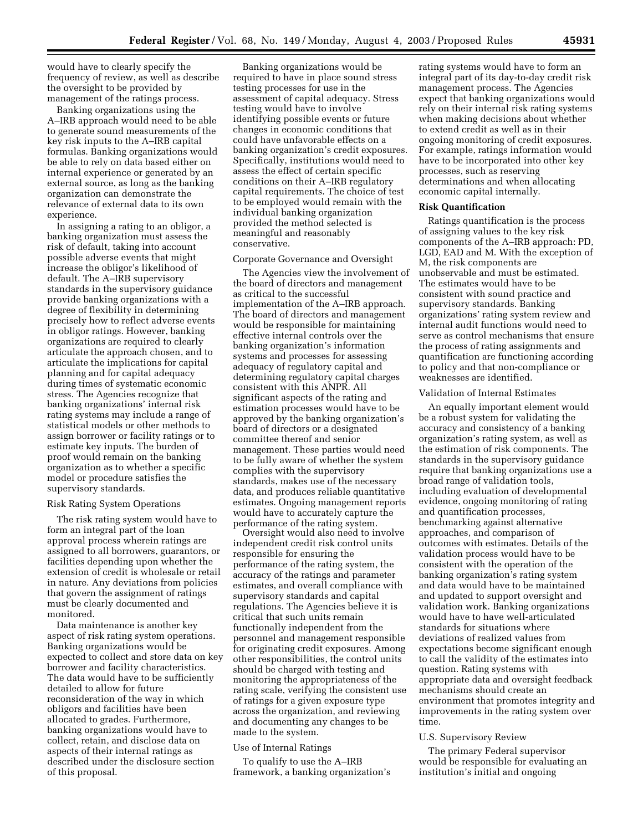would have to clearly specify the frequency of review, as well as describe the oversight to be provided by management of the ratings process.

Banking organizations using the A–IRB approach would need to be able to generate sound measurements of the key risk inputs to the A–IRB capital formulas. Banking organizations would be able to rely on data based either on internal experience or generated by an external source, as long as the banking organization can demonstrate the relevance of external data to its own experience.

In assigning a rating to an obligor, a banking organization must assess the risk of default, taking into account possible adverse events that might increase the obligor's likelihood of default. The A–IRB supervisory standards in the supervisory guidance provide banking organizations with a degree of flexibility in determining precisely how to reflect adverse events in obligor ratings. However, banking organizations are required to clearly articulate the approach chosen, and to articulate the implications for capital planning and for capital adequacy during times of systematic economic stress. The Agencies recognize that banking organizations' internal risk rating systems may include a range of statistical models or other methods to assign borrower or facility ratings or to estimate key inputs. The burden of proof would remain on the banking organization as to whether a specific model or procedure satisfies the supervisory standards.

#### Risk Rating System Operations

The risk rating system would have to form an integral part of the loan approval process wherein ratings are assigned to all borrowers, guarantors, or facilities depending upon whether the extension of credit is wholesale or retail in nature. Any deviations from policies that govern the assignment of ratings must be clearly documented and monitored.

Data maintenance is another key aspect of risk rating system operations. Banking organizations would be expected to collect and store data on key borrower and facility characteristics. The data would have to be sufficiently detailed to allow for future reconsideration of the way in which obligors and facilities have been allocated to grades. Furthermore, banking organizations would have to collect, retain, and disclose data on aspects of their internal ratings as described under the disclosure section of this proposal.

Banking organizations would be required to have in place sound stress testing processes for use in the assessment of capital adequacy. Stress testing would have to involve identifying possible events or future changes in economic conditions that could have unfavorable effects on a banking organization's credit exposures. Specifically, institutions would need to assess the effect of certain specific conditions on their A–IRB regulatory capital requirements. The choice of test to be employed would remain with the individual banking organization provided the method selected is meaningful and reasonably conservative.

#### Corporate Governance and Oversight

The Agencies view the involvement of the board of directors and management as critical to the successful implementation of the A–IRB approach. The board of directors and management would be responsible for maintaining effective internal controls over the banking organization's information systems and processes for assessing adequacy of regulatory capital and determining regulatory capital charges consistent with this ANPR. All significant aspects of the rating and estimation processes would have to be approved by the banking organization's board of directors or a designated committee thereof and senior management. These parties would need to be fully aware of whether the system complies with the supervisory standards, makes use of the necessary data, and produces reliable quantitative estimates. Ongoing management reports would have to accurately capture the performance of the rating system.

Oversight would also need to involve independent credit risk control units responsible for ensuring the performance of the rating system, the accuracy of the ratings and parameter estimates, and overall compliance with supervisory standards and capital regulations. The Agencies believe it is critical that such units remain functionally independent from the personnel and management responsible for originating credit exposures. Among other responsibilities, the control units should be charged with testing and monitoring the appropriateness of the rating scale, verifying the consistent use of ratings for a given exposure type across the organization, and reviewing and documenting any changes to be made to the system.

#### Use of Internal Ratings

To qualify to use the A–IRB framework, a banking organization's rating systems would have to form an integral part of its day-to-day credit risk management process. The Agencies expect that banking organizations would rely on their internal risk rating systems when making decisions about whether to extend credit as well as in their ongoing monitoring of credit exposures. For example, ratings information would have to be incorporated into other key processes, such as reserving determinations and when allocating economic capital internally.

#### **Risk Quantification**

Ratings quantification is the process of assigning values to the key risk components of the A–IRB approach: PD, LGD, EAD and M. With the exception of M, the risk components are unobservable and must be estimated. The estimates would have to be consistent with sound practice and supervisory standards. Banking organizations' rating system review and internal audit functions would need to serve as control mechanisms that ensure the process of rating assignments and quantification are functioning according to policy and that non-compliance or weaknesses are identified.

#### Validation of Internal Estimates

An equally important element would be a robust system for validating the accuracy and consistency of a banking organization's rating system, as well as the estimation of risk components. The standards in the supervisory guidance require that banking organizations use a broad range of validation tools, including evaluation of developmental evidence, ongoing monitoring of rating and quantification processes, benchmarking against alternative approaches, and comparison of outcomes with estimates. Details of the validation process would have to be consistent with the operation of the banking organization's rating system and data would have to be maintained and updated to support oversight and validation work. Banking organizations would have to have well-articulated standards for situations where deviations of realized values from expectations become significant enough to call the validity of the estimates into question. Rating systems with appropriate data and oversight feedback mechanisms should create an environment that promotes integrity and improvements in the rating system over time.

#### U.S. Supervisory Review

The primary Federal supervisor would be responsible for evaluating an institution's initial and ongoing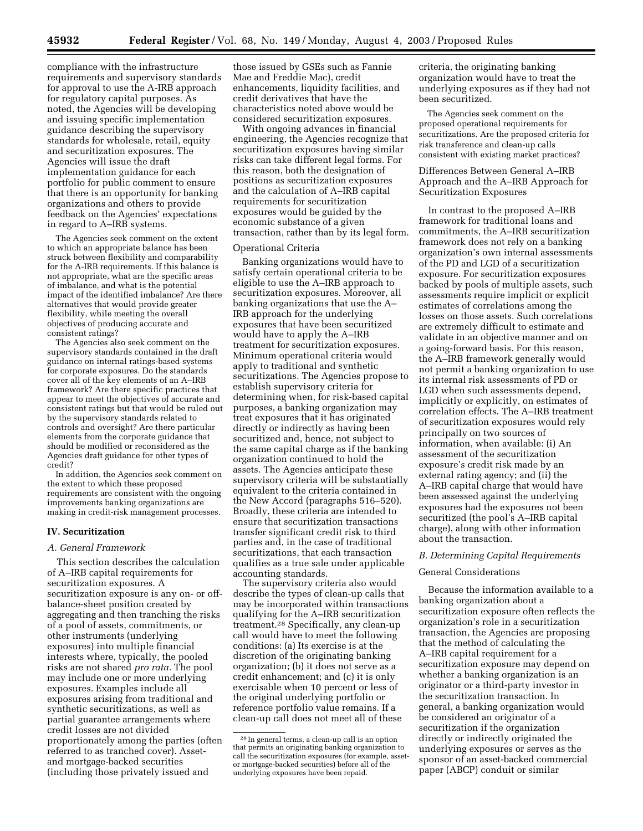compliance with the infrastructure requirements and supervisory standards for approval to use the A-IRB approach for regulatory capital purposes. As noted, the Agencies will be developing and issuing specific implementation guidance describing the supervisory standards for wholesale, retail, equity and securitization exposures. The Agencies will issue the draft implementation guidance for each portfolio for public comment to ensure that there is an opportunity for banking organizations and others to provide feedback on the Agencies' expectations in regard to A–IRB systems.

The Agencies seek comment on the extent to which an appropriate balance has been struck between flexibility and comparability for the A-IRB requirements. If this balance is not appropriate, what are the specific areas of imbalance, and what is the potential impact of the identified imbalance? Are there alternatives that would provide greater flexibility, while meeting the overall objectives of producing accurate and consistent ratings?

The Agencies also seek comment on the supervisory standards contained in the draft guidance on internal ratings-based systems for corporate exposures. Do the standards cover all of the key elements of an A–IRB framework? Are there specific practices that appear to meet the objectives of accurate and consistent ratings but that would be ruled out by the supervisory standards related to controls and oversight? Are there particular elements from the corporate guidance that should be modified or reconsidered as the Agencies draft guidance for other types of credit?

In addition, the Agencies seek comment on the extent to which these proposed requirements are consistent with the ongoing improvements banking organizations are making in credit-risk management processes.

#### **IV. Securitization**

#### *A. General Framework*

This section describes the calculation of A–IRB capital requirements for securitization exposures. A securitization exposure is any on- or offbalance-sheet position created by aggregating and then tranching the risks of a pool of assets, commitments, or other instruments (underlying exposures) into multiple financial interests where, typically, the pooled risks are not shared *pro rata.* The pool may include one or more underlying exposures. Examples include all exposures arising from traditional and synthetic securitizations, as well as partial guarantee arrangements where credit losses are not divided proportionately among the parties (often referred to as tranched cover). Assetand mortgage-backed securities (including those privately issued and

those issued by GSEs such as Fannie Mae and Freddie Mac), credit enhancements, liquidity facilities, and credit derivatives that have the characteristics noted above would be considered securitization exposures.

With ongoing advances in financial engineering, the Agencies recognize that securitization exposures having similar risks can take different legal forms. For this reason, both the designation of positions as securitization exposures and the calculation of A–IRB capital requirements for securitization exposures would be guided by the economic substance of a given transaction, rather than by its legal form.

#### Operational Criteria

Banking organizations would have to satisfy certain operational criteria to be eligible to use the A–IRB approach to securitization exposures. Moreover, all banking organizations that use the A– IRB approach for the underlying exposures that have been securitized would have to apply the A–IRB treatment for securitization exposures. Minimum operational criteria would apply to traditional and synthetic securitizations. The Agencies propose to establish supervisory criteria for determining when, for risk-based capital purposes, a banking organization may treat exposures that it has originated directly or indirectly as having been securitized and, hence, not subject to the same capital charge as if the banking organization continued to hold the assets. The Agencies anticipate these supervisory criteria will be substantially equivalent to the criteria contained in the New Accord (paragraphs 516–520). Broadly, these criteria are intended to ensure that securitization transactions transfer significant credit risk to third parties and, in the case of traditional securitizations, that each transaction qualifies as a true sale under applicable accounting standards.

The supervisory criteria also would describe the types of clean-up calls that may be incorporated within transactions qualifying for the A–IRB securitization treatment.28 Specifically, any clean-up call would have to meet the following conditions: (a) Its exercise is at the discretion of the originating banking organization; (b) it does not serve as a credit enhancement; and (c) it is only exercisable when 10 percent or less of the original underlying portfolio or reference portfolio value remains. If a clean-up call does not meet all of these

criteria, the originating banking organization would have to treat the underlying exposures as if they had not been securitized.

The Agencies seek comment on the proposed operational requirements for securitizations. Are the proposed criteria for risk transference and clean-up calls consistent with existing market practices?

# Differences Between General A–IRB Approach and the A–IRB Approach for Securitization Exposures

In contrast to the proposed A–IRB framework for traditional loans and commitments, the A–IRB securitization framework does not rely on a banking organization's own internal assessments of the PD and LGD of a securitization exposure. For securitization exposures backed by pools of multiple assets, such assessments require implicit or explicit estimates of correlations among the losses on those assets. Such correlations are extremely difficult to estimate and validate in an objective manner and on a going-forward basis. For this reason, the A–IRB framework generally would not permit a banking organization to use its internal risk assessments of PD or LGD when such assessments depend, implicitly or explicitly, on estimates of correlation effects. The A–IRB treatment of securitization exposures would rely principally on two sources of information, when available: (i) An assessment of the securitization exposure's credit risk made by an external rating agency; and (ii) the A–IRB capital charge that would have been assessed against the underlying exposures had the exposures not been securitized (the pool's A–IRB capital charge), along with other information about the transaction.

#### *B. Determining Capital Requirements*

#### General Considerations

Because the information available to a banking organization about a securitization exposure often reflects the organization's role in a securitization transaction, the Agencies are proposing that the method of calculating the A–IRB capital requirement for a securitization exposure may depend on whether a banking organization is an originator or a third-party investor in the securitization transaction. In general, a banking organization would be considered an originator of a securitization if the organization directly or indirectly originated the underlying exposures or serves as the sponsor of an asset-backed commercial paper (ABCP) conduit or similar

<sup>28</sup> In general terms, a clean-up call is an option that permits an originating banking organization to call the securitization exposures (for example, assetor mortgage-backed securities) before all of the underlying exposures have been repaid.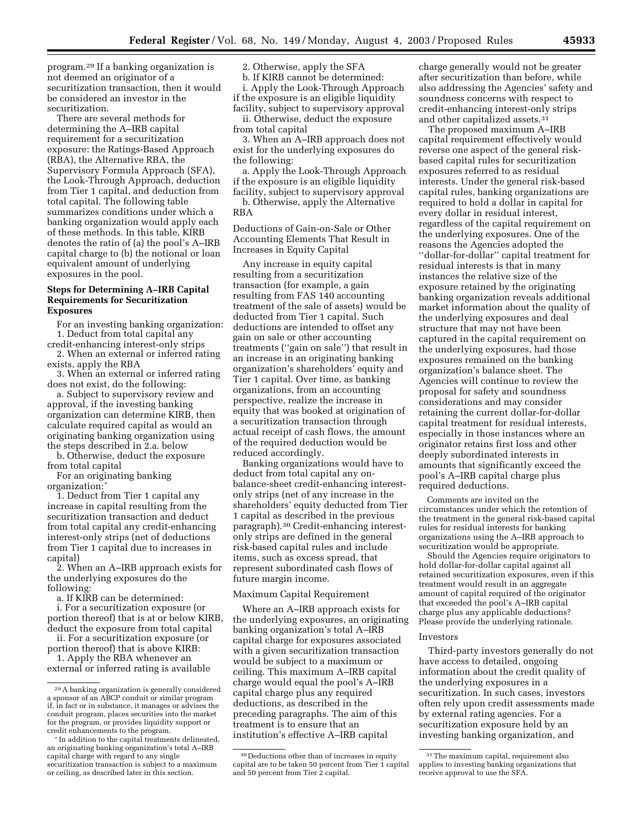program.29 If a banking organization is not deemed an originator of a securitization transaction, then it would be considered an investor in the securitization.

There are several methods for determining the A–IRB capital requirement for a securitization exposure: the Ratings-Based Approach (RBA), the Alternative RBA, the Supervisory Formula Approach (SFA), the Look-Through Approach, deduction from Tier 1 capital, and deduction from total capital. The following table summarizes conditions under which a banking organization would apply each of these methods. In this table, KIRB denotes the ratio of (a) the pool's A–IRB capital charge to (b) the notional or loan equivalent amount of underlying exposures in the pool.

#### **Steps for Determining A–IRB Capital Requirements for Securitization Exposures**

For an investing banking organization:

1. Deduct from total capital any credit-enhancing interest-only strips

2. When an external or inferred rating exists, apply the RBA

3. When an external or inferred rating does not exist, do the following:

a. Subject to supervisory review and approval, if the investing banking organization can determine KIRB, then calculate required capital as would an originating banking organization using the steps described in 2.a. below

b. Otherwise, deduct the exposure from total capital

For an originating banking organization:\*

1. Deduct from Tier 1 capital any increase in capital resulting from the securitization transaction and deduct from total capital any credit-enhancing interest-only strips (net of deductions from Tier 1 capital due to increases in capital)

2. When an A–IRB approach exists for the underlying exposures do the following:

a. If KIRB can be determined:

i. For a securitization exposure (or portion thereof) that is at or below KIRB, deduct the exposure from total capital

ii. For a securitization exposure (or portion thereof) that is above KIRB:

1. Apply the RBA whenever an external or inferred rating is available 2. Otherwise, apply the SFA

b. If KIRB cannot be determined: i. Apply the Look-Through Approach if the exposure is an eligible liquidity facility, subject to supervisory approval

ii. Otherwise, deduct the exposure from total capital

3. When an A–IRB approach does not exist for the underlying exposures do the following:

a. Apply the Look-Through Approach if the exposure is an eligible liquidity facility, subject to supervisory approval

b. Otherwise, apply the Alternative RBA

Deductions of Gain-on-Sale or Other Accounting Elements That Result in Increases in Equity Capital

Any increase in equity capital resulting from a securitization transaction (for example, a gain resulting from FAS 140 accounting treatment of the sale of assets) would be deducted from Tier 1 capital. Such deductions are intended to offset any gain on sale or other accounting treatments (''gain on sale'') that result in an increase in an originating banking organization's shareholders' equity and Tier 1 capital. Over time, as banking organizations, from an accounting perspective, realize the increase in equity that was booked at origination of a securitization transaction through actual receipt of cash flows, the amount of the required deduction would be reduced accordingly.

Banking organizations would have to deduct from total capital any onbalance-sheet credit-enhancing interestonly strips (net of any increase in the shareholders' equity deducted from Tier 1 capital as described in the previous paragraph).30 Credit-enhancing interestonly strips are defined in the general risk-based capital rules and include items, such as excess spread, that represent subordinated cash flows of future margin income.

#### Maximum Capital Requirement

Where an A–IRB approach exists for the underlying exposures, an originating banking organization's total A–IRB capital charge for exposures associated with a given securitization transaction would be subject to a maximum or ceiling. This maximum A–IRB capital charge would equal the pool's A–IRB capital charge plus any required deductions, as described in the preceding paragraphs. The aim of this treatment is to ensure that an institution's effective A–IRB capital

charge generally would not be greater after securitization than before, while also addressing the Agencies' safety and soundness concerns with respect to credit-enhancing interest-only strips and other capitalized assets.31

The proposed maximum A–IRB capital requirement effectively would reverse one aspect of the general riskbased capital rules for securitization exposures referred to as residual interests. Under the general risk-based capital rules, banking organizations are required to hold a dollar in capital for every dollar in residual interest, regardless of the capital requirement on the underlying exposures. One of the reasons the Agencies adopted the ''dollar-for-dollar'' capital treatment for residual interests is that in many instances the relative size of the exposure retained by the originating banking organization reveals additional market information about the quality of the underlying exposures and deal structure that may not have been captured in the capital requirement on the underlying exposures, had those exposures remained on the banking organization's balance sheet. The Agencies will continue to review the proposal for safety and soundness considerations and may consider retaining the current dollar-for-dollar capital treatment for residual interests, especially in those instances where an originator retains first loss and other deeply subordinated interests in amounts that significantly exceed the pool's A–IRB capital charge plus required deductions.

Comments are invited on the circumstances under which the retention of the treatment in the general risk-based capital rules for residual interests for banking organizations using the A–IRB approach to securitization would be appropriate.

Should the Agencies require originators to hold dollar-for-dollar capital against all retained securitization exposures, even if this treatment would result in an aggregate amount of capital required of the originator that exceeded the pool's A–IRB capital charge plus any applicable deductions? Please provide the underlying rationale.

#### Investors

Third-party investors generally do not have access to detailed, ongoing information about the credit quality of the underlying exposures in a securitization. In such cases, investors often rely upon credit assessments made by external rating agencies. For a securitization exposure held by an investing banking organization, and

<sup>29</sup>A banking organization is generally considered a sponsor of an ABCP conduit or similar program if, in fact or in substance, it manages or advises the conduit program, places securities into the market for the program, or provides liquidity support or credit enhancements to the program.

<sup>\*</sup> In addition to the capital treatments delineated, an originating banking organization's total A–IRB capital charge with regard to any single securitization transaction is subject to a maximum or ceiling, as described later in this section.

<sup>30</sup> Deductions other than of increases in equity capital are to be taken 50 percent from Tier 1 capital and 50 percent from Tier 2 capital.

<sup>31</sup>The maximum capital, requirement also applies to investing banking organizations that receive approval to use the SFA.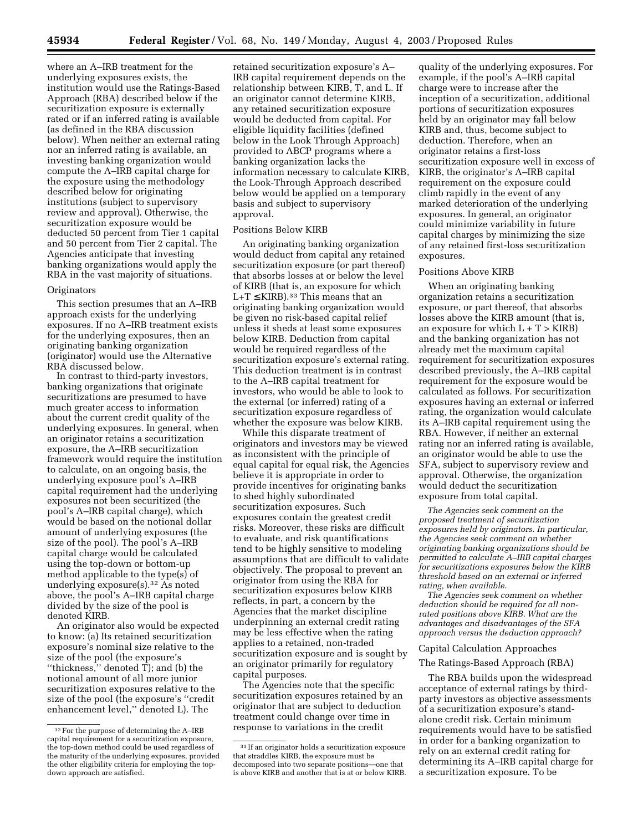where an A–IRB treatment for the underlying exposures exists, the institution would use the Ratings-Based Approach (RBA) described below if the securitization exposure is externally rated or if an inferred rating is available (as defined in the RBA discussion below). When neither an external rating nor an inferred rating is available, an investing banking organization would compute the A–IRB capital charge for the exposure using the methodology described below for originating institutions (subject to supervisory review and approval). Otherwise, the securitization exposure would be deducted 50 percent from Tier 1 capital and 50 percent from Tier 2 capital. The Agencies anticipate that investing banking organizations would apply the RBA in the vast majority of situations.

#### **Originators**

This section presumes that an A–IRB approach exists for the underlying exposures. If no A–IRB treatment exists for the underlying exposures, then an originating banking organization (originator) would use the Alternative RBA discussed below.

In contrast to third-party investors, banking organizations that originate securitizations are presumed to have much greater access to information about the current credit quality of the underlying exposures. In general, when an originator retains a securitization exposure, the A–IRB securitization framework would require the institution to calculate, on an ongoing basis, the underlying exposure pool's A–IRB capital requirement had the underlying exposures not been securitized (the pool's A–IRB capital charge), which would be based on the notional dollar amount of underlying exposures (the size of the pool). The pool's A–IRB capital charge would be calculated using the top-down or bottom-up method applicable to the type(s) of underlying exposure(s).32 As noted above, the pool's A–IRB capital charge divided by the size of the pool is denoted KIRB.

An originator also would be expected to know: (a) Its retained securitization exposure's nominal size relative to the size of the pool (the exposure's ''thickness,'' denoted T); and (b) the notional amount of all more junior securitization exposures relative to the size of the pool (the exposure's ''credit enhancement level,'' denoted L). The

retained securitization exposure's A– IRB capital requirement depends on the relationship between KIRB, T, and L. If an originator cannot determine KIRB, any retained securitization exposure would be deducted from capital. For eligible liquidity facilities (defined below in the Look Through Approach) provided to ABCP programs where a banking organization lacks the information necessary to calculate KIRB, the Look-Through Approach described below would be applied on a temporary basis and subject to supervisory approval.

#### Positions Below KIRB

An originating banking organization would deduct from capital any retained securitization exposure (or part thereof) that absorbs losses at or below the level of KIRB (that is, an exposure for which L+T  $\leq$  KIRB).<sup>33</sup> This means that an originating banking organization would be given no risk-based capital relief unless it sheds at least some exposures below KIRB. Deduction from capital would be required regardless of the securitization exposure's external rating. This deduction treatment is in contrast to the A–IRB capital treatment for investors, who would be able to look to the external (or inferred) rating of a securitization exposure regardless of whether the exposure was below KIRB.

While this disparate treatment of originators and investors may be viewed as inconsistent with the principle of equal capital for equal risk, the Agencies believe it is appropriate in order to provide incentives for originating banks to shed highly subordinated securitization exposures. Such exposures contain the greatest credit risks. Moreover, these risks are difficult to evaluate, and risk quantifications tend to be highly sensitive to modeling assumptions that are difficult to validate objectively. The proposal to prevent an originator from using the RBA for securitization exposures below KIRB reflects, in part, a concern by the Agencies that the market discipline underpinning an external credit rating may be less effective when the rating applies to a retained, non-traded securitization exposure and is sought by an originator primarily for regulatory capital purposes.

The Agencies note that the specific securitization exposures retained by an originator that are subject to deduction treatment could change over time in response to variations in the credit

quality of the underlying exposures. For example, if the pool's A–IRB capital charge were to increase after the inception of a securitization, additional portions of securitization exposures held by an originator may fall below KIRB and, thus, become subject to deduction. Therefore, when an originator retains a first-loss securitization exposure well in excess of KIRB, the originator's A–IRB capital requirement on the exposure could climb rapidly in the event of any marked deterioration of the underlying exposures. In general, an originator could minimize variability in future capital charges by minimizing the size of any retained first-loss securitization exposures.

#### Positions Above KIRB

When an originating banking organization retains a securitization exposure, or part thereof, that absorbs losses above the KIRB amount (that is, an exposure for which  $L + T > KIRB$ and the banking organization has not already met the maximum capital requirement for securitization exposures described previously, the A–IRB capital requirement for the exposure would be calculated as follows. For securitization exposures having an external or inferred rating, the organization would calculate its A–IRB capital requirement using the RBA. However, if neither an external rating nor an inferred rating is available, an originator would be able to use the SFA, subject to supervisory review and approval. Otherwise, the organization would deduct the securitization exposure from total capital.

*The Agencies seek comment on the proposed treatment of securitization exposures held by originators. In particular, the Agencies seek comment on whether originating banking organizations should be permitted to calculate A–IRB capital charges for securitizations exposures below the KIRB threshold based on an external or inferred rating, when available.*

*The Agencies seek comment on whether deduction should be required for all nonrated positions above KIRB. What are the advantages and disadvantages of the SFA approach versus the deduction approach?*

#### Capital Calculation Approaches

#### The Ratings-Based Approach (RBA)

The RBA builds upon the widespread acceptance of external ratings by thirdparty investors as objective assessments of a securitization exposure's standalone credit risk. Certain minimum requirements would have to be satisfied in order for a banking organization to rely on an external credit rating for determining its A–IRB capital charge for a securitization exposure. To be

<sup>32</sup>For the purpose of determining the A–IRB capital requirement for a securitization exposure, the top-down method could be used regardless of the maturity of the underlying exposures, provided the other eligibility criteria for employing the topdown approach are satisfied.

<sup>33</sup> If an originator holds a securitization exposure that straddles KIRB, the exposure must be decomposed into two separate positions—one that is above KIRB and another that is at or below KIRB.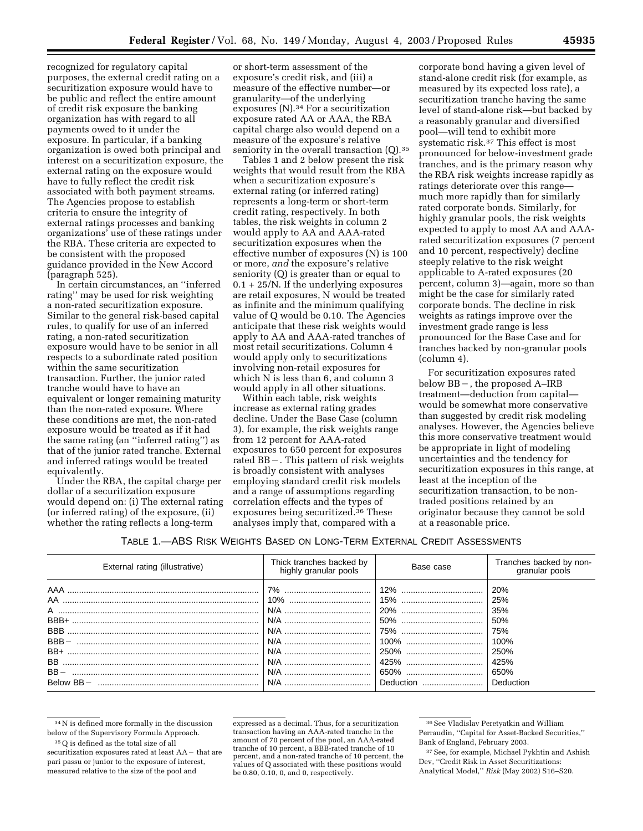recognized for regulatory capital purposes, the external credit rating on a securitization exposure would have to be public and reflect the entire amount of credit risk exposure the banking organization has with regard to all payments owed to it under the exposure. In particular, if a banking organization is owed both principal and interest on a securitization exposure, the external rating on the exposure would have to fully reflect the credit risk associated with both payment streams. The Agencies propose to establish criteria to ensure the integrity of external ratings processes and banking organizations' use of these ratings under the RBA. These criteria are expected to be consistent with the proposed guidance provided in the New Accord (paragraph 525).

In certain circumstances, an ''inferred rating'' may be used for risk weighting a non-rated securitization exposure. Similar to the general risk-based capital rules, to qualify for use of an inferred rating, a non-rated securitization exposure would have to be senior in all respects to a subordinate rated position within the same securitization transaction. Further, the junior rated tranche would have to have an equivalent or longer remaining maturity than the non-rated exposure. Where these conditions are met, the non-rated exposure would be treated as if it had the same rating (an ''inferred rating'') as that of the junior rated tranche. External and inferred ratings would be treated equivalently.

Under the RBA, the capital charge per dollar of a securitization exposure would depend on: (i) The external rating (or inferred rating) of the exposure, (ii) whether the rating reflects a long-term

or short-term assessment of the exposure's credit risk, and (iii) a measure of the effective number—or granularity—of the underlying exposures (N).34 For a securitization exposure rated AA or AAA, the RBA capital charge also would depend on a measure of the exposure's relative seniority in the overall transaction (O).<sup>35</sup>

Tables 1 and 2 below present the risk weights that would result from the RBA when a securitization exposure's external rating (or inferred rating) represents a long-term or short-term credit rating, respectively. In both tables, the risk weights in column 2 would apply to AA and AAA-rated securitization exposures when the effective number of exposures (N) is 100 or more, *and* the exposure's relative seniority (Q) is greater than or equal to 0.1 + 25/N. If the underlying exposures are retail exposures, N would be treated as infinite and the minimum qualifying value of Q would be 0.10. The Agencies anticipate that these risk weights would apply to AA and AAA-rated tranches of most retail securitizations. Column 4 would apply only to securitizations involving non-retail exposures for which N is less than 6, and column 3 would apply in all other situations.

Within each table, risk weights increase as external rating grades decline. Under the Base Case (column 3), for example, the risk weights range from 12 percent for AAA-rated exposures to 650 percent for exposures rated BB -. This pattern of risk weights is broadly consistent with analyses employing standard credit risk models and a range of assumptions regarding correlation effects and the types of exposures being securitized.<sup>36</sup> These analyses imply that, compared with a

corporate bond having a given level of stand-alone credit risk (for example, as measured by its expected loss rate), a securitization tranche having the same level of stand-alone risk—but backed by a reasonably granular and diversified pool—will tend to exhibit more systematic risk.37 This effect is most pronounced for below-investment grade tranches, and is the primary reason why the RBA risk weights increase rapidly as ratings deteriorate over this range much more rapidly than for similarly rated corporate bonds. Similarly, for highly granular pools, the risk weights expected to apply to most AA and AAArated securitization exposures (7 percent and 10 percent, respectively) decline steeply relative to the risk weight applicable to A-rated exposures (20 percent, column 3)—again, more so than might be the case for similarly rated corporate bonds. The decline in risk weights as ratings improve over the investment grade range is less pronounced for the Base Case and for tranches backed by non-granular pools (column 4).

For securitization exposures rated below  $BB-$ , the proposed  $A-IRB$ treatment—deduction from capital would be somewhat more conservative than suggested by credit risk modeling analyses. However, the Agencies believe this more conservative treatment would be appropriate in light of modeling uncertainties and the tendency for securitization exposures in this range, at least at the inception of the securitization transaction, to be nontraded positions retained by an originator because they cannot be sold at a reasonable price.

# TABLE 1.—ABS RISK WEIGHTS BASED ON LONG-TERM EXTERNAL CREDIT ASSESSMENTS

| External rating (illustrative)                                                                | Thick tranches backed by<br>highly granular pools | Base case                  | Tranches backed by non-<br>granular pools                                    |
|-----------------------------------------------------------------------------------------------|---------------------------------------------------|----------------------------|------------------------------------------------------------------------------|
| AAA …………………………………………………………………………<br>A<br>BBB+<br>$BBB -$<br>BB+<br>BB.<br>$BB -$<br>Below BB- |                                                   | 250%<br>650\,<br>Deduction | 20%<br>25%<br>35%<br>50%<br>75%<br>100%<br>250%<br>425%<br>650%<br>Deduction |

 $^{34}\rm{N}$  is defined more formally in the discussion below of the Supervisory Formula Approach.

<sup>35</sup>Q is defined as the total size of all securitization exposures rated at least  $AA$  - that are

pari passu or junior to the exposure of interest, measured relative to the size of the pool and

expressed as a decimal. Thus, for a securitization transaction having an AAA-rated tranche in the amount of 70 percent of the pool, an AAA-rated tranche of 10 percent, a BBB-rated tranche of 10 percent, and a non-rated tranche of 10 percent, the values of Q associated with these positions would be 0.80, 0.10, 0, and 0, respectively.

<sup>36</sup>See Vladislav Peretyatkin and William Perraudin, ''Capital for Asset-Backed Securities,'' Bank of England, February 2003.

<sup>37</sup>See, for example, Michael Pykhtin and Ashish Dev, ''Credit Risk in Asset Securitizations: Analytical Model,'' *Risk* (May 2002) S16–S20.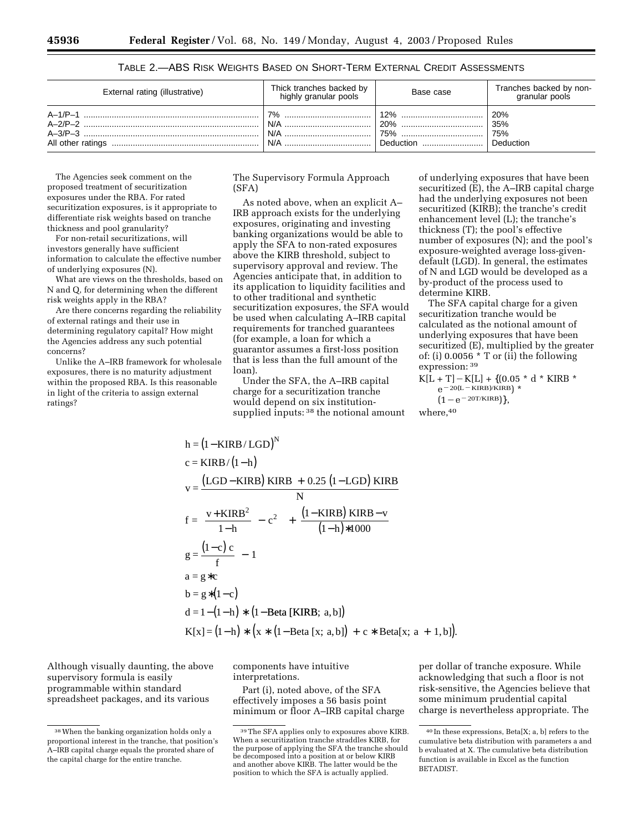| External rating (illustrative) | Thick tranches backed by<br>highly granular pools | Base case | Tranches backed by non-<br>granular pools |
|--------------------------------|---------------------------------------------------|-----------|-------------------------------------------|
|                                | 7%                                                |           | 20%                                       |
|                                | N/A                                               |           | 35%                                       |
|                                | N/A                                               | 75%       | 75%                                       |
|                                | N/A                                               |           | Deduction                                 |

TABLE 2.—ABS RISK WEIGHTS BASED ON SHORT-TERM EXTERNAL CREDIT ASSESSMENTS

The Agencies seek comment on the proposed treatment of securitization exposures under the RBA. For rated securitization exposures, is it appropriate to differentiate risk weights based on tranche thickness and pool granularity?

For non-retail securitizations, will investors generally have sufficient information to calculate the effective number of underlying exposures (N).

What are views on the thresholds, based on N and Q, for determining when the different risk weights apply in the RBA?

Are there concerns regarding the reliability of external ratings and their use in determining regulatory capital? How might the Agencies address any such potential concerns?

Unlike the A–IRB framework for wholesale exposures, there is no maturity adjustment within the proposed RBA. Is this reasonable in light of the criteria to assign external ratings?

The Supervisory Formula Approach (SFA)

As noted above, when an explicit A– IRB approach exists for the underlying exposures, originating and investing banking organizations would be able to apply the SFA to non-rated exposures above the KIRB threshold, subject to supervisory approval and review. The Agencies anticipate that, in addition to its application to liquidity facilities and to other traditional and synthetic securitization exposures, the SFA would be used when calculating A–IRB capital requirements for tranched guarantees (for example, a loan for which a guarantor assumes a first-loss position that is less than the full amount of the loan).

Under the SFA, the A–IRB capital charge for a securitization tranche would depend on six institutionsupplied inputs: <sup>38</sup> the notional amount of underlying exposures that have been securitized (E), the A–IRB capital charge had the underlying exposures not been securitized (KIRB); the tranche's credit enhancement level (L); the tranche's thickness (T); the pool's effective number of exposures (N); and the pool's exposure-weighted average loss-givendefault (LGD). In general, the estimates of N and LGD would be developed as a by-product of the process used to determine KIRB.

The SFA capital charge for a given securitization tranche would be calculated as the notional amount of underlying exposures that have been securitized (E), multiplied by the greater of: (i) 0.0056 \* T or (ii) the following expression: 39

$$
\begin{array}{l} K[L+T] - K[L] + \{ (0.05 * d * KIRB * \\ e^{-20(L-KIRB)/KIRB} ) * \\ (1 - e^{-20T/KIRB}) \}, \end{array}
$$

where, 40

h = (1 - KIRB/LGD)<sup>N</sup>  
\nc = KIRB/(1-h)  
\nv = 
$$
\frac{(LGD - KIRB) KIRB + 0.25 (1 - LGD) KIRB}{N}
$$
  
\nf =  $\left(\frac{v + KIRB^2}{1 - h} - c^2\right) + \frac{(1 - KIRB) KIRB - v}{(1 - h)*1000}$   
\ng =  $\frac{(1 - c)c}{f} - 1$   
\na = g \*c  
\nb = g \* (1 - c)  
\nd = 1 - (1 - h) \* (1 - Beta [KIRB; a, b])  
\nK[x] = (1 - h) \* (x \* (1 - Beta [x; a, b]) + c \* Beta[x; a + 1, b]).

Although visually daunting, the above supervisory formula is easily programmable within standard spreadsheet packages, and its various

components have intuitive interpretations.

Part (i), noted above, of the SFA effectively imposes a 56 basis point minimum or floor A–IRB capital charge

per dollar of tranche exposure. While acknowledging that such a floor is not risk-sensitive, the Agencies believe that some minimum prudential capital charge is nevertheless appropriate. The

<sup>38</sup>When the banking organization holds only a proportional interest in the tranche, that position's A–IRB capital charge equals the prorated share of the capital charge for the entire tranche.

<sup>39</sup>The SFA applies only to exposures above KIRB. When a securitization tranche straddles KIRB, for the purpose of applying the SFA the tranche should be decomposed into a position at or below KIRB and another above KIRB. The latter would be the position to which the SFA is actually applied.

<sup>40</sup> In these expressions, Beta[X; a, b] refers to the cumulative beta distribution with parameters a and b evaluated at X. The cumulative beta distribution function is available in Excel as the function BETADIST.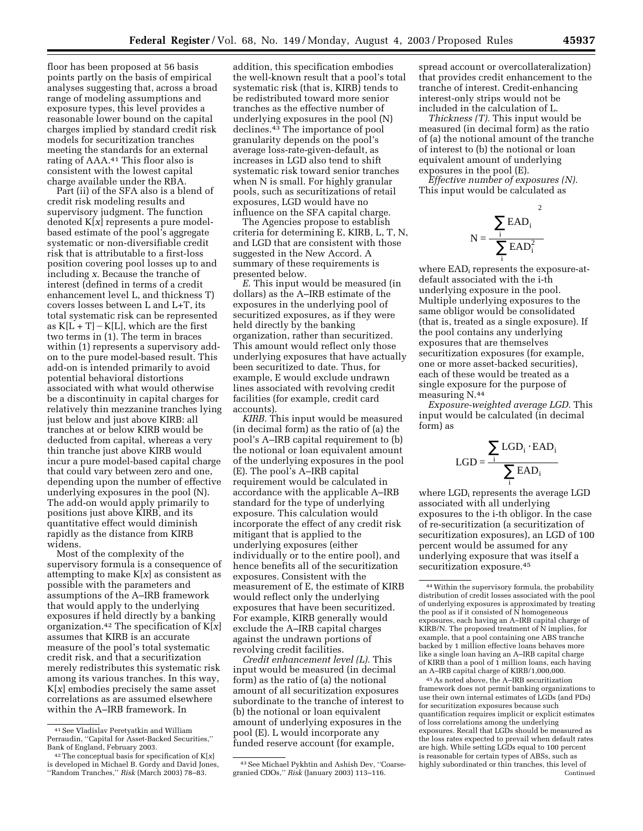floor has been proposed at 56 basis points partly on the basis of empirical analyses suggesting that, across a broad range of modeling assumptions and exposure types, this level provides a reasonable lower bound on the capital charges implied by standard credit risk models for securitization tranches meeting the standards for an external rating of AAA.41 This floor also is consistent with the lowest capital charge available under the RBA.

Part (ii) of the SFA also is a blend of credit risk modeling results and supervisory judgment. The function denoted K[*x*] represents a pure modelbased estimate of the pool's aggregate systematic or non-diversifiable credit risk that is attributable to a first-loss position covering pool losses up to and including *x*. Because the tranche of interest (defined in terms of a credit enhancement level L, and thickness T) covers losses between L and L+T, its total systematic risk can be represented as  $K[L + T] - K[L]$ , which are the first two terms in (1). The term in braces within (1) represents a supervisory addon to the pure model-based result. This add-on is intended primarily to avoid potential behavioral distortions associated with what would otherwise be a discontinuity in capital charges for relatively thin mezzanine tranches lying just below and just above KIRB: all tranches at or below KIRB would be deducted from capital, whereas a very thin tranche just above KIRB would incur a pure model-based capital charge that could vary between zero and one, depending upon the number of effective underlying exposures in the pool (N). The add-on would apply primarily to positions just above KIRB, and its quantitative effect would diminish rapidly as the distance from KIRB widens.

Most of the complexity of the supervisory formula is a consequence of attempting to make K[*x*] as consistent as possible with the parameters and assumptions of the A–IRB framework that would apply to the underlying exposures if held directly by a banking organization.42 The specification of K[*x*] assumes that KIRB is an accurate measure of the pool's total systematic credit risk, and that a securitization merely redistributes this systematic risk among its various tranches. In this way, K[*x*] embodies precisely the same asset correlations as are assumed elsewhere within the A–IRB framework. In

addition, this specification embodies the well-known result that a pool's total systematic risk (that is, KIRB) tends to be redistributed toward more senior tranches as the effective number of underlying exposures in the pool (N) declines.43 The importance of pool granularity depends on the pool's average loss-rate-given-default, as increases in LGD also tend to shift systematic risk toward senior tranches when N is small. For highly granular pools, such as securitizations of retail exposures, LGD would have no influence on the SFA capital charge.

The Agencies propose to establish criteria for determining E, KIRB, L, T, N, and LGD that are consistent with those suggested in the New Accord. A summary of these requirements is presented below.

*E*. This input would be measured (in dollars) as the A–IRB estimate of the exposures in the underlying pool of securitized exposures, as if they were held directly by the banking organization, rather than securitized. This amount would reflect only those underlying exposures that have actually been securitized to date. Thus, for example, E would exclude undrawn lines associated with revolving credit facilities (for example, credit card accounts).

*KIRB.* This input would be measured (in decimal form) as the ratio of (a) the pool's A–IRB capital requirement to (b) the notional or loan equivalent amount of the underlying exposures in the pool (E). The pool's A–IRB capital requirement would be calculated in accordance with the applicable A–IRB standard for the type of underlying exposure. This calculation would incorporate the effect of any credit risk mitigant that is applied to the underlying exposures (either individually or to the entire pool), and hence benefits all of the securitization exposures. Consistent with the measurement of E, the estimate of KIRB would reflect only the underlying exposures that have been securitized. For example, KIRB generally would exclude the A–IRB capital charges against the undrawn portions of revolving credit facilities.

*Credit enhancement level (L).* This input would be measured (in decimal form) as the ratio of (a) the notional amount of all securitization exposures subordinate to the tranche of interest to (b) the notional or loan equivalent amount of underlying exposures in the pool (E). L would incorporate any funded reserve account (for example,

spread account or overcollateralization) that provides credit enhancement to the tranche of interest. Credit-enhancing interest-only strips would not be included in the calculation of L.

*Thickness (T).* This input would be measured (in decimal form) as the ratio of (a) the notional amount of the tranche of interest to (b) the notional or loan equivalent amount of underlying exposures in the pool (E).

*Effective number of exposures (N).* This input would be calculated as

$$
N = \frac{\left(\sum_i EAD_i\right)^2}{\sum_i EAD_i^2}
$$

where EAD<sub>i</sub> represents the exposure-atdefault associated with the i-th underlying exposure in the pool. Multiple underlying exposures to the same obligor would be consolidated (that is, treated as a single exposure). If the pool contains any underlying exposures that are themselves securitization exposures (for example, one or more asset-backed securities), each of these would be treated as a single exposure for the purpose of measuring N.44

*Exposure-weighted average LGD.* This input would be calculated (in decimal form) as

$$
LGD = \frac{\sum_{i} LGD_i \cdot EAD_i}{\sum_{i} EAD_i}
$$

where LGD<sub>i</sub> represents the average LGD associated with all underlying exposures to the i-th obligor. In the case of re-securitization (a securitization of securitization exposures), an LGD of 100 percent would be assumed for any underlying exposure that was itself a securitization exposure.45

45As noted above, the A–IRB securitization framework does not permit banking organizations to use their own internal estimates of LGDs (and PDs) for securitization exposures because such quantification requires implicit or explicit estimates of loss correlations among the underlying exposures. Recall that LGDs should be measured as the loss rates expected to prevail when default rates are high. While setting LGDs equal to 100 percent is reasonable for certain types of ABSs, such as highly subordinated or thin tranches, this level of Continued

<sup>41</sup>See Vladislav Peretyatkin and William Perraudin, ''Capital for Asset-Backed Securities,'' Bank of England, February 2003.

<sup>42</sup>The conceptual basis for specification of K[*x*] is developed in Michael B. Gordy and David Jones, ''Random Tranches,'' *Risk* (March 2003) 78–83.

<sup>43</sup>See Michael Pykhtin and Ashish Dev, ''Coarsegranied CDOs,'' *Risk* (January 2003) 113–116.

<sup>44</sup>Within the supervisory formula, the probability distribution of credit losses associated with the pool of underlying exposures is approximated by treating the pool as if it consisted of  $\overrightarrow{N}$  homogeneous exposures, each having an A–IRB capital charge of KIRB/N. The proposed treatment of N implies, for example, that a pool containing one ABS tranche backed by 1 million effective loans behaves more like a single loan having an A–IRB capital charge of KIRB than a pool of 1 million loans, each having an A–IRB capital charge of KIRB/1,000,000.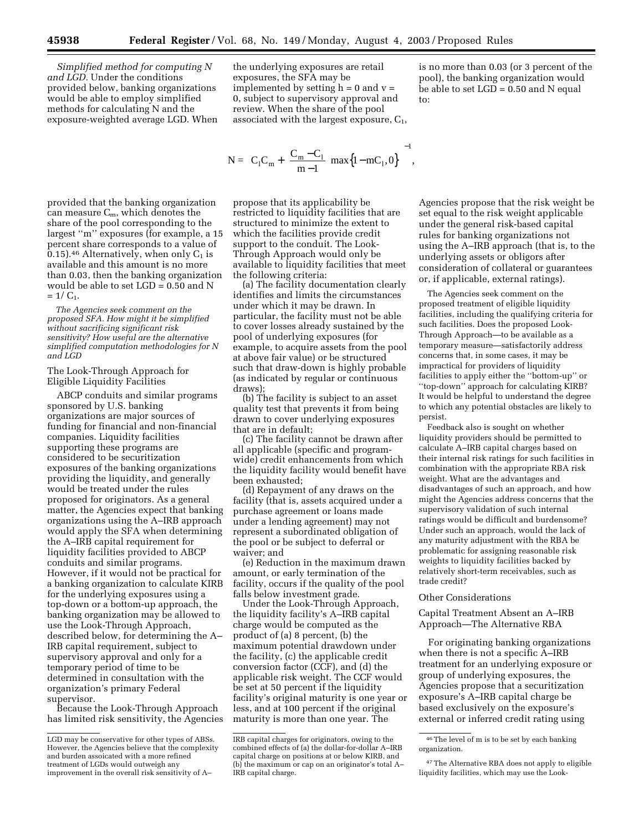*Simplified method for computing N and LGD.* Under the conditions provided below, banking organizations would be able to employ simplified methods for calculating N and the exposure-weighted average LGD. When

provided that the banking organization can measure  $C_m$ , which denotes the share of the pool corresponding to the largest ''m'' exposures (for example, a 15 percent share corresponds to a value of 0.15).<sup>46</sup> Alternatively, when only  $C_1$  is available and this amount is no more than 0.03, then the banking organization would be able to set LGD = 0.50 and N  $= 1/C_1$ .

*The Agencies seek comment on the proposed SFA. How might it be simplified without sacrificing significant risk sensitivity? How useful are the alternative simplified computation methodologies for N and LGD*

The Look-Through Approach for Eligible Liquidity Facilities

ABCP conduits and similar programs sponsored by U.S. banking organizations are major sources of funding for financial and non-financial companies. Liquidity facilities supporting these programs are considered to be securitization exposures of the banking organizations providing the liquidity, and generally would be treated under the rules proposed for originators. As a general matter, the Agencies expect that banking organizations using the A–IRB approach would apply the SFA when determining the A–IRB capital requirement for liquidity facilities provided to ABCP conduits and similar programs. However, if it would not be practical for a banking organization to calculate KIRB for the underlying exposures using a top-down or a bottom-up approach, the banking organization may be allowed to use the Look-Through Approach, described below, for determining the A– IRB capital requirement, subject to supervisory approval and only for a temporary period of time to be determined in consultation with the organization's primary Federal supervisor.

Because the Look-Through Approach has limited risk sensitivity, the Agencies

the underlying exposures are retail exposures, the SFA may be implemented by setting  $h = 0$  and  $v =$ 0, subject to supervisory approval and review. When the share of the pool associated with the largest exposure,  $C_1$ ,

$$
N = \left( C_1 C_m + \left( \frac{C_m - C_1}{m - 1} \right) \max\{1 - mC_1, 0\} \right)^{-1},
$$

propose that its applicability be restricted to liquidity facilities that are structured to minimize the extent to which the facilities provide credit support to the conduit. The Look-Through Approach would only be available to liquidity facilities that meet the following criteria:

(a) The facility documentation clearly identifies and limits the circumstances under which it may be drawn. In particular, the facility must not be able to cover losses already sustained by the pool of underlying exposures (for example, to acquire assets from the pool at above fair value) or be structured such that draw-down is highly probable (as indicated by regular or continuous draws);

(b) The facility is subject to an asset quality test that prevents it from being drawn to cover underlying exposures that are in default;

(c) The facility cannot be drawn after all applicable (specific and programwide) credit enhancements from which the liquidity facility would benefit have been exhausted;

(d) Repayment of any draws on the facility (that is, assets acquired under a purchase agreement or loans made under a lending agreement) may not represent a subordinated obligation of the pool or be subject to deferral or waiver; and

(e) Reduction in the maximum drawn amount, or early termination of the facility, occurs if the quality of the pool falls below investment grade.

Under the Look-Through Approach, the liquidity facility's A–IRB capital charge would be computed as the product of (a) 8 percent, (b) the maximum potential drawdown under the facility, (c) the applicable credit conversion factor (CCF), and (d) the applicable risk weight. The CCF would be set at 50 percent if the liquidity facility's original maturity is one year or less, and at 100 percent if the original maturity is more than one year. The

is no more than 0.03 (or 3 percent of the pool), the banking organization would be able to set  $LGD = 0.50$  and N equal to:

Agencies propose that the risk weight be set equal to the risk weight applicable under the general risk-based capital rules for banking organizations not using the A–IRB approach (that is, to the underlying assets or obligors after consideration of collateral or guarantees or, if applicable, external ratings).

The Agencies seek comment on the proposed treatment of eligible liquidity facilities, including the qualifying criteria for such facilities. Does the proposed Look-Through Approach—to be available as a temporary measure—satisfactorily address concerns that, in some cases, it may be impractical for providers of liquidity facilities to apply either the ''bottom-up'' or ''top-down'' approach for calculating KIRB? It would be helpful to understand the degree to which any potential obstacles are likely to persist.

Feedback also is sought on whether liquidity providers should be permitted to calculate A–IRB capital charges based on their internal risk ratings for such facilities in combination with the appropriate RBA risk weight. What are the advantages and disadvantages of such an approach, and how might the Agencies address concerns that the supervisory validation of such internal ratings would be difficult and burdensome? Under such an approach, would the lack of any maturity adjustment with the RBA be problematic for assigning reasonable risk weights to liquidity facilities backed by relatively short-term receivables, such as trade credit?

#### Other Considerations

Capital Treatment Absent an A–IRB Approach—The Alternative RBA

For originating banking organizations when there is not a specific A–IRB treatment for an underlying exposure or group of underlying exposures, the Agencies propose that a securitization exposure's A–IRB capital charge be based exclusively on the exposure's external or inferred credit rating using

LGD may be conservative for other types of ABSs. However, the Agencies believe that the complexity and burden assoicated with a more refined treatment of LGDs would outweigh any improvement in the overall risk sensitivity of A–

IRB capital charges for originators, owing to the combined effects of (a) the dollar-for-dollar A–IRB capital charge on positions at or below KIRB, and (b) the maximum or cap on an originator's total A– IRB capital charge.

<sup>46</sup>The level of m is to be set by each banking organization.

<sup>47</sup>The Alternative RBA does not apply to eligible liquidity facilities, which may use the Look-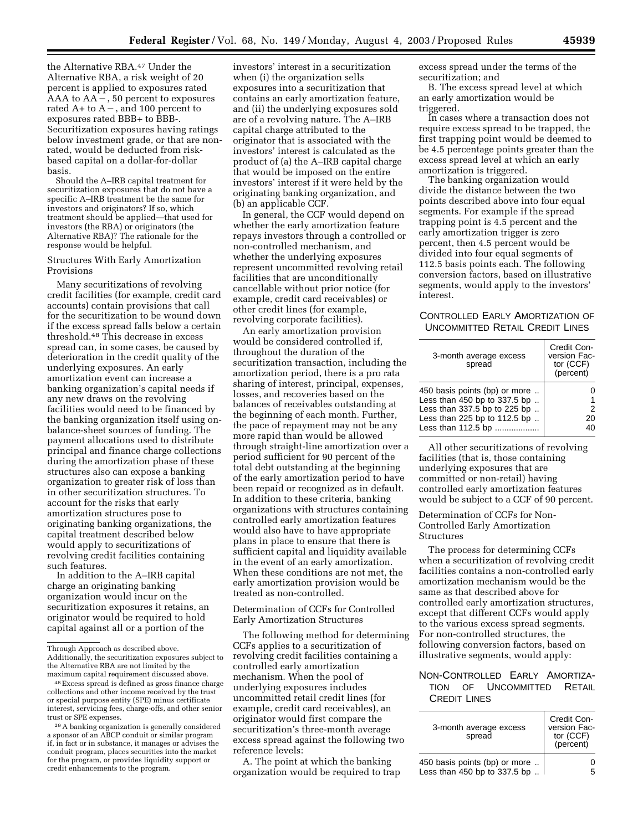the Alternative RBA.47 Under the Alternative RBA, a risk weight of 20 percent is applied to exposures rated  $AAA$  to  $AA-$ , 50 percent to exposures rated  $A+$  to  $A-$ , and 100 percent to exposures rated BBB+ to BBB-. Securitization exposures having ratings below investment grade, or that are nonrated, would be deducted from riskbased capital on a dollar-for-dollar basis.

Should the A–IRB capital treatment for securitization exposures that do not have a specific A–IRB treatment be the same for investors and originators? If so, which treatment should be applied—that used for investors (the RBA) or originators (the Alternative RBA)? The rationale for the response would be helpful.

#### Structures With Early Amortization Provisions

Many securitizations of revolving credit facilities (for example, credit card accounts) contain provisions that call for the securitization to be wound down if the excess spread falls below a certain threshold.48 This decrease in excess spread can, in some cases, be caused by deterioration in the credit quality of the underlying exposures. An early amortization event can increase a banking organization's capital needs if any new draws on the revolving facilities would need to be financed by the banking organization itself using onbalance-sheet sources of funding. The payment allocations used to distribute principal and finance charge collections during the amortization phase of these structures also can expose a banking organization to greater risk of loss than in other securitization structures. To account for the risks that early amortization structures pose to originating banking organizations, the capital treatment described below would apply to securitizations of revolving credit facilities containing such features.

In addition to the A–IRB capital charge an originating banking organization would incur on the securitization exposures it retains, an originator would be required to hold capital against all or a portion of the

29A banking organization is generally considered a sponsor of an ABCP conduit or similar program if, in fact or in substance, it manages or advises the conduit program, places securities into the market for the program, or provides liquidity support or credit enhancements to the program.

investors' interest in a securitization when (i) the organization sells exposures into a securitization that contains an early amortization feature, and (ii) the underlying exposures sold are of a revolving nature. The A–IRB capital charge attributed to the originator that is associated with the investors' interest is calculated as the product of (a) the A–IRB capital charge that would be imposed on the entire investors' interest if it were held by the originating banking organization, and (b) an applicable CCF.

In general, the CCF would depend on whether the early amortization feature repays investors through a controlled or non-controlled mechanism, and whether the underlying exposures represent uncommitted revolving retail facilities that are unconditionally cancellable without prior notice (for example, credit card receivables) or other credit lines (for example, revolving corporate facilities).

An early amortization provision would be considered controlled if, throughout the duration of the securitization transaction, including the amortization period, there is a pro rata sharing of interest, principal, expenses, losses, and recoveries based on the balances of receivables outstanding at the beginning of each month. Further, the pace of repayment may not be any more rapid than would be allowed through straight-line amortization over a period sufficient for 90 percent of the total debt outstanding at the beginning of the early amortization period to have been repaid or recognized as in default. In addition to these criteria, banking organizations with structures containing controlled early amortization features would also have to have appropriate plans in place to ensure that there is sufficient capital and liquidity available in the event of an early amortization. When these conditions are not met, the early amortization provision would be treated as non-controlled.

Determination of CCFs for Controlled Early Amortization Structures

The following method for determining CCFs applies to a securitization of revolving credit facilities containing a controlled early amortization mechanism. When the pool of underlying exposures includes uncommitted retail credit lines (for example, credit card receivables), an originator would first compare the securitization's three-month average excess spread against the following two reference levels:

A. The point at which the banking organization would be required to trap excess spread under the terms of the securitization; and

B. The excess spread level at which an early amortization would be triggered.

In cases where a transaction does not require excess spread to be trapped, the first trapping point would be deemed to be 4.5 percentage points greater than the excess spread level at which an early amortization is triggered.

The banking organization would divide the distance between the two points described above into four equal segments. For example if the spread trapping point is 4.5 percent and the early amortization trigger is zero percent, then 4.5 percent would be divided into four equal segments of 112.5 basis points each. The following conversion factors, based on illustrative segments, would apply to the investors' interest.

# CONTROLLED EARLY AMORTIZATION OF UNCOMMITTED RETAIL CREDIT LINES

| 3-month average excess<br>spread                                                                                                                    | Credit Con-<br>version Fac-<br>tor (CCF)<br>(percent) |
|-----------------------------------------------------------------------------------------------------------------------------------------------------|-------------------------------------------------------|
| 450 basis points (bp) or more<br>Less than 450 bp to 337.5 bp<br>Less than 337.5 bp to 225 bp<br>Less than 225 bp to 112.5 bp<br>Less than 112.5 bp | 20                                                    |

All other securitizations of revolving facilities (that is, those containing underlying exposures that are committed or non-retail) having controlled early amortization features would be subject to a CCF of 90 percent.

Determination of CCFs for Non-Controlled Early Amortization Structures

The process for determining CCFs when a securitization of revolving credit facilities contains a non-controlled early amortization mechanism would be the same as that described above for controlled early amortization structures, except that different CCFs would apply to the various excess spread segments. For non-controlled structures, the following conversion factors, based on illustrative segments, would apply:

# NON-CONTROLLED EARLY AMORTIZA-TION OF UNCOMMITTED RETAIL CREDIT LINES

| 3-month average excess<br>spread | Credit Con-<br>version Fac-<br>tor (CCF)<br>(percent) |
|----------------------------------|-------------------------------------------------------|
| 450 basis points (bp) or more    |                                                       |
| Less than 450 bp to 337.5 bp     |                                                       |

Through Approach as described above. Additionally, the securitization exposures subject to the Alternative RBA are not limited by the maximum capital requirement discussed above.

<sup>48</sup>Excess spread is defined as gross finance charge collections and other income received by the trust or special purpose entity (SPE) minus certificate interest, servicing fees, charge-offs, and other senior trust or SPE expenses.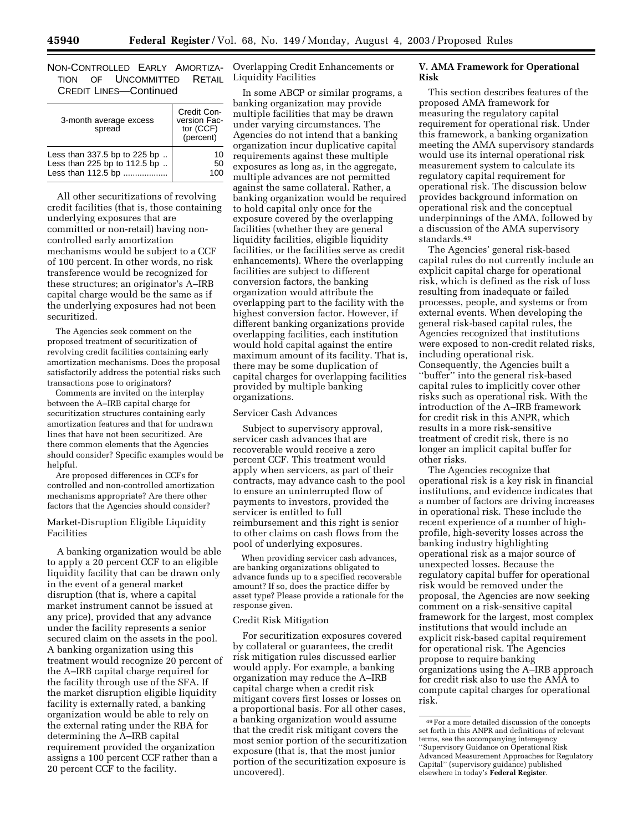NON-CONTROLLED EARLY AMORTIZA-Overlapping Credit Enhancements or TION OF UNCOMMITTED CREDIT LINES—Continued

| 3-month average excess<br>spread | Credit Con-<br>version Fac-<br>tor (CCF)<br>(percent) |
|----------------------------------|-------------------------------------------------------|
| Less than 337.5 bp to 225 bp     | 10                                                    |
| Less than 225 bp to 112.5 bp     | 50                                                    |
| Less than 112.5 bp               | 100                                                   |

All other securitizations of revolving credit facilities (that is, those containing underlying exposures that are committed or non-retail) having noncontrolled early amortization mechanisms would be subject to a CCF of 100 percent. In other words, no risk transference would be recognized for these structures; an originator's A–IRB capital charge would be the same as if the underlying exposures had not been securitized.

The Agencies seek comment on the proposed treatment of securitization of revolving credit facilities containing early amortization mechanisms. Does the proposal satisfactorily address the potential risks such transactions pose to originators?

Comments are invited on the interplay between the A–IRB capital charge for securitization structures containing early amortization features and that for undrawn lines that have not been securitized. Are there common elements that the Agencies should consider? Specific examples would be helpful.

Are proposed differences in CCFs for controlled and non-controlled amortization mechanisms appropriate? Are there other factors that the Agencies should consider?

#### Market-Disruption Eligible Liquidity Facilities

A banking organization would be able to apply a 20 percent CCF to an eligible liquidity facility that can be drawn only in the event of a general market disruption (that is, where a capital market instrument cannot be issued at any price), provided that any advance under the facility represents a senior secured claim on the assets in the pool. A banking organization using this treatment would recognize 20 percent of the A–IRB capital charge required for the facility through use of the SFA. If the market disruption eligible liquidity facility is externally rated, a banking organization would be able to rely on the external rating under the RBA for determining the A–IRB capital requirement provided the organization assigns a 100 percent CCF rather than a 20 percent CCF to the facility.

RETAIL Liquidity Facilities

In some ABCP or similar programs, a banking organization may provide multiple facilities that may be drawn under varying circumstances. The Agencies do not intend that a banking organization incur duplicative capital requirements against these multiple exposures as long as, in the aggregate, multiple advances are not permitted against the same collateral. Rather, a banking organization would be required to hold capital only once for the exposure covered by the overlapping facilities (whether they are general liquidity facilities, eligible liquidity facilities, or the facilities serve as credit enhancements). Where the overlapping facilities are subject to different conversion factors, the banking organization would attribute the overlapping part to the facility with the highest conversion factor. However, if different banking organizations provide overlapping facilities, each institution would hold capital against the entire maximum amount of its facility. That is, there may be some duplication of capital charges for overlapping facilities provided by multiple banking organizations.

#### Servicer Cash Advances

Subject to supervisory approval, servicer cash advances that are recoverable would receive a zero percent CCF. This treatment would apply when servicers, as part of their contracts, may advance cash to the pool to ensure an uninterrupted flow of payments to investors, provided the servicer is entitled to full reimbursement and this right is senior to other claims on cash flows from the pool of underlying exposures.

When providing servicer cash advances, are banking organizations obligated to advance funds up to a specified recoverable amount? If so, does the practice differ by asset type? Please provide a rationale for the response given.

# Credit Risk Mitigation

For securitization exposures covered by collateral or guarantees, the credit risk mitigation rules discussed earlier would apply. For example, a banking organization may reduce the A–IRB capital charge when a credit risk mitigant covers first losses or losses on a proportional basis. For all other cases, a banking organization would assume that the credit risk mitigant covers the most senior portion of the securitization exposure (that is, that the most junior portion of the securitization exposure is uncovered).

# **V. AMA Framework for Operational Risk**

This section describes features of the proposed AMA framework for measuring the regulatory capital requirement for operational risk. Under this framework, a banking organization meeting the AMA supervisory standards would use its internal operational risk measurement system to calculate its regulatory capital requirement for operational risk. The discussion below provides background information on operational risk and the conceptual underpinnings of the AMA, followed by a discussion of the AMA supervisory standards.49

The Agencies' general risk-based capital rules do not currently include an explicit capital charge for operational risk, which is defined as the risk of loss resulting from inadequate or failed processes, people, and systems or from external events. When developing the general risk-based capital rules, the Agencies recognized that institutions were exposed to non-credit related risks, including operational risk. Consequently, the Agencies built a ''buffer'' into the general risk-based capital rules to implicitly cover other risks such as operational risk. With the introduction of the A–IRB framework for credit risk in this ANPR, which results in a more risk-sensitive treatment of credit risk, there is no longer an implicit capital buffer for other risks.

The Agencies recognize that operational risk is a key risk in financial institutions, and evidence indicates that a number of factors are driving increases in operational risk. These include the recent experience of a number of highprofile, high-severity losses across the banking industry highlighting operational risk as a major source of unexpected losses. Because the regulatory capital buffer for operational risk would be removed under the proposal, the Agencies are now seeking comment on a risk-sensitive capital framework for the largest, most complex institutions that would include an explicit risk-based capital requirement for operational risk. The Agencies propose to require banking organizations using the A–IRB approach for credit risk also to use the AMA to compute capital charges for operational risk.

<sup>49</sup>For a more detailed discussion of the concepts set forth in this ANPR and definitions of relevant terms, see the accompanying interagency ''Supervisory Guidance on Operational Risk Advanced Measurement Approaches for Regulatory Capital'' (supervisory guidance) published elsewhere in today's **Federal Register**.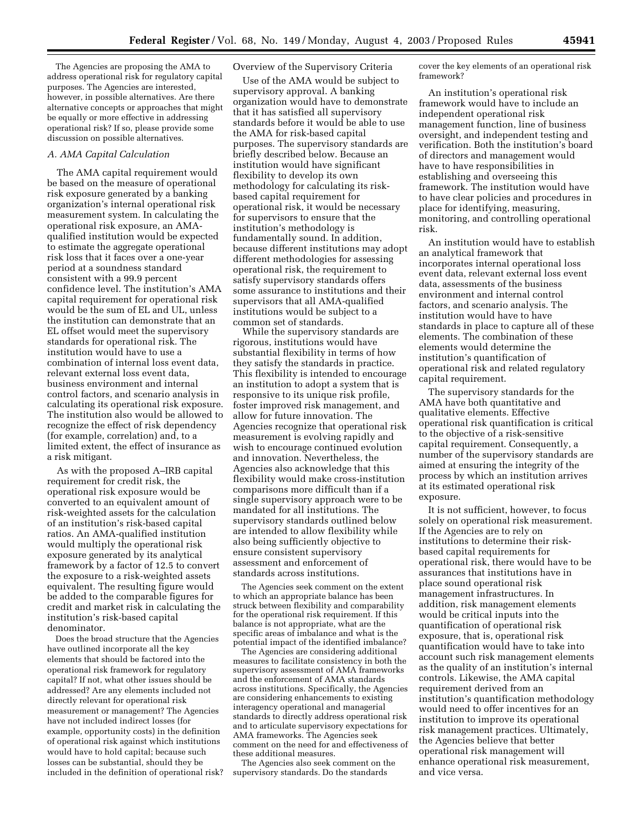The Agencies are proposing the AMA to address operational risk for regulatory capital purposes. The Agencies are interested, however, in possible alternatives. Are there alternative concepts or approaches that might be equally or more effective in addressing operational risk? If so, please provide some discussion on possible alternatives.

#### *A. AMA Capital Calculation*

The AMA capital requirement would be based on the measure of operational risk exposure generated by a banking organization's internal operational risk measurement system. In calculating the operational risk exposure, an AMAqualified institution would be expected to estimate the aggregate operational risk loss that it faces over a one-year period at a soundness standard consistent with a 99.9 percent confidence level. The institution's AMA capital requirement for operational risk would be the sum of EL and UL, unless the institution can demonstrate that an EL offset would meet the supervisory standards for operational risk. The institution would have to use a combination of internal loss event data, relevant external loss event data, business environment and internal control factors, and scenario analysis in calculating its operational risk exposure. The institution also would be allowed to recognize the effect of risk dependency (for example, correlation) and, to a limited extent, the effect of insurance as a risk mitigant.

As with the proposed A–IRB capital requirement for credit risk, the operational risk exposure would be converted to an equivalent amount of risk-weighted assets for the calculation of an institution's risk-based capital ratios. An AMA-qualified institution would multiply the operational risk exposure generated by its analytical framework by a factor of 12.5 to convert the exposure to a risk-weighted assets equivalent. The resulting figure would be added to the comparable figures for credit and market risk in calculating the institution's risk-based capital denominator.

Does the broad structure that the Agencies have outlined incorporate all the key elements that should be factored into the operational risk framework for regulatory capital? If not, what other issues should be addressed? Are any elements included not directly relevant for operational risk measurement or management? The Agencies have not included indirect losses (for example, opportunity costs) in the definition of operational risk against which institutions would have to hold capital; because such losses can be substantial, should they be included in the definition of operational risk?

#### Overview of the Supervisory Criteria

Use of the AMA would be subject to supervisory approval. A banking organization would have to demonstrate that it has satisfied all supervisory standards before it would be able to use the AMA for risk-based capital purposes. The supervisory standards are briefly described below. Because an institution would have significant flexibility to develop its own methodology for calculating its riskbased capital requirement for operational risk, it would be necessary for supervisors to ensure that the institution's methodology is fundamentally sound. In addition, because different institutions may adopt different methodologies for assessing operational risk, the requirement to satisfy supervisory standards offers some assurance to institutions and their supervisors that all AMA-qualified institutions would be subject to a common set of standards.

While the supervisory standards are rigorous, institutions would have substantial flexibility in terms of how they satisfy the standards in practice. This flexibility is intended to encourage an institution to adopt a system that is responsive to its unique risk profile, foster improved risk management, and allow for future innovation. The Agencies recognize that operational risk measurement is evolving rapidly and wish to encourage continued evolution and innovation. Nevertheless, the Agencies also acknowledge that this flexibility would make cross-institution comparisons more difficult than if a single supervisory approach were to be mandated for all institutions. The supervisory standards outlined below are intended to allow flexibility while also being sufficiently objective to ensure consistent supervisory assessment and enforcement of standards across institutions.

The Agencies seek comment on the extent to which an appropriate balance has been struck between flexibility and comparability for the operational risk requirement. If this balance is not appropriate, what are the specific areas of imbalance and what is the potential impact of the identified imbalance?

The Agencies are considering additional measures to facilitate consistency in both the supervisory assessment of AMA frameworks and the enforcement of AMA standards across institutions. Specifically, the Agencies are considering enhancements to existing interagency operational and managerial standards to directly address operational risk and to articulate supervisory expectations for AMA frameworks. The Agencies seek comment on the need for and effectiveness of these additional measures.

The Agencies also seek comment on the supervisory standards. Do the standards

cover the key elements of an operational risk framework?

An institution's operational risk framework would have to include an independent operational risk management function, line of business oversight, and independent testing and verification. Both the institution's board of directors and management would have to have responsibilities in establishing and overseeing this framework. The institution would have to have clear policies and procedures in place for identifying, measuring, monitoring, and controlling operational risk.

An institution would have to establish an analytical framework that incorporates internal operational loss event data, relevant external loss event data, assessments of the business environment and internal control factors, and scenario analysis. The institution would have to have standards in place to capture all of these elements. The combination of these elements would determine the institution's quantification of operational risk and related regulatory capital requirement.

The supervisory standards for the AMA have both quantitative and qualitative elements. Effective operational risk quantification is critical to the objective of a risk-sensitive capital requirement. Consequently, a number of the supervisory standards are aimed at ensuring the integrity of the process by which an institution arrives at its estimated operational risk exposure.

It is not sufficient, however, to focus solely on operational risk measurement. If the Agencies are to rely on institutions to determine their riskbased capital requirements for operational risk, there would have to be assurances that institutions have in place sound operational risk management infrastructures. In addition, risk management elements would be critical inputs into the quantification of operational risk exposure, that is, operational risk quantification would have to take into account such risk management elements as the quality of an institution's internal controls. Likewise, the AMA capital requirement derived from an institution's quantification methodology would need to offer incentives for an institution to improve its operational risk management practices. Ultimately, the Agencies believe that better operational risk management will enhance operational risk measurement, and vice versa.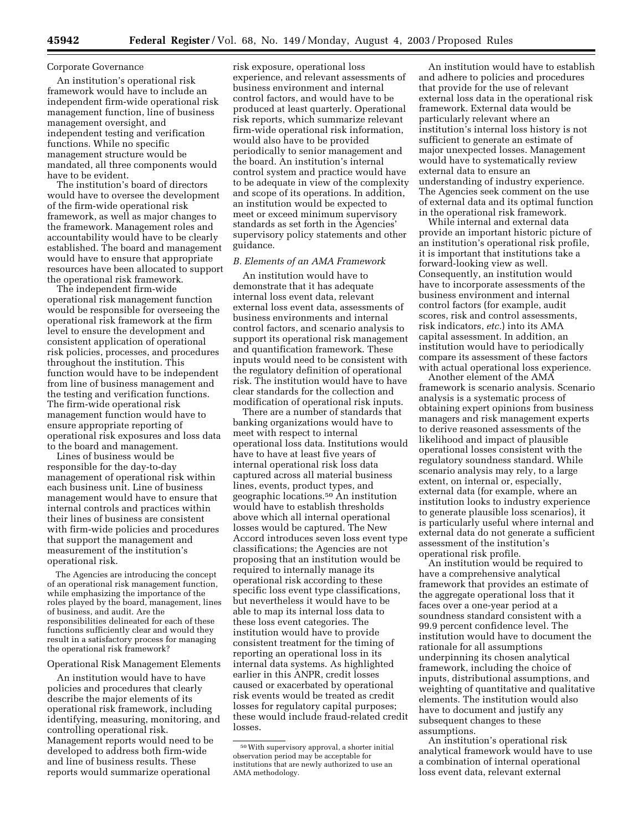#### Corporate Governance

An institution's operational risk framework would have to include an independent firm-wide operational risk management function, line of business management oversight, and independent testing and verification functions. While no specific management structure would be mandated, all three components would have to be evident.

The institution's board of directors would have to oversee the development of the firm-wide operational risk framework, as well as major changes to the framework. Management roles and accountability would have to be clearly established. The board and management would have to ensure that appropriate resources have been allocated to support the operational risk framework.

The independent firm-wide operational risk management function would be responsible for overseeing the operational risk framework at the firm level to ensure the development and consistent application of operational risk policies, processes, and procedures throughout the institution. This function would have to be independent from line of business management and the testing and verification functions. The firm-wide operational risk management function would have to ensure appropriate reporting of operational risk exposures and loss data to the board and management.

Lines of business would be responsible for the day-to-day management of operational risk within each business unit. Line of business management would have to ensure that internal controls and practices within their lines of business are consistent with firm-wide policies and procedures that support the management and measurement of the institution's operational risk.

The Agencies are introducing the concept of an operational risk management function, while emphasizing the importance of the roles played by the board, management, lines of business, and audit. Are the responsibilities delineated for each of these functions sufficiently clear and would they result in a satisfactory process for managing the operational risk framework?

#### Operational Risk Management Elements

An institution would have to have policies and procedures that clearly describe the major elements of its operational risk framework, including identifying, measuring, monitoring, and controlling operational risk. Management reports would need to be developed to address both firm-wide and line of business results. These reports would summarize operational

risk exposure, operational loss experience, and relevant assessments of business environment and internal control factors, and would have to be produced at least quarterly. Operational risk reports, which summarize relevant firm-wide operational risk information, would also have to be provided periodically to senior management and the board. An institution's internal control system and practice would have to be adequate in view of the complexity and scope of its operations. In addition, an institution would be expected to meet or exceed minimum supervisory standards as set forth in the Agencies' supervisory policy statements and other guidance.

#### *B. Elements of an AMA Framework*

An institution would have to demonstrate that it has adequate internal loss event data, relevant external loss event data, assessments of business environments and internal control factors, and scenario analysis to support its operational risk management and quantification framework. These inputs would need to be consistent with the regulatory definition of operational risk. The institution would have to have clear standards for the collection and modification of operational risk inputs.

There are a number of standards that banking organizations would have to meet with respect to internal operational loss data. Institutions would have to have at least five years of internal operational risk loss data captured across all material business lines, events, product types, and geographic locations.50 An institution would have to establish thresholds above which all internal operational losses would be captured. The New Accord introduces seven loss event type classifications; the Agencies are not proposing that an institution would be required to internally manage its operational risk according to these specific loss event type classifications, but nevertheless it would have to be able to map its internal loss data to these loss event categories. The institution would have to provide consistent treatment for the timing of reporting an operational loss in its internal data systems. As highlighted earlier in this ANPR, credit losses caused or exacerbated by operational risk events would be treated as credit losses for regulatory capital purposes; these would include fraud-related credit losses.

An institution would have to establish and adhere to policies and procedures that provide for the use of relevant external loss data in the operational risk framework. External data would be particularly relevant where an institution's internal loss history is not sufficient to generate an estimate of major unexpected losses. Management would have to systematically review external data to ensure an understanding of industry experience. The Agencies seek comment on the use of external data and its optimal function in the operational risk framework.

While internal and external data provide an important historic picture of an institution's operational risk profile, it is important that institutions take a forward-looking view as well. Consequently, an institution would have to incorporate assessments of the business environment and internal control factors (for example, audit scores, risk and control assessments, risk indicators, *etc.*) into its AMA capital assessment. In addition, an institution would have to periodically compare its assessment of these factors with actual operational loss experience.

Another element of the AMA framework is scenario analysis. Scenario analysis is a systematic process of obtaining expert opinions from business managers and risk management experts to derive reasoned assessments of the likelihood and impact of plausible operational losses consistent with the regulatory soundness standard. While scenario analysis may rely, to a large extent, on internal or, especially, external data (for example, where an institution looks to industry experience to generate plausible loss scenarios), it is particularly useful where internal and external data do not generate a sufficient assessment of the institution's operational risk profile.

An institution would be required to have a comprehensive analytical framework that provides an estimate of the aggregate operational loss that it faces over a one-year period at a soundness standard consistent with a 99.9 percent confidence level. The institution would have to document the rationale for all assumptions underpinning its chosen analytical framework, including the choice of inputs, distributional assumptions, and weighting of quantitative and qualitative elements. The institution would also have to document and justify any subsequent changes to these assumptions.

An institution's operational risk analytical framework would have to use a combination of internal operational loss event data, relevant external

<sup>50</sup>With supervisory approval, a shorter initial observation period may be acceptable for institutions that are newly authorized to use an AMA methodology.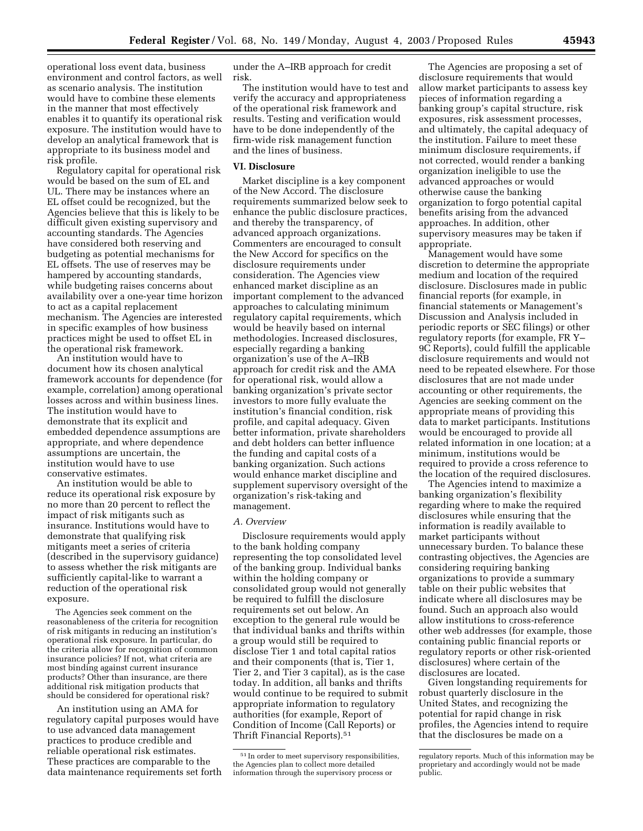operational loss event data, business environment and control factors, as well as scenario analysis. The institution would have to combine these elements in the manner that most effectively enables it to quantify its operational risk exposure. The institution would have to develop an analytical framework that is appropriate to its business model and

risk profile. Regulatory capital for operational risk would be based on the sum of EL and UL. There may be instances where an EL offset could be recognized, but the Agencies believe that this is likely to be difficult given existing supervisory and accounting standards. The Agencies have considered both reserving and budgeting as potential mechanisms for EL offsets. The use of reserves may be hampered by accounting standards, while budgeting raises concerns about availability over a one-year time horizon to act as a capital replacement mechanism. The Agencies are interested in specific examples of how business practices might be used to offset EL in the operational risk framework.

An institution would have to document how its chosen analytical framework accounts for dependence (for example, correlation) among operational losses across and within business lines. The institution would have to demonstrate that its explicit and embedded dependence assumptions are appropriate, and where dependence assumptions are uncertain, the institution would have to use conservative estimates.

An institution would be able to reduce its operational risk exposure by no more than 20 percent to reflect the impact of risk mitigants such as insurance. Institutions would have to demonstrate that qualifying risk mitigants meet a series of criteria (described in the supervisory guidance) to assess whether the risk mitigants are sufficiently capital-like to warrant a reduction of the operational risk exposure.

The Agencies seek comment on the reasonableness of the criteria for recognition of risk mitigants in reducing an institution's operational risk exposure. In particular, do the criteria allow for recognition of common insurance policies? If not, what criteria are most binding against current insurance products? Other than insurance, are there additional risk mitigation products that should be considered for operational risk?

An institution using an AMA for regulatory capital purposes would have to use advanced data management practices to produce credible and reliable operational risk estimates. These practices are comparable to the data maintenance requirements set forth

under the A–IRB approach for credit risk.

The institution would have to test and verify the accuracy and appropriateness of the operational risk framework and results. Testing and verification would have to be done independently of the firm-wide risk management function and the lines of business.

# **VI. Disclosure**

Market discipline is a key component of the New Accord. The disclosure requirements summarized below seek to enhance the public disclosure practices, and thereby the transparency, of advanced approach organizations. Commenters are encouraged to consult the New Accord for specifics on the disclosure requirements under consideration. The Agencies view enhanced market discipline as an important complement to the advanced approaches to calculating minimum regulatory capital requirements, which would be heavily based on internal methodologies. Increased disclosures, especially regarding a banking organization's use of the A–IRB approach for credit risk and the AMA for operational risk, would allow a banking organization's private sector investors to more fully evaluate the institution's financial condition, risk profile, and capital adequacy. Given better information, private shareholders and debt holders can better influence the funding and capital costs of a banking organization. Such actions would enhance market discipline and supplement supervisory oversight of the organization's risk-taking and management.

#### *A. Overview*

Disclosure requirements would apply to the bank holding company representing the top consolidated level of the banking group. Individual banks within the holding company or consolidated group would not generally be required to fulfill the disclosure requirements set out below. An exception to the general rule would be that individual banks and thrifts within a group would still be required to disclose Tier 1 and total capital ratios and their components (that is, Tier 1, Tier 2, and Tier 3 capital), as is the case today. In addition, all banks and thrifts would continue to be required to submit appropriate information to regulatory authorities (for example, Report of Condition of Income (Call Reports) or Thrift Financial Reports).51

The Agencies are proposing a set of disclosure requirements that would allow market participants to assess key pieces of information regarding a banking group's capital structure, risk exposures, risk assessment processes, and ultimately, the capital adequacy of the institution. Failure to meet these minimum disclosure requirements, if not corrected, would render a banking organization ineligible to use the advanced approaches or would otherwise cause the banking organization to forgo potential capital benefits arising from the advanced approaches. In addition, other supervisory measures may be taken if appropriate.

Management would have some discretion to determine the appropriate medium and location of the required disclosure. Disclosures made in public financial reports (for example, in financial statements or Management's Discussion and Analysis included in periodic reports or SEC filings) or other regulatory reports (for example, FR Y– 9C Reports), could fulfill the applicable disclosure requirements and would not need to be repeated elsewhere. For those disclosures that are not made under accounting or other requirements, the Agencies are seeking comment on the appropriate means of providing this data to market participants. Institutions would be encouraged to provide all related information in one location; at a minimum, institutions would be required to provide a cross reference to the location of the required disclosures.

The Agencies intend to maximize a banking organization's flexibility regarding where to make the required disclosures while ensuring that the information is readily available to market participants without unnecessary burden. To balance these contrasting objectives, the Agencies are considering requiring banking organizations to provide a summary table on their public websites that indicate where all disclosures may be found. Such an approach also would allow institutions to cross-reference other web addresses (for example, those containing public financial reports or regulatory reports or other risk-oriented disclosures) where certain of the disclosures are located.

Given longstanding requirements for robust quarterly disclosure in the United States, and recognizing the potential for rapid change in risk profiles, the Agencies intend to require that the disclosures be made on a

<sup>51</sup> In order to meet supervisory responsibilities, the Agencies plan to collect more detailed information through the supervisory process or

regulatory reports. Much of this information may be proprietary and accordingly would not be made public.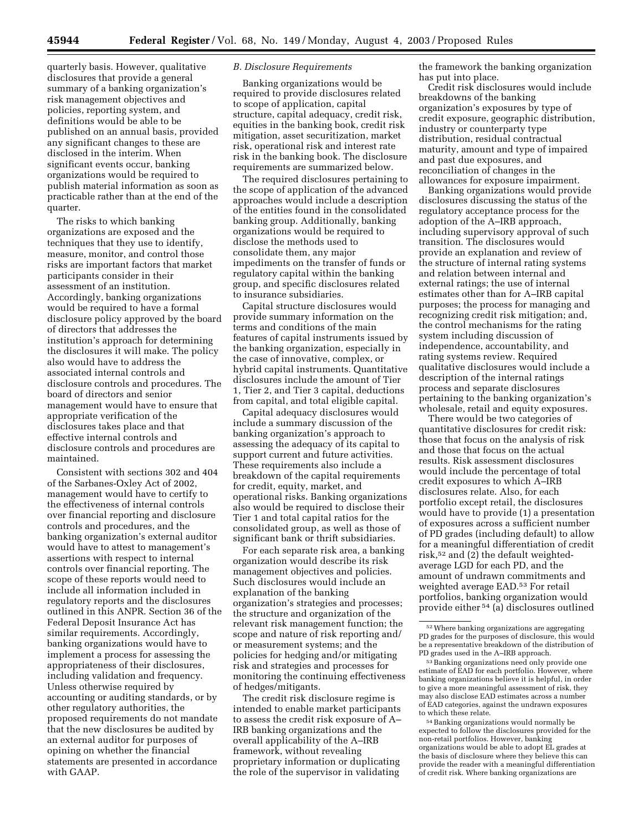quarterly basis. However, qualitative disclosures that provide a general summary of a banking organization's risk management objectives and policies, reporting system, and definitions would be able to be published on an annual basis, provided any significant changes to these are disclosed in the interim. When significant events occur, banking organizations would be required to publish material information as soon as practicable rather than at the end of the quarter.

The risks to which banking organizations are exposed and the techniques that they use to identify, measure, monitor, and control those risks are important factors that market participants consider in their assessment of an institution. Accordingly, banking organizations would be required to have a formal disclosure policy approved by the board of directors that addresses the institution's approach for determining the disclosures it will make. The policy also would have to address the associated internal controls and disclosure controls and procedures. The board of directors and senior management would have to ensure that appropriate verification of the disclosures takes place and that effective internal controls and disclosure controls and procedures are maintained.

Consistent with sections 302 and 404 of the Sarbanes-Oxley Act of 2002, management would have to certify to the effectiveness of internal controls over financial reporting and disclosure controls and procedures, and the banking organization's external auditor would have to attest to management's assertions with respect to internal controls over financial reporting. The scope of these reports would need to include all information included in regulatory reports and the disclosures outlined in this ANPR. Section 36 of the Federal Deposit Insurance Act has similar requirements. Accordingly, banking organizations would have to implement a process for assessing the appropriateness of their disclosures, including validation and frequency. Unless otherwise required by accounting or auditing standards, or by other regulatory authorities, the proposed requirements do not mandate that the new disclosures be audited by an external auditor for purposes of opining on whether the financial statements are presented in accordance with GAAP.

#### *B. Disclosure Requirements*

Banking organizations would be required to provide disclosures related to scope of application, capital structure, capital adequacy, credit risk, equities in the banking book, credit risk mitigation, asset securitization, market risk, operational risk and interest rate risk in the banking book. The disclosure requirements are summarized below.

The required disclosures pertaining to the scope of application of the advanced approaches would include a description of the entities found in the consolidated banking group. Additionally, banking organizations would be required to disclose the methods used to consolidate them, any major impediments on the transfer of funds or regulatory capital within the banking group, and specific disclosures related to insurance subsidiaries.

Capital structure disclosures would provide summary information on the terms and conditions of the main features of capital instruments issued by the banking organization, especially in the case of innovative, complex, or hybrid capital instruments. Quantitative disclosures include the amount of Tier 1, Tier 2, and Tier 3 capital, deductions from capital, and total eligible capital.

Capital adequacy disclosures would include a summary discussion of the banking organization's approach to assessing the adequacy of its capital to support current and future activities. These requirements also include a breakdown of the capital requirements for credit, equity, market, and operational risks. Banking organizations also would be required to disclose their Tier 1 and total capital ratios for the consolidated group, as well as those of significant bank or thrift subsidiaries.

For each separate risk area, a banking organization would describe its risk management objectives and policies. Such disclosures would include an explanation of the banking organization's strategies and processes; the structure and organization of the relevant risk management function; the scope and nature of risk reporting and/ or measurement systems; and the policies for hedging and/or mitigating risk and strategies and processes for monitoring the continuing effectiveness of hedges/mitigants.

The credit risk disclosure regime is intended to enable market participants to assess the credit risk exposure of A– IRB banking organizations and the overall applicability of the A–IRB framework, without revealing proprietary information or duplicating the role of the supervisor in validating

the framework the banking organization has put into place.

Credit risk disclosures would include breakdowns of the banking organization's exposures by type of credit exposure, geographic distribution, industry or counterparty type distribution, residual contractual maturity, amount and type of impaired and past due exposures, and reconciliation of changes in the allowances for exposure impairment.

Banking organizations would provide disclosures discussing the status of the regulatory acceptance process for the adoption of the A–IRB approach, including supervisory approval of such transition. The disclosures would provide an explanation and review of the structure of internal rating systems and relation between internal and external ratings; the use of internal estimates other than for A–IRB capital purposes; the process for managing and recognizing credit risk mitigation; and, the control mechanisms for the rating system including discussion of independence, accountability, and rating systems review. Required qualitative disclosures would include a description of the internal ratings process and separate disclosures pertaining to the banking organization's wholesale, retail and equity exposures.

There would be two categories of quantitative disclosures for credit risk: those that focus on the analysis of risk and those that focus on the actual results. Risk assessment disclosures would include the percentage of total credit exposures to which A–IRB disclosures relate. Also, for each portfolio except retail, the disclosures would have to provide (1) a presentation of exposures across a sufficient number of PD grades (including default) to allow for a meaningful differentiation of credit risk,52 and (2) the default weightedaverage LGD for each PD, and the amount of undrawn commitments and weighted average EAD.53 For retail portfolios, banking organization would provide either 54 (a) disclosures outlined

<sup>52</sup>Where banking organizations are aggregating PD grades for the purposes of disclosure, this would be a representative breakdown of the distribution of PD grades used in the A–IRB approach.

<sup>53</sup>Banking organizations need only provide one estimate of EAD for each portfolio. However, where banking organizations believe it is helpful, in order to give a more meaningful assessment of risk, they may also disclose EAD estimates across a number of EAD categories, against the undrawn exposures to which these relate.

<sup>54</sup>Banking organizations would normally be expected to follow the disclosures provided for the non-retail portfolios. However, banking organizations would be able to adopt EL grades at the basis of disclosure where they believe this can provide the reader with a meaningful differentiation of credit risk. Where banking organizations are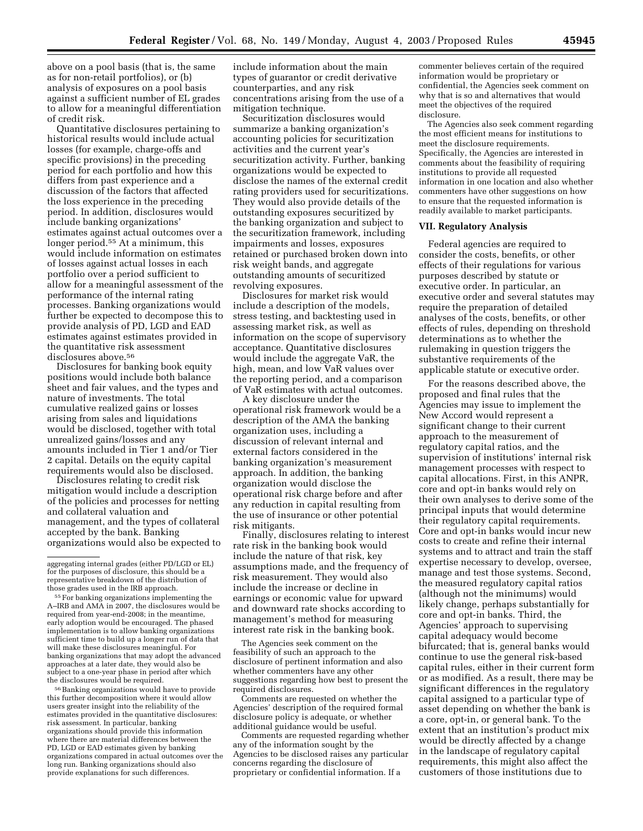above on a pool basis (that is, the same as for non-retail portfolios), or (b) analysis of exposures on a pool basis against a sufficient number of EL grades to allow for a meaningful differentiation of credit risk.

Quantitative disclosures pertaining to historical results would include actual losses (for example, charge-offs and specific provisions) in the preceding period for each portfolio and how this differs from past experience and a discussion of the factors that affected the loss experience in the preceding period. In addition, disclosures would include banking organizations' estimates against actual outcomes over a longer period.55 At a minimum, this would include information on estimates of losses against actual losses in each portfolio over a period sufficient to allow for a meaningful assessment of the performance of the internal rating processes. Banking organizations would further be expected to decompose this to provide analysis of PD, LGD and EAD estimates against estimates provided in the quantitative risk assessment disclosures above.<sup>56</sup>

Disclosures for banking book equity positions would include both balance sheet and fair values, and the types and nature of investments. The total cumulative realized gains or losses arising from sales and liquidations would be disclosed, together with total unrealized gains/losses and any amounts included in Tier 1 and/or Tier 2 capital. Details on the equity capital requirements would also be disclosed.

Disclosures relating to credit risk mitigation would include a description of the policies and processes for netting and collateral valuation and management, and the types of collateral accepted by the bank. Banking organizations would also be expected to

56Banking organizations would have to provide this further decomposition where it would allow users greater insight into the reliability of the estimates provided in the quantitative disclosures: risk assessment. In particular, banking organizations should provide this information where there are material differences between the PD, LGD or EAD estimates given by banking organizations compared in actual outcomes over the long run. Banking organizations should also provide explanations for such differences.

include information about the main types of guarantor or credit derivative counterparties, and any risk concentrations arising from the use of a mitigation technique.

Securitization disclosures would summarize a banking organization's accounting policies for securitization activities and the current year's securitization activity. Further, banking organizations would be expected to disclose the names of the external credit rating providers used for securitizations. They would also provide details of the outstanding exposures securitized by the banking organization and subject to the securitization framework, including impairments and losses, exposures retained or purchased broken down into risk weight bands, and aggregate outstanding amounts of securitized revolving exposures.

Disclosures for market risk would include a description of the models, stress testing, and backtesting used in assessing market risk, as well as information on the scope of supervisory acceptance. Quantitative disclosures would include the aggregate VaR, the high, mean, and low VaR values over the reporting period, and a comparison of VaR estimates with actual outcomes.

A key disclosure under the operational risk framework would be a description of the AMA the banking organization uses, including a discussion of relevant internal and external factors considered in the banking organization's measurement approach. In addition, the banking organization would disclose the operational risk charge before and after any reduction in capital resulting from the use of insurance or other potential risk mitigants.

Finally, disclosures relating to interest rate risk in the banking book would include the nature of that risk, key assumptions made, and the frequency of risk measurement. They would also include the increase or decline in earnings or economic value for upward and downward rate shocks according to management's method for measuring interest rate risk in the banking book.

The Agencies seek comment on the feasibility of such an approach to the disclosure of pertinent information and also whether commenters have any other suggestions regarding how best to present the required disclosures.

Comments are requested on whether the Agencies' description of the required formal disclosure policy is adequate, or whether additional guidance would be useful.

Comments are requested regarding whether any of the information sought by the Agencies to be disclosed raises any particular concerns regarding the disclosure of proprietary or confidential information. If a

commenter believes certain of the required information would be proprietary or confidential, the Agencies seek comment on why that is so and alternatives that would meet the objectives of the required disclosure.

The Agencies also seek comment regarding the most efficient means for institutions to meet the disclosure requirements. Specifically, the Agencies are interested in comments about the feasibility of requiring institutions to provide all requested information in one location and also whether commenters have other suggestions on how to ensure that the requested information is readily available to market participants.

#### **VII. Regulatory Analysis**

Federal agencies are required to consider the costs, benefits, or other effects of their regulations for various purposes described by statute or executive order. In particular, an executive order and several statutes may require the preparation of detailed analyses of the costs, benefits, or other effects of rules, depending on threshold determinations as to whether the rulemaking in question triggers the substantive requirements of the applicable statute or executive order.

For the reasons described above, the proposed and final rules that the Agencies may issue to implement the New Accord would represent a significant change to their current approach to the measurement of regulatory capital ratios, and the supervision of institutions' internal risk management processes with respect to capital allocations. First, in this ANPR, core and opt-in banks would rely on their own analyses to derive some of the principal inputs that would determine their regulatory capital requirements. Core and opt-in banks would incur new costs to create and refine their internal systems and to attract and train the staff expertise necessary to develop, oversee, manage and test those systems. Second, the measured regulatory capital ratios (although not the minimums) would likely change, perhaps substantially for core and opt-in banks. Third, the Agencies' approach to supervising capital adequacy would become bifurcated; that is, general banks would continue to use the general risk-based capital rules, either in their current form or as modified. As a result, there may be significant differences in the regulatory capital assigned to a particular type of asset depending on whether the bank is a core, opt-in, or general bank. To the extent that an institution's product mix would be directly affected by a change in the landscape of regulatory capital requirements, this might also affect the customers of those institutions due to

aggregating internal grades (either PD/LGD or EL) for the purposes of disclosure, this should be a representative breakdown of the distribution of those grades used in the IRB approach.

<sup>55</sup>For banking organizations implementing the A–IRB and AMA in 2007, the disclosures would be required from year-end-2008; in the meantime, early adoption would be encouraged. The phased implementation is to allow banking organizations sufficient time to build up a longer run of data that will make these disclosures meaningful. For banking organizations that may adopt the advanced approaches at a later date, they would also be subject to a one-year phase in period after which the disclosures would be required.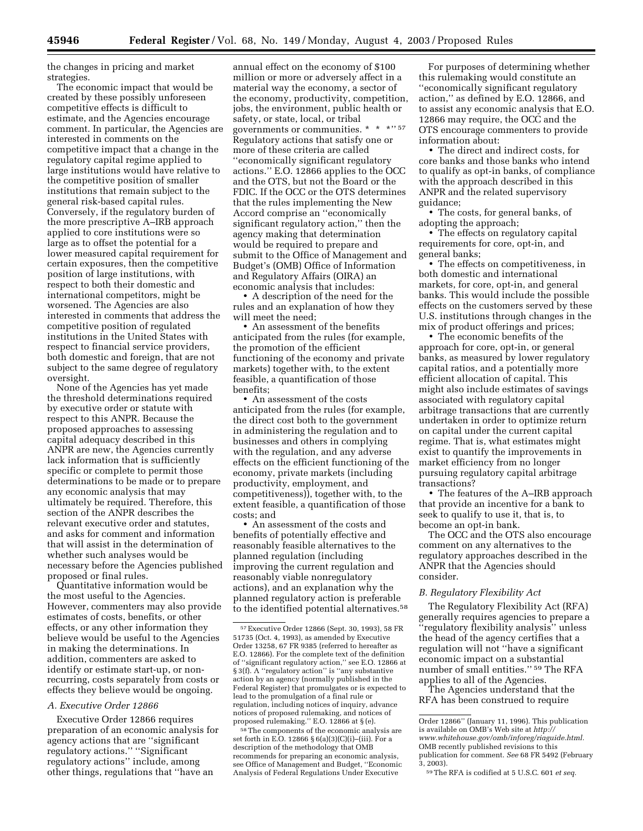the changes in pricing and market strategies.

The economic impact that would be created by these possibly unforeseen competitive effects is difficult to estimate, and the Agencies encourage comment. In particular, the Agencies are interested in comments on the competitive impact that a change in the regulatory capital regime applied to large institutions would have relative to the competitive position of smaller institutions that remain subject to the general risk-based capital rules. Conversely, if the regulatory burden of the more prescriptive A–IRB approach applied to core institutions were so large as to offset the potential for a lower measured capital requirement for certain exposures, then the competitive position of large institutions, with respect to both their domestic and international competitors, might be worsened. The Agencies are also interested in comments that address the competitive position of regulated institutions in the United States with respect to financial service providers, both domestic and foreign, that are not subject to the same degree of regulatory oversight.

None of the Agencies has yet made the threshold determinations required by executive order or statute with respect to this ANPR. Because the proposed approaches to assessing capital adequacy described in this ANPR are new, the Agencies currently lack information that is sufficiently specific or complete to permit those determinations to be made or to prepare any economic analysis that may ultimately be required. Therefore, this section of the ANPR describes the relevant executive order and statutes, and asks for comment and information that will assist in the determination of whether such analyses would be necessary before the Agencies published proposed or final rules.

Quantitative information would be the most useful to the Agencies. However, commenters may also provide estimates of costs, benefits, or other effects, or any other information they believe would be useful to the Agencies in making the determinations. In addition, commenters are asked to identify or estimate start-up, or nonrecurring, costs separately from costs or effects they believe would be ongoing.

#### *A. Executive Order 12866*

Executive Order 12866 requires preparation of an economic analysis for agency actions that are ''significant regulatory actions.'' ''Significant regulatory actions'' include, among other things, regulations that ''have an

annual effect on the economy of \$100 million or more or adversely affect in a material way the economy, a sector of the economy, productivity, competition, jobs, the environment, public health or safety, or state, local, or tribal governments or communities. \* \* \*'' 57 Regulatory actions that satisfy one or more of these criteria are called ''economically significant regulatory actions.'' E.O. 12866 applies to the OCC and the OTS, but not the Board or the FDIC. If the OCC or the OTS determines that the rules implementing the New Accord comprise an ''economically significant regulatory action,'' then the agency making that determination would be required to prepare and submit to the Office of Management and Budget's (OMB) Office of Information and Regulatory Affairs (OIRA) an economic analysis that includes:

• A description of the need for the rules and an explanation of how they will meet the need;

• An assessment of the benefits anticipated from the rules (for example, the promotion of the efficient functioning of the economy and private markets) together with, to the extent feasible, a quantification of those benefits;

• An assessment of the costs anticipated from the rules (for example, the direct cost both to the government in administering the regulation and to businesses and others in complying with the regulation, and any adverse effects on the efficient functioning of the economy, private markets (including productivity, employment, and competitiveness)), together with, to the extent feasible, a quantification of those costs; and

• An assessment of the costs and benefits of potentially effective and reasonably feasible alternatives to the planned regulation (including improving the current regulation and reasonably viable nonregulatory actions), and an explanation why the planned regulatory action is preferable to the identified potential alternatives.<sup>58</sup>

58The components of the economic analysis are set forth in E.O. 12866 § 6(a)(3)(C)(i)–(iii). For a description of the methodology that OMB recommends for preparing an economic analysis, see Office of Management and Budget, ''Economic Analysis of Federal Regulations Under Executive

For purposes of determining whether this rulemaking would constitute an ''economically significant regulatory action,'' as defined by E.O. 12866, and to assist any economic analysis that E.O. 12866 may require, the OCC and the OTS encourage commenters to provide information about:

• The direct and indirect costs, for core banks and those banks who intend to qualify as opt-in banks, of compliance with the approach described in this ANPR and the related supervisory guidance;

• The costs, for general banks, of adopting the approach;

• The effects on regulatory capital requirements for core, opt-in, and general banks;

• The effects on competitiveness, in both domestic and international markets, for core, opt-in, and general banks. This would include the possible effects on the customers served by these U.S. institutions through changes in the mix of product offerings and prices;

• The economic benefits of the approach for core, opt-in, or general banks, as measured by lower regulatory capital ratios, and a potentially more efficient allocation of capital. This might also include estimates of savings associated with regulatory capital arbitrage transactions that are currently undertaken in order to optimize return on capital under the current capital regime. That is, what estimates might exist to quantify the improvements in market efficiency from no longer pursuing regulatory capital arbitrage transactions?

• The features of the A–IRB approach that provide an incentive for a bank to seek to qualify to use it, that is, to become an opt-in bank.

The OCC and the OTS also encourage comment on any alternatives to the regulatory approaches described in the ANPR that the Agencies should consider.

#### *B. Regulatory Flexibility Act*

The Regulatory Flexibility Act (RFA) generally requires agencies to prepare a ''regulatory flexibility analysis'' unless the head of the agency certifies that a regulation will not ''have a significant economic impact on a substantial number of small entities.'' 59 The RFA applies to all of the Agencies.

The Agencies understand that the RFA has been construed to require

<sup>57</sup>Executive Order 12866 (Sept. 30, 1993), 58 FR 51735 (Oct. 4, 1993), as amended by Executive Order 13258, 67 FR 9385 (referred to hereafter as E.O. 12866). For the complete text of the definition of ''significant regulatory action,'' see E.O. 12866 at § 3(f). A "regulatory action" is "any substantive action by an agency (normally published in the Federal Register) that promulgates or is expected to lead to the promulgation of a final rule or regulation, including notices of inquiry, advance notices of proposed rulemaking, and notices of proposed rulemaking.'' E.O. 12866 at § (e).

Order 12866'' (January 11, 1996). This publication is available on OMB's Web site at *http:// [www.whitehouse.gov/omb/inforeg/riaguide.html.](http://www.whitehouse.gov/omb/inforeg/riaguide.html)* OMB recently published revisions to this publication for comment. *See* 68 FR 5492 (February 3, 2003).

<sup>59</sup>The RFA is codified at 5 U.S.C. 601 *et seq.*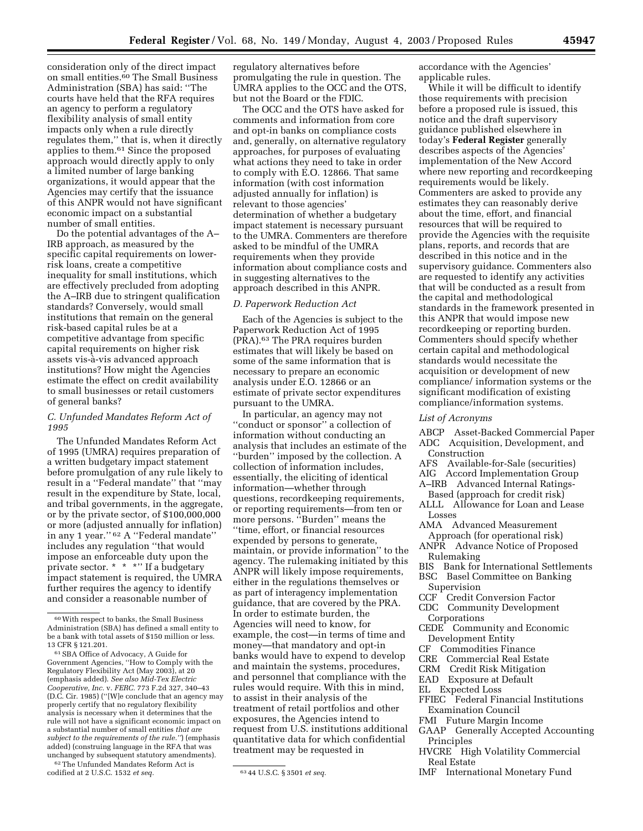consideration only of the direct impact on small entities.60 The Small Business Administration (SBA) has said: ''The courts have held that the RFA requires an agency to perform a regulatory flexibility analysis of small entity impacts only when a rule directly regulates them,'' that is, when it directly applies to them.61 Since the proposed approach would directly apply to only a limited number of large banking organizations, it would appear that the Agencies may certify that the issuance of this ANPR would not have significant economic impact on a substantial number of small entities.

Do the potential advantages of the A– IRB approach, as measured by the specific capital requirements on lowerrisk loans, create a competitive inequality for small institutions, which are effectively precluded from adopting the A–IRB due to stringent qualification standards? Conversely, would small institutions that remain on the general risk-based capital rules be at a competitive advantage from specific capital requirements on higher risk assets vis-a`-vis advanced approach institutions? How might the Agencies estimate the effect on credit availability to small businesses or retail customers of general banks?

#### *C. Unfunded Mandates Reform Act of 1995*

The Unfunded Mandates Reform Act of 1995 (UMRA) requires preparation of a written budgetary impact statement before promulgation of any rule likely to result in a ''Federal mandate'' that ''may result in the expenditure by State, local, and tribal governments, in the aggregate, or by the private sector, of \$100,000,000 or more (adjusted annually for inflation) in any 1 year.'' 62 A ''Federal mandate'' includes any regulation ''that would impose an enforceable duty upon the private sector. \* \* \*'' If a budgetary impact statement is required, the UMRA further requires the agency to identify and consider a reasonable number of

62The Unfunded Mandates Reform Act is codified at 2 U.S.C. 1532 *et seq.* 63 44 U.S.C. § 3501 *et seq.*

regulatory alternatives before promulgating the rule in question. The UMRA applies to the OCC and the OTS, but not the Board or the FDIC.

The OCC and the OTS have asked for comments and information from core and opt-in banks on compliance costs and, generally, on alternative regulatory approaches, for purposes of evaluating what actions they need to take in order to comply with E.O. 12866. That same information (with cost information adjusted annually for inflation) is relevant to those agencies' determination of whether a budgetary impact statement is necessary pursuant to the UMRA. Commenters are therefore asked to be mindful of the UMRA requirements when they provide information about compliance costs and in suggesting alternatives to the approach described in this ANPR.

# *D. Paperwork Reduction Act*

Each of the Agencies is subject to the Paperwork Reduction Act of 1995 (PRA).63 The PRA requires burden estimates that will likely be based on some of the same information that is necessary to prepare an economic analysis under E.O. 12866 or an estimate of private sector expenditures pursuant to the UMRA.

In particular, an agency may not ''conduct or sponsor'' a collection of information without conducting an analysis that includes an estimate of the ''burden'' imposed by the collection. A collection of information includes, essentially, the eliciting of identical information—whether through questions, recordkeeping requirements, or reporting requirements—from ten or more persons. ''Burden'' means the ''time, effort, or financial resources expended by persons to generate, maintain, or provide information'' to the agency. The rulemaking initiated by this ANPR will likely impose requirements, either in the regulations themselves or as part of interagency implementation guidance, that are covered by the PRA. In order to estimate burden, the Agencies will need to know, for example, the cost—in terms of time and money—that mandatory and opt-in banks would have to expend to develop and maintain the systems, procedures, and personnel that compliance with the rules would require. With this in mind, to assist in their analysis of the treatment of retail portfolios and other exposures, the Agencies intend to request from U.S. institutions additional quantitative data for which confidential treatment may be requested in

accordance with the Agencies' applicable rules.

While it will be difficult to identify those requirements with precision before a proposed rule is issued, this notice and the draft supervisory guidance published elsewhere in today's **Federal Register** generally describes aspects of the Agencies' implementation of the New Accord where new reporting and recordkeeping requirements would be likely. Commenters are asked to provide any estimates they can reasonably derive about the time, effort, and financial resources that will be required to provide the Agencies with the requisite plans, reports, and records that are described in this notice and in the supervisory guidance. Commenters also are requested to identify any activities that will be conducted as a result from the capital and methodological standards in the framework presented in this ANPR that would impose new recordkeeping or reporting burden. Commenters should specify whether certain capital and methodological standards would necessitate the acquisition or development of new compliance/ information systems or the significant modification of existing compliance/information systems.

#### *List of Acronyms*

- ABCP Asset-Backed Commercial Paper ADC Acquisition, Development, and Construction
- AFS Available-for-Sale (securities)
- AIG Accord Implementation Group A–IRB Advanced Internal Ratings-
- Based (approach for credit risk)
- ALLL Allowance for Loan and Lease Losses
- AMA Advanced Measurement
- Approach (for operational risk) ANPR Advance Notice of Proposed Rulemaking
- BIS Bank for International Settlements
- BSC Basel Committee on Banking Supervision
- CCF Credit Conversion Factor
- CDC Community Development Corporations
- CEDE Community and Economic Development Entity
- CF Commodities Finance
- CRE Commercial Real Estate
- CRM Credit Risk Mitigation
- EAD Exposure at Default
- EL Expected Loss
- FFIEC Federal Financial Institutions Examination Council
- FMI Future Margin Income
- GAAP Generally Accepted Accounting Principles
- HVCRE High Volatility Commercial Real Estate
- IMF International Monetary Fund

<sup>60</sup>With respect to banks, the Small Business Administration (SBA) has defined a small entity to be a bank with total assets of \$150 million or less. 13 CFR § 121.201.

<sup>61</sup>SBA Office of Advocacy, A Guide for Government Agencies, ''How to Comply with the Regulatory Flexibility Act (May 2003), at 20 (emphasis added). *See also Mid-Tex Electric Cooperative, Inc.* v. *FERC.* 773 F.2d 327, 340–43 (D.C. Cir. 1985) (''[W]e conclude that an agency may properly certify that no regulatory flexibility analysis is necessary when it determines that the rule will not have a significant economic impact on a substantial number of small entities *that are subject to the requirements of the rule.''*) (emphasis added) (construing language in the RFA that was unchanged by subsequent statutory amendments).